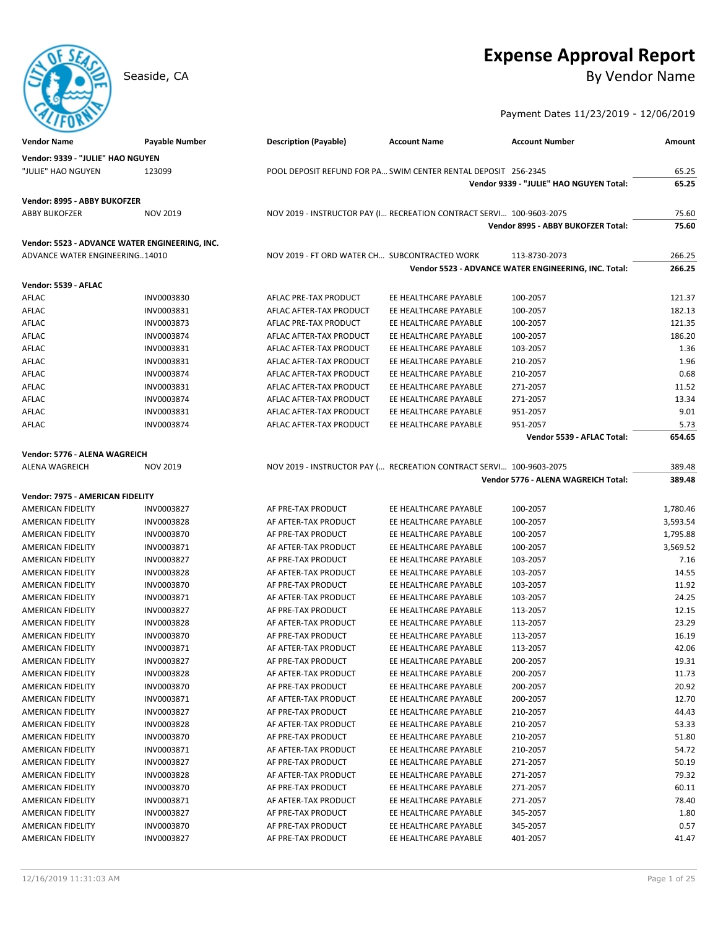# **Expense Approval Report**

Seaside, CA By Vendor Name

Payment Dates 11/23/2019 - 12/06/2019

| <b>Vendor Name</b>                             | Payable Number           | <b>Description (Payable)</b>                                         | <b>Account Name</b>                            | <b>Account Number</b>                                | Amount           |
|------------------------------------------------|--------------------------|----------------------------------------------------------------------|------------------------------------------------|------------------------------------------------------|------------------|
| Vendor: 9339 - "JULIE" HAO NGUYEN              |                          |                                                                      |                                                |                                                      |                  |
| "JULIE" HAO NGUYEN                             | 123099                   | POOL DEPOSIT REFUND FOR PA SWIM CENTER RENTAL DEPOSIT 256-2345       |                                                |                                                      | 65.25            |
|                                                |                          |                                                                      |                                                | Vendor 9339 - "JULIE" HAO NGUYEN Total:              | 65.25            |
| Vendor: 8995 - ABBY BUKOFZER                   |                          |                                                                      |                                                |                                                      |                  |
| <b>ABBY BUKOFZER</b>                           | <b>NOV 2019</b>          | NOV 2019 - INSTRUCTOR PAY (I RECREATION CONTRACT SERVI 100-9603-2075 |                                                |                                                      | 75.60            |
|                                                |                          |                                                                      |                                                | Vendor 8995 - ABBY BUKOFZER Total:                   | 75.60            |
|                                                |                          |                                                                      |                                                |                                                      |                  |
| Vendor: 5523 - ADVANCE WATER ENGINEERING, INC. |                          |                                                                      |                                                |                                                      |                  |
| <b>ADVANCE WATER ENGINEERING14010</b>          |                          | NOV 2019 - FT ORD WATER CH SUBCONTRACTED WORK                        |                                                | 113-8730-2073                                        | 266.25           |
|                                                |                          |                                                                      |                                                | Vendor 5523 - ADVANCE WATER ENGINEERING, INC. Total: | 266.25           |
| Vendor: 5539 - AFLAC                           |                          |                                                                      |                                                |                                                      |                  |
| AFLAC                                          | INV0003830               | AFLAC PRE-TAX PRODUCT                                                | EE HEALTHCARE PAYABLE                          | 100-2057                                             | 121.37           |
| AFLAC                                          | INV0003831               | AFLAC AFTER-TAX PRODUCT                                              | EE HEALTHCARE PAYABLE                          | 100-2057                                             | 182.13           |
| AFLAC                                          | INV0003873               | AFLAC PRE-TAX PRODUCT                                                | EE HEALTHCARE PAYABLE                          | 100-2057                                             | 121.35           |
| AFLAC                                          | INV0003874               | AFLAC AFTER-TAX PRODUCT                                              | EE HEALTHCARE PAYABLE                          | 100-2057                                             | 186.20           |
| AFLAC                                          | INV0003831               | AFLAC AFTER-TAX PRODUCT                                              | EE HEALTHCARE PAYABLE                          | 103-2057                                             | 1.36             |
| AFLAC                                          | INV0003831               | AFLAC AFTER-TAX PRODUCT                                              | EE HEALTHCARE PAYABLE                          | 210-2057                                             | 1.96             |
| AFLAC                                          | INV0003874               | AFLAC AFTER-TAX PRODUCT                                              | EE HEALTHCARE PAYABLE                          | 210-2057                                             | 0.68             |
| AFLAC                                          | INV0003831               | AFLAC AFTER-TAX PRODUCT                                              | EE HEALTHCARE PAYABLE                          | 271-2057                                             | 11.52            |
| AFLAC                                          | INV0003874               | AFLAC AFTER-TAX PRODUCT                                              | EE HEALTHCARE PAYABLE                          | 271-2057                                             | 13.34            |
| AFLAC                                          | INV0003831               | AFLAC AFTER-TAX PRODUCT                                              | EE HEALTHCARE PAYABLE                          | 951-2057                                             | 9.01             |
| AFLAC                                          | INV0003874               | AFLAC AFTER-TAX PRODUCT                                              | EE HEALTHCARE PAYABLE                          | 951-2057                                             | 5.73             |
|                                                |                          |                                                                      |                                                | Vendor 5539 - AFLAC Total:                           | 654.65           |
| Vendor: 5776 - ALENA WAGREICH                  |                          |                                                                      |                                                |                                                      |                  |
| <b>ALENA WAGREICH</b>                          | <b>NOV 2019</b>          | NOV 2019 - INSTRUCTOR PAY ( RECREATION CONTRACT SERVI 100-9603-2075  |                                                |                                                      | 389.48           |
|                                                |                          |                                                                      |                                                | Vendor 5776 - ALENA WAGREICH Total:                  | 389.48           |
|                                                |                          |                                                                      |                                                |                                                      |                  |
| Vendor: 7975 - AMERICAN FIDELITY               |                          |                                                                      |                                                |                                                      |                  |
| AMERICAN FIDELITY                              | INV0003827               | AF PRE-TAX PRODUCT                                                   | EE HEALTHCARE PAYABLE                          | 100-2057                                             | 1,780.46         |
| AMERICAN FIDELITY                              | <b>INV0003828</b>        | AF AFTER-TAX PRODUCT                                                 | EE HEALTHCARE PAYABLE                          | 100-2057                                             | 3,593.54         |
| AMERICAN FIDELITY                              | INV0003870               | AF PRE-TAX PRODUCT                                                   | EE HEALTHCARE PAYABLE                          | 100-2057                                             | 1,795.88         |
| AMERICAN FIDELITY                              | INV0003871<br>INV0003827 | AF AFTER-TAX PRODUCT<br>AF PRE-TAX PRODUCT                           | EE HEALTHCARE PAYABLE<br>EE HEALTHCARE PAYABLE | 100-2057                                             | 3,569.52<br>7.16 |
| AMERICAN FIDELITY<br>AMERICAN FIDELITY         | INV0003828               | AF AFTER-TAX PRODUCT                                                 | EE HEALTHCARE PAYABLE                          | 103-2057<br>103-2057                                 | 14.55            |
| AMERICAN FIDELITY                              | INV0003870               | AF PRE-TAX PRODUCT                                                   | EE HEALTHCARE PAYABLE                          | 103-2057                                             | 11.92            |
| AMERICAN FIDELITY                              | INV0003871               | AF AFTER-TAX PRODUCT                                                 | EE HEALTHCARE PAYABLE                          | 103-2057                                             | 24.25            |
| AMERICAN FIDELITY                              | INV0003827               | AF PRE-TAX PRODUCT                                                   | EE HEALTHCARE PAYABLE                          | 113-2057                                             | 12.15            |
| AMERICAN FIDELITY                              | INV0003828               | AF AFTER-TAX PRODUCT                                                 | EE HEALTHCARE PAYABLE                          | 113-2057                                             | 23.29            |
| AMERICAN FIDELITY                              | INV0003870               | AF PRE-TAX PRODUCT                                                   | EE HEALTHCARE PAYABLE                          | 113-2057                                             | 16.19            |
| AMERICAN FIDELITY                              | INV0003871               | AF AFTER-TAX PRODUCT                                                 | EE HEALTHCARE PAYABLE                          | 113-2057                                             | 42.06            |
| AMERICAN FIDELITY                              | INV0003827               | AF PRE-TAX PRODUCT                                                   | EE HEALTHCARE PAYABLE                          | 200-2057                                             | 19.31            |
| AMERICAN FIDELITY                              | INV0003828               | AF AFTER-TAX PRODUCT                                                 | EE HEALTHCARE PAYABLE                          | 200-2057                                             | 11.73            |
| AMERICAN FIDELITY                              | INV0003870               | AF PRE-TAX PRODUCT                                                   | EE HEALTHCARE PAYABLE                          | 200-2057                                             | 20.92            |
| AMERICAN FIDELITY                              | INV0003871               | AF AFTER-TAX PRODUCT                                                 | EE HEALTHCARE PAYABLE                          | 200-2057                                             | 12.70            |
| AMERICAN FIDELITY                              | INV0003827               | AF PRE-TAX PRODUCT                                                   | EE HEALTHCARE PAYABLE                          | 210-2057                                             | 44.43            |
| AMERICAN FIDELITY                              | INV0003828               | AF AFTER-TAX PRODUCT                                                 | EE HEALTHCARE PAYABLE                          | 210-2057                                             | 53.33            |
| AMERICAN FIDELITY                              | INV0003870               | AF PRE-TAX PRODUCT                                                   | EE HEALTHCARE PAYABLE                          | 210-2057                                             | 51.80            |
| AMERICAN FIDELITY                              | INV0003871               | AF AFTER-TAX PRODUCT                                                 | EE HEALTHCARE PAYABLE                          | 210-2057                                             | 54.72            |
| AMERICAN FIDELITY                              | INV0003827               | AF PRE-TAX PRODUCT                                                   | EE HEALTHCARE PAYABLE                          | 271-2057                                             | 50.19            |
| AMERICAN FIDELITY                              | INV0003828               | AF AFTER-TAX PRODUCT                                                 | EE HEALTHCARE PAYABLE                          | 271-2057                                             | 79.32            |
| AMERICAN FIDELITY                              | INV0003870               | AF PRE-TAX PRODUCT                                                   | EE HEALTHCARE PAYABLE                          | 271-2057                                             | 60.11            |
| AMERICAN FIDELITY                              | INV0003871               | AF AFTER-TAX PRODUCT                                                 | EE HEALTHCARE PAYABLE                          | 271-2057                                             | 78.40            |
| AMERICAN FIDELITY                              | INV0003827               | AF PRE-TAX PRODUCT                                                   | EE HEALTHCARE PAYABLE                          | 345-2057                                             | 1.80             |
| AMERICAN FIDELITY                              | INV0003870               | AF PRE-TAX PRODUCT                                                   | EE HEALTHCARE PAYABLE                          | 345-2057                                             | 0.57             |
| AMERICAN FIDELITY                              | INV0003827               | AF PRE-TAX PRODUCT                                                   | EE HEALTHCARE PAYABLE                          | 401-2057                                             | 41.47            |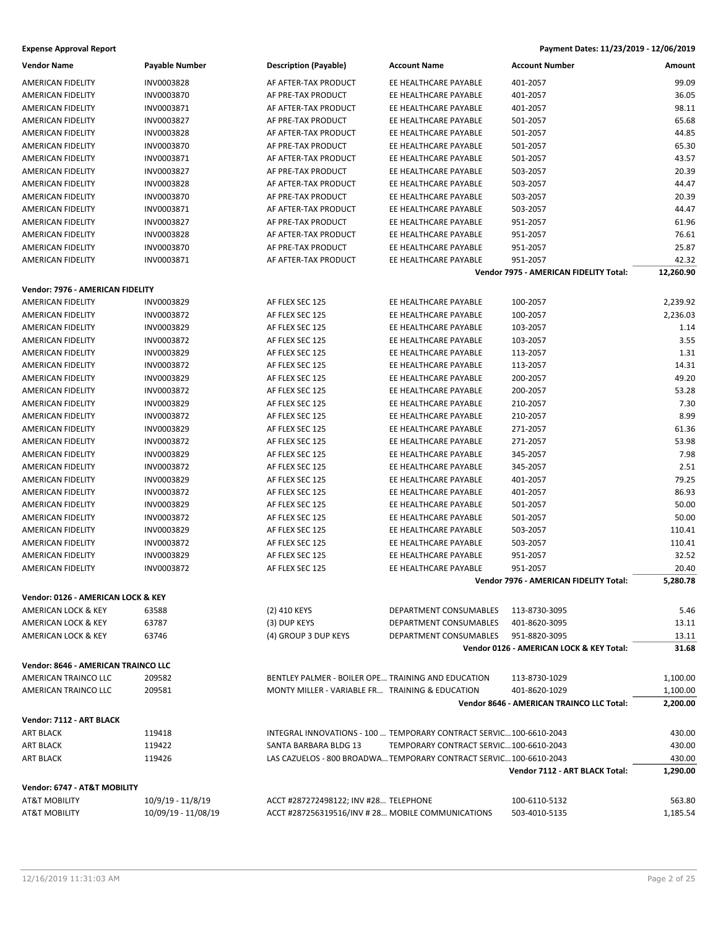| <b>Vendor Name</b>                  | <b>Payable Number</b> | <b>Description (Payable)</b>                       | <b>Account Name</b>                                                                                          | <b>Account Number</b>                     | Amount    |
|-------------------------------------|-----------------------|----------------------------------------------------|--------------------------------------------------------------------------------------------------------------|-------------------------------------------|-----------|
| AMERICAN FIDELITY                   | INV0003828            | AF AFTER-TAX PRODUCT                               | EE HEALTHCARE PAYABLE                                                                                        | 401-2057                                  | 99.09     |
| <b>AMERICAN FIDELITY</b>            | INV0003870            | AF PRE-TAX PRODUCT                                 | EE HEALTHCARE PAYABLE                                                                                        | 401-2057                                  | 36.05     |
| AMERICAN FIDELITY                   | INV0003871            | AF AFTER-TAX PRODUCT                               | EE HEALTHCARE PAYABLE                                                                                        | 401-2057                                  | 98.11     |
| AMERICAN FIDELITY                   | INV0003827            | AF PRE-TAX PRODUCT                                 | EE HEALTHCARE PAYABLE                                                                                        | 501-2057                                  | 65.68     |
| AMERICAN FIDELITY                   | INV0003828            | AF AFTER-TAX PRODUCT                               | EE HEALTHCARE PAYABLE                                                                                        | 501-2057                                  | 44.85     |
| AMERICAN FIDELITY                   | INV0003870            | AF PRE-TAX PRODUCT                                 | EE HEALTHCARE PAYABLE                                                                                        | 501-2057                                  | 65.30     |
| AMERICAN FIDELITY                   | INV0003871            | AF AFTER-TAX PRODUCT                               | EE HEALTHCARE PAYABLE                                                                                        | 501-2057                                  | 43.57     |
| AMERICAN FIDELITY                   | INV0003827            | AF PRE-TAX PRODUCT                                 | EE HEALTHCARE PAYABLE                                                                                        | 503-2057                                  | 20.39     |
| <b>AMERICAN FIDELITY</b>            | INV0003828            | AF AFTER-TAX PRODUCT                               | EE HEALTHCARE PAYABLE                                                                                        | 503-2057                                  | 44.47     |
| AMERICAN FIDELITY                   | INV0003870            | AF PRE-TAX PRODUCT                                 | EE HEALTHCARE PAYABLE                                                                                        | 503-2057                                  | 20.39     |
| AMERICAN FIDELITY                   | INV0003871            | AF AFTER-TAX PRODUCT                               | EE HEALTHCARE PAYABLE                                                                                        | 503-2057                                  | 44.47     |
| <b>AMERICAN FIDELITY</b>            | INV0003827            | AF PRE-TAX PRODUCT                                 | EE HEALTHCARE PAYABLE                                                                                        | 951-2057                                  | 61.96     |
| AMERICAN FIDELITY                   | INV0003828            | AF AFTER-TAX PRODUCT                               | EE HEALTHCARE PAYABLE                                                                                        | 951-2057                                  | 76.61     |
| AMERICAN FIDELITY                   | INV0003870            | AF PRE-TAX PRODUCT                                 | EE HEALTHCARE PAYABLE                                                                                        | 951-2057                                  | 25.87     |
| AMERICAN FIDELITY                   | INV0003871            | AF AFTER-TAX PRODUCT                               | EE HEALTHCARE PAYABLE                                                                                        | 951-2057                                  | 42.32     |
|                                     |                       |                                                    |                                                                                                              | Vendor 7975 - AMERICAN FIDELITY Total:    | 12,260.90 |
| Vendor: 7976 - AMERICAN FIDELITY    |                       |                                                    |                                                                                                              |                                           |           |
|                                     | INV0003829            |                                                    | EE HEALTHCARE PAYABLE                                                                                        |                                           |           |
| AMERICAN FIDELITY                   | INV0003872            | AF FLEX SEC 125<br>AF FLEX SEC 125                 | EE HEALTHCARE PAYABLE                                                                                        | 100-2057<br>100-2057                      | 2,239.92  |
| AMERICAN FIDELITY                   |                       |                                                    |                                                                                                              |                                           | 2,236.03  |
| AMERICAN FIDELITY                   | INV0003829            | AF FLEX SEC 125                                    | EE HEALTHCARE PAYABLE                                                                                        | 103-2057                                  | 1.14      |
| AMERICAN FIDELITY                   | INV0003872            | AF FLEX SEC 125                                    | EE HEALTHCARE PAYABLE                                                                                        | 103-2057                                  | 3.55      |
| AMERICAN FIDELITY                   | INV0003829            | AF FLEX SEC 125                                    | EE HEALTHCARE PAYABLE                                                                                        | 113-2057                                  | 1.31      |
| AMERICAN FIDELITY                   | INV0003872            | AF FLEX SEC 125                                    | EE HEALTHCARE PAYABLE                                                                                        | 113-2057                                  | 14.31     |
| AMERICAN FIDELITY                   | INV0003829            | AF FLEX SEC 125                                    | EE HEALTHCARE PAYABLE                                                                                        | 200-2057                                  | 49.20     |
| AMERICAN FIDELITY                   | INV0003872            | AF FLEX SEC 125                                    | EE HEALTHCARE PAYABLE                                                                                        | 200-2057                                  | 53.28     |
| AMERICAN FIDELITY                   | INV0003829            | AF FLEX SEC 125                                    | EE HEALTHCARE PAYABLE                                                                                        | 210-2057                                  | 7.30      |
| AMERICAN FIDELITY                   | INV0003872            | AF FLEX SEC 125                                    | EE HEALTHCARE PAYABLE                                                                                        | 210-2057                                  | 8.99      |
| AMERICAN FIDELITY                   | INV0003829            | AF FLEX SEC 125                                    | EE HEALTHCARE PAYABLE                                                                                        | 271-2057                                  | 61.36     |
| AMERICAN FIDELITY                   | INV0003872            | AF FLEX SEC 125                                    | EE HEALTHCARE PAYABLE                                                                                        | 271-2057                                  | 53.98     |
| AMERICAN FIDELITY                   | INV0003829            | AF FLEX SEC 125                                    | EE HEALTHCARE PAYABLE                                                                                        | 345-2057                                  | 7.98      |
| AMERICAN FIDELITY                   | INV0003872            | AF FLEX SEC 125                                    | EE HEALTHCARE PAYABLE                                                                                        | 345-2057                                  | 2.51      |
| AMERICAN FIDELITY                   | INV0003829            | AF FLEX SEC 125                                    | EE HEALTHCARE PAYABLE                                                                                        | 401-2057                                  | 79.25     |
| AMERICAN FIDELITY                   | INV0003872            | AF FLEX SEC 125                                    | EE HEALTHCARE PAYABLE                                                                                        | 401-2057                                  | 86.93     |
| AMERICAN FIDELITY                   | INV0003829            | AF FLEX SEC 125                                    | EE HEALTHCARE PAYABLE                                                                                        | 501-2057                                  | 50.00     |
| <b>AMERICAN FIDELITY</b>            | INV0003872            | AF FLEX SEC 125                                    | EE HEALTHCARE PAYABLE                                                                                        | 501-2057                                  | 50.00     |
| AMERICAN FIDELITY                   | INV0003829            | AF FLEX SEC 125                                    | EE HEALTHCARE PAYABLE                                                                                        | 503-2057                                  | 110.41    |
| AMERICAN FIDELITY                   | INV0003872            | AF FLEX SEC 125                                    | EE HEALTHCARE PAYABLE                                                                                        | 503-2057                                  | 110.41    |
| <b>AMERICAN FIDELITY</b>            | INV0003829            | AF FLEX SEC 125                                    | EE HEALTHCARE PAYABLE                                                                                        | 951-2057                                  | 32.52     |
| AMERICAN FIDELITY                   | INV0003872            | AF FLEX SEC 125                                    | EE HEALTHCARE PAYABLE                                                                                        | 951-2057                                  | 20.40     |
|                                     |                       |                                                    |                                                                                                              | Vendor 7976 - AMERICAN FIDELITY Total:    | 5,280.78  |
| Vendor: 0126 - AMERICAN LOCK & KEY  |                       |                                                    |                                                                                                              |                                           |           |
| AMERICAN LOCK & KEY                 | 63588                 | (2) 410 KEYS                                       | DEPARTMENT CONSUMABLES                                                                                       | 113-8730-3095                             | 5.46      |
| AMERICAN LOCK & KEY                 | 63787                 | (3) DUP KEYS                                       | DEPARTMENT CONSUMABLES                                                                                       | 401-8620-3095                             | 13.11     |
| AMERICAN LOCK & KEY                 | 63746                 | (4) GROUP 3 DUP KEYS                               | DEPARTMENT CONSUMABLES                                                                                       | 951-8820-3095                             | 13.11     |
|                                     |                       |                                                    |                                                                                                              | Vendor 0126 - AMERICAN LOCK & KEY Total:  | 31.68     |
| Vendor: 8646 - AMERICAN TRAINCO LLC |                       |                                                    |                                                                                                              |                                           |           |
| AMERICAN TRAINCO LLC                | 209582                | BENTLEY PALMER - BOILER OPE TRAINING AND EDUCATION |                                                                                                              | 113-8730-1029                             | 1,100.00  |
| AMERICAN TRAINCO LLC                | 209581                | MONTY MILLER - VARIABLE FR TRAINING & EDUCATION    |                                                                                                              | 401-8620-1029                             | 1,100.00  |
|                                     |                       |                                                    |                                                                                                              | Vendor 8646 - AMERICAN TRAINCO LLC Total: | 2,200.00  |
|                                     |                       |                                                    |                                                                                                              |                                           |           |
| Vendor: 7112 - ART BLACK            |                       |                                                    |                                                                                                              |                                           |           |
| ART BLACK                           | 119418                |                                                    | INTEGRAL INNOVATIONS - 100  TEMPORARY CONTRACT SERVIC 100-6610-2043                                          |                                           | 430.00    |
| <b>ART BLACK</b>                    | 119422                | SANTA BARBARA BLDG 13                              | TEMPORARY CONTRACT SERVIC100-6610-2043<br>LAS CAZUELOS - 800 BROADWA TEMPORARY CONTRACT SERVIC 100-6610-2043 |                                           | 430.00    |
| <b>ART BLACK</b>                    | 119426                |                                                    |                                                                                                              | Vendor 7112 - ART BLACK Total:            | 430.00    |
|                                     |                       |                                                    |                                                                                                              |                                           | 1,290.00  |
| Vendor: 6747 - AT&T MOBILITY        |                       |                                                    |                                                                                                              |                                           |           |
| AT&T MOBILITY                       | 10/9/19 - 11/8/19     | ACCT #287272498122; INV #28 TELEPHONE              |                                                                                                              | 100-6110-5132                             | 563.80    |
| AT&T MOBILITY                       | 10/09/19 - 11/08/19   | ACCT #287256319516/INV #28 MOBILE COMMUNICATIONS   |                                                                                                              | 503-4010-5135                             | 1,185.54  |
|                                     |                       |                                                    |                                                                                                              |                                           |           |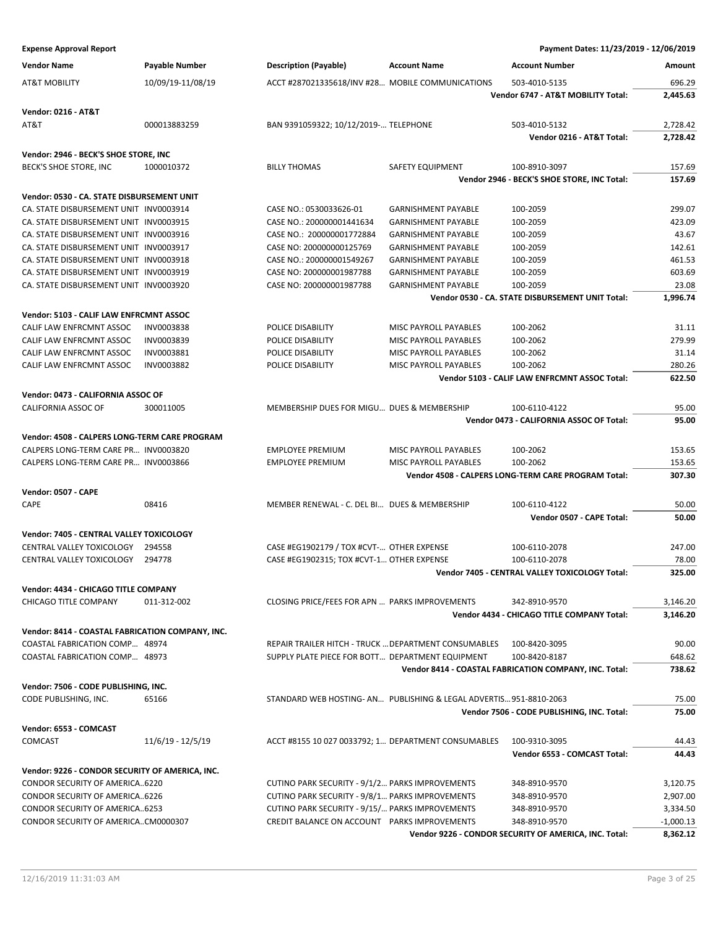| <b>Vendor Name</b>                               | <b>Payable Number</b> | <b>Description (Payable)</b>                                       | <b>Account Name</b>        | <b>Account Number</b>                                  | Amount      |
|--------------------------------------------------|-----------------------|--------------------------------------------------------------------|----------------------------|--------------------------------------------------------|-------------|
| AT&T MOBILITY                                    | 10/09/19-11/08/19     | ACCT #287021335618/INV #28 MOBILE COMMUNICATIONS                   |                            | 503-4010-5135                                          | 696.29      |
|                                                  |                       |                                                                    |                            | Vendor 6747 - AT&T MOBILITY Total:                     | 2.445.63    |
| <b>Vendor: 0216 - AT&amp;T</b>                   |                       |                                                                    |                            |                                                        |             |
| AT&T                                             | 000013883259          | BAN 9391059322; 10/12/2019- TELEPHONE                              |                            | 503-4010-5132                                          | 2.728.42    |
|                                                  |                       |                                                                    |                            | Vendor 0216 - AT&T Total:                              | 2,728.42    |
| Vendor: 2946 - BECK'S SHOE STORE, INC            |                       |                                                                    |                            |                                                        |             |
| BECK'S SHOE STORE, INC                           | 1000010372            | <b>BILLY THOMAS</b>                                                | SAFETY EQUIPMENT           | 100-8910-3097                                          | 157.69      |
|                                                  |                       |                                                                    |                            | Vendor 2946 - BECK'S SHOE STORE, INC Total:            | 157.69      |
| Vendor: 0530 - CA. STATE DISBURSEMENT UNIT       |                       |                                                                    |                            |                                                        |             |
| CA. STATE DISBURSEMENT UNIT INV0003914           |                       | CASE NO.: 0530033626-01                                            | <b>GARNISHMENT PAYABLE</b> | 100-2059                                               | 299.07      |
| CA. STATE DISBURSEMENT UNIT INV0003915           |                       | CASE NO.: 200000001441634                                          | <b>GARNISHMENT PAYABLE</b> | 100-2059                                               | 423.09      |
| CA. STATE DISBURSEMENT UNIT INV0003916           |                       | CASE NO.: 200000001772884                                          | <b>GARNISHMENT PAYABLE</b> | 100-2059                                               | 43.67       |
| CA. STATE DISBURSEMENT UNIT INV0003917           |                       | CASE NO: 200000000125769                                           | <b>GARNISHMENT PAYABLE</b> | 100-2059                                               | 142.61      |
| CA. STATE DISBURSEMENT UNIT INV0003918           |                       | CASE NO.: 200000001549267                                          | <b>GARNISHMENT PAYABLE</b> | 100-2059                                               | 461.53      |
| CA. STATE DISBURSEMENT UNIT INV0003919           |                       | CASE NO: 200000001987788                                           | <b>GARNISHMENT PAYABLE</b> | 100-2059                                               | 603.69      |
| CA. STATE DISBURSEMENT UNIT INV0003920           |                       | CASE NO: 200000001987788                                           | <b>GARNISHMENT PAYABLE</b> | 100-2059                                               | 23.08       |
|                                                  |                       |                                                                    |                            | Vendor 0530 - CA. STATE DISBURSEMENT UNIT Total:       | 1,996.74    |
| Vendor: 5103 - CALIF LAW ENFRCMNT ASSOC          |                       |                                                                    |                            |                                                        |             |
| CALIF LAW ENFRCMNT ASSOC                         |                       |                                                                    |                            |                                                        | 31.11       |
|                                                  | <b>INV0003838</b>     | POLICE DISABILITY                                                  | MISC PAYROLL PAYABLES      | 100-2062                                               |             |
| CALIF LAW ENFRCMNT ASSOC                         | INV0003839            | POLICE DISABILITY                                                  | MISC PAYROLL PAYABLES      | 100-2062                                               | 279.99      |
| CALIF LAW ENFRCMNT ASSOC                         | INV0003881            | POLICE DISABILITY                                                  | MISC PAYROLL PAYABLES      | 100-2062                                               | 31.14       |
| CALIF LAW ENFRCMNT ASSOC                         | INV0003882            | POLICE DISABILITY                                                  | MISC PAYROLL PAYABLES      | 100-2062                                               | 280.26      |
|                                                  |                       |                                                                    |                            | Vendor 5103 - CALIF LAW ENFRCMNT ASSOC Total:          | 622.50      |
| Vendor: 0473 - CALIFORNIA ASSOC OF               |                       |                                                                    |                            |                                                        |             |
| CALIFORNIA ASSOC OF                              | 300011005             | MEMBERSHIP DUES FOR MIGU DUES & MEMBERSHIP                         |                            | 100-6110-4122                                          | 95.00       |
|                                                  |                       |                                                                    |                            | Vendor 0473 - CALIFORNIA ASSOC OF Total:               | 95.00       |
| Vendor: 4508 - CALPERS LONG-TERM CARE PROGRAM    |                       |                                                                    |                            |                                                        |             |
| CALPERS LONG-TERM CARE PR INV0003820             |                       | <b>EMPLOYEE PREMIUM</b>                                            | MISC PAYROLL PAYABLES      | 100-2062                                               | 153.65      |
| CALPERS LONG-TERM CARE PR INV0003866             |                       | <b>EMPLOYEE PREMIUM</b>                                            | MISC PAYROLL PAYABLES      | 100-2062                                               | 153.65      |
|                                                  |                       |                                                                    |                            | Vendor 4508 - CALPERS LONG-TERM CARE PROGRAM Total:    | 307.30      |
| <b>Vendor: 0507 - CAPE</b>                       |                       |                                                                    |                            |                                                        |             |
| CAPE                                             | 08416                 | MEMBER RENEWAL - C. DEL BI DUES & MEMBERSHIP                       |                            | 100-6110-4122                                          | 50.00       |
|                                                  |                       |                                                                    |                            | Vendor 0507 - CAPE Total:                              | 50.00       |
| Vendor: 7405 - CENTRAL VALLEY TOXICOLOGY         |                       |                                                                    |                            |                                                        |             |
| CENTRAL VALLEY TOXICOLOGY                        | 294558                | CASE #EG1902179 / TOX #CVT- OTHER EXPENSE                          |                            | 100-6110-2078                                          | 247.00      |
| CENTRAL VALLEY TOXICOLOGY                        | 294778                | CASE #EG1902315; TOX #CVT-1 OTHER EXPENSE                          |                            | 100-6110-2078                                          | 78.00       |
|                                                  |                       |                                                                    |                            | Vendor 7405 - CENTRAL VALLEY TOXICOLOGY Total:         | 325.00      |
| Vendor: 4434 - CHICAGO TITLE COMPANY             |                       |                                                                    |                            |                                                        |             |
| CHICAGO TITLE COMPANY                            | 011-312-002           | CLOSING PRICE/FEES FOR APN  PARKS IMPROVEMENTS                     |                            | 342-8910-9570                                          | 3,146.20    |
|                                                  |                       |                                                                    |                            | Vendor 4434 - CHICAGO TITLE COMPANY Total:             | 3,146.20    |
| Vendor: 8414 - COASTAL FABRICATION COMPANY, INC. |                       |                                                                    |                            |                                                        |             |
| COASTAL FABRICATION COMP 48974                   |                       | REPAIR TRAILER HITCH - TRUCK  DEPARTMENT CONSUMABLES               |                            |                                                        | 90.00       |
|                                                  |                       |                                                                    |                            | 100-8420-3095                                          |             |
| COASTAL FABRICATION COMP 48973                   |                       | SUPPLY PLATE PIECE FOR BOTT DEPARTMENT EQUIPMENT                   |                            | 100-8420-8187                                          | 648.62      |
|                                                  |                       |                                                                    |                            | Vendor 8414 - COASTAL FABRICATION COMPANY, INC. Total: | 738.62      |
| Vendor: 7506 - CODE PUBLISHING, INC.             |                       |                                                                    |                            |                                                        |             |
| CODE PUBLISHING, INC.                            | 65166                 | STANDARD WEB HOSTING- AN PUBLISHING & LEGAL ADVERTIS 951-8810-2063 |                            |                                                        | 75.00       |
|                                                  |                       |                                                                    |                            | Vendor 7506 - CODE PUBLISHING, INC. Total:             | 75.00       |
| Vendor: 6553 - COMCAST                           |                       |                                                                    |                            |                                                        |             |
| COMCAST                                          | 11/6/19 - 12/5/19     | ACCT #8155 10 027 0033792; 1 DEPARTMENT CONSUMABLES                |                            | 100-9310-3095                                          | 44.43       |
|                                                  |                       |                                                                    |                            | Vendor 6553 - COMCAST Total:                           | 44.43       |
| Vendor: 9226 - CONDOR SECURITY OF AMERICA, INC.  |                       |                                                                    |                            |                                                        |             |
| CONDOR SECURITY OF AMERICA6220                   |                       | CUTINO PARK SECURITY - 9/1/2 PARKS IMPROVEMENTS                    |                            | 348-8910-9570                                          | 3,120.75    |
| CONDOR SECURITY OF AMERICA6226                   |                       | CUTINO PARK SECURITY - 9/8/1 PARKS IMPROVEMENTS                    |                            | 348-8910-9570                                          | 2,907.00    |
| CONDOR SECURITY OF AMERICA6253                   |                       | CUTINO PARK SECURITY - 9/15/ PARKS IMPROVEMENTS                    |                            | 348-8910-9570                                          | 3,334.50    |
| CONDOR SECURITY OF AMERICACM0000307              |                       | CREDIT BALANCE ON ACCOUNT PARKS IMPROVEMENTS                       |                            | 348-8910-9570                                          | $-1,000.13$ |
|                                                  |                       |                                                                    |                            | Vendor 9226 - CONDOR SECURITY OF AMERICA, INC. Total:  | 8,362.12    |
|                                                  |                       |                                                                    |                            |                                                        |             |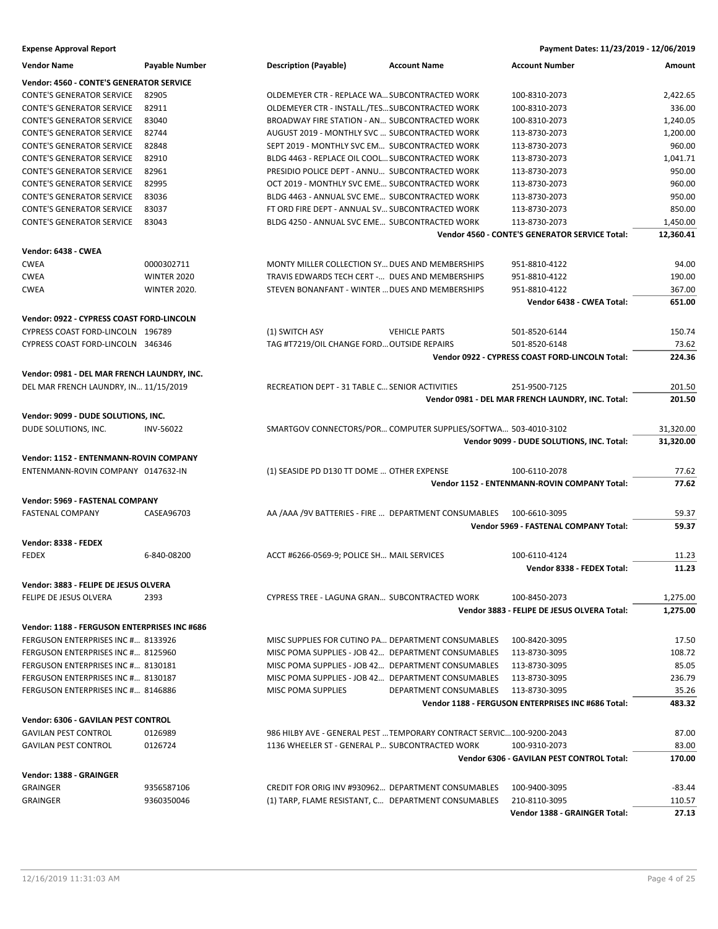| <b>Vendor Name</b>                           | <b>Payable Number</b> | <b>Description (Payable)</b>                                          | <b>Account Name</b>    | <b>Account Number</b>                                           | Amount                |
|----------------------------------------------|-----------------------|-----------------------------------------------------------------------|------------------------|-----------------------------------------------------------------|-----------------------|
| Vendor: 4560 - CONTE'S GENERATOR SERVICE     |                       |                                                                       |                        |                                                                 |                       |
| <b>CONTE'S GENERATOR SERVICE</b>             | 82905                 | OLDEMEYER CTR - REPLACE WA SUBCONTRACTED WORK                         |                        | 100-8310-2073                                                   | 2,422.65              |
| <b>CONTE'S GENERATOR SERVICE</b>             | 82911                 | OLDEMEYER CTR - INSTALL./TESSUBCONTRACTED WORK                        |                        | 100-8310-2073                                                   | 336.00                |
| <b>CONTE'S GENERATOR SERVICE</b>             | 83040                 | BROADWAY FIRE STATION - AN SUBCONTRACTED WORK                         |                        | 100-8310-2073                                                   | 1,240.05              |
| <b>CONTE'S GENERATOR SERVICE</b>             | 82744                 | AUGUST 2019 - MONTHLY SVC  SUBCONTRACTED WORK                         |                        | 113-8730-2073                                                   | 1,200.00              |
| <b>CONTE'S GENERATOR SERVICE</b>             | 82848                 | SEPT 2019 - MONTHLY SVC EM SUBCONTRACTED WORK                         |                        | 113-8730-2073                                                   | 960.00                |
| <b>CONTE'S GENERATOR SERVICE</b>             | 82910                 | BLDG 4463 - REPLACE OIL COOL SUBCONTRACTED WORK                       |                        | 113-8730-2073                                                   | 1,041.71              |
| <b>CONTE'S GENERATOR SERVICE</b>             | 82961                 | PRESIDIO POLICE DEPT - ANNU SUBCONTRACTED WORK                        |                        | 113-8730-2073                                                   | 950.00                |
| <b>CONTE'S GENERATOR SERVICE</b>             | 82995                 | OCT 2019 - MONTHLY SVC EME SUBCONTRACTED WORK                         |                        | 113-8730-2073                                                   | 960.00                |
| <b>CONTE'S GENERATOR SERVICE</b>             | 83036                 | BLDG 4463 - ANNUAL SVC EME SUBCONTRACTED WORK                         |                        | 113-8730-2073                                                   | 950.00                |
| <b>CONTE'S GENERATOR SERVICE</b>             | 83037                 | FT ORD FIRE DEPT - ANNUAL SV SUBCONTRACTED WORK                       |                        | 113-8730-2073                                                   | 850.00                |
| <b>CONTE'S GENERATOR SERVICE</b>             | 83043                 | BLDG 4250 - ANNUAL SVC EME SUBCONTRACTED WORK                         |                        | 113-8730-2073<br>Vendor 4560 - CONTE'S GENERATOR SERVICE Total: | 1,450.00<br>12,360.41 |
| Vendor: 6438 - CWEA                          |                       |                                                                       |                        |                                                                 |                       |
| <b>CWEA</b>                                  | 0000302711            | MONTY MILLER COLLECTION SY DUES AND MEMBERSHIPS                       |                        | 951-8810-4122                                                   | 94.00                 |
| <b>CWEA</b>                                  | <b>WINTER 2020</b>    | TRAVIS EDWARDS TECH CERT - DUES AND MEMBERSHIPS                       |                        | 951-8810-4122                                                   | 190.00                |
| <b>CWEA</b>                                  | <b>WINTER 2020.</b>   | STEVEN BONANFANT - WINTER  DUES AND MEMBERSHIPS                       |                        | 951-8810-4122                                                   | 367.00                |
|                                              |                       |                                                                       |                        | Vendor 6438 - CWEA Total:                                       | 651.00                |
| Vendor: 0922 - CYPRESS COAST FORD-LINCOLN    |                       |                                                                       |                        |                                                                 |                       |
| CYPRESS COAST FORD-LINCOLN 196789            |                       | (1) SWITCH ASY                                                        | <b>VEHICLE PARTS</b>   | 501-8520-6144                                                   | 150.74                |
| CYPRESS COAST FORD-LINCOLN 346346            |                       | TAG #T7219/OIL CHANGE FORD OUTSIDE REPAIRS                            |                        | 501-8520-6148                                                   | 73.62                 |
|                                              |                       |                                                                       |                        | Vendor 0922 - CYPRESS COAST FORD-LINCOLN Total:                 | 224.36                |
| Vendor: 0981 - DEL MAR FRENCH LAUNDRY, INC.  |                       |                                                                       |                        |                                                                 |                       |
| DEL MAR FRENCH LAUNDRY, IN 11/15/2019        |                       | RECREATION DEPT - 31 TABLE C SENIOR ACTIVITIES                        |                        | 251-9500-7125                                                   | 201.50                |
|                                              |                       |                                                                       |                        | Vendor 0981 - DEL MAR FRENCH LAUNDRY, INC. Total:               | 201.50                |
| Vendor: 9099 - DUDE SOLUTIONS, INC.          |                       |                                                                       |                        |                                                                 |                       |
| DUDE SOLUTIONS, INC.                         | <b>INV-56022</b>      | SMARTGOV CONNECTORS/POR COMPUTER SUPPLIES/SOFTWA 503-4010-3102        |                        |                                                                 | 31,320.00             |
|                                              |                       |                                                                       |                        | Vendor 9099 - DUDE SOLUTIONS, INC. Total:                       | 31,320.00             |
| Vendor: 1152 - ENTENMANN-ROVIN COMPANY       |                       |                                                                       |                        |                                                                 |                       |
| ENTENMANN-ROVIN COMPANY 0147632-IN           |                       | (1) SEASIDE PD D130 TT DOME  OTHER EXPENSE                            |                        | 100-6110-2078                                                   | 77.62                 |
|                                              |                       |                                                                       |                        | Vendor 1152 - ENTENMANN-ROVIN COMPANY Total:                    | 77.62                 |
| Vendor: 5969 - FASTENAL COMPANY              |                       |                                                                       |                        |                                                                 |                       |
| <b>FASTENAL COMPANY</b>                      | CASEA96703            | AA /AAA /9V BATTERIES - FIRE  DEPARTMENT CONSUMABLES 100-6610-3095    |                        |                                                                 | 59.37                 |
|                                              |                       |                                                                       |                        | Vendor 5969 - FASTENAL COMPANY Total:                           | 59.37                 |
| Vendor: 8338 - FEDEX                         |                       |                                                                       |                        |                                                                 |                       |
| <b>FEDEX</b>                                 | 6-840-08200           | ACCT #6266-0569-9; POLICE SH MAIL SERVICES                            |                        | 100-6110-4124                                                   | 11.23                 |
|                                              |                       |                                                                       |                        | Vendor 8338 - FEDEX Total:                                      | 11.23                 |
| Vendor: 3883 - FELIPE DE JESUS OLVERA        |                       |                                                                       |                        |                                                                 |                       |
| FELIPE DE JESUS OLVERA                       | 2393                  | CYPRESS TREE - LAGUNA GRAN SUBCONTRACTED WORK                         |                        | 100-8450-2073                                                   | 1.275.00              |
|                                              |                       |                                                                       |                        | Vendor 3883 - FELIPE DE JESUS OLVERA Total:                     | 1,275.00              |
| Vendor: 1188 - FERGUSON ENTERPRISES INC #686 |                       |                                                                       |                        |                                                                 |                       |
| FERGUSON ENTERPRISES INC # 8133926           |                       | MISC SUPPLIES FOR CUTINO PA DEPARTMENT CONSUMABLES                    |                        | 100-8420-3095                                                   | 17.50                 |
| FERGUSON ENTERPRISES INC # 8125960           |                       | MISC POMA SUPPLIES - JOB 42 DEPARTMENT CONSUMABLES                    |                        | 113-8730-3095                                                   | 108.72                |
| FERGUSON ENTERPRISES INC # 8130181           |                       | MISC POMA SUPPLIES - JOB 42 DEPARTMENT CONSUMABLES                    |                        | 113-8730-3095                                                   | 85.05                 |
| FERGUSON ENTERPRISES INC # 8130187           |                       | MISC POMA SUPPLIES - JOB 42 DEPARTMENT CONSUMABLES                    |                        | 113-8730-3095                                                   | 236.79                |
| FERGUSON ENTERPRISES INC # 8146886           |                       | MISC POMA SUPPLIES                                                    | DEPARTMENT CONSUMABLES | 113-8730-3095                                                   | 35.26                 |
|                                              |                       |                                                                       |                        | Vendor 1188 - FERGUSON ENTERPRISES INC #686 Total:              | 483.32                |
| Vendor: 6306 - GAVILAN PEST CONTROL          |                       |                                                                       |                        |                                                                 |                       |
| <b>GAVILAN PEST CONTROL</b>                  | 0126989               | 986 HILBY AVE - GENERAL PEST  TEMPORARY CONTRACT SERVIC 100-9200-2043 |                        |                                                                 | 87.00                 |
| <b>GAVILAN PEST CONTROL</b>                  | 0126724               | 1136 WHEELER ST - GENERAL P SUBCONTRACTED WORK                        |                        | 100-9310-2073                                                   | 83.00                 |
|                                              |                       |                                                                       |                        | Vendor 6306 - GAVILAN PEST CONTROL Total:                       | 170.00                |
| Vendor: 1388 - GRAINGER                      |                       |                                                                       |                        |                                                                 |                       |
| <b>GRAINGER</b>                              | 9356587106            | CREDIT FOR ORIG INV #930962 DEPARTMENT CONSUMABLES                    |                        | 100-9400-3095                                                   | -83.44                |
| <b>GRAINGER</b>                              | 9360350046            | (1) TARP, FLAME RESISTANT, C DEPARTMENT CONSUMABLES                   |                        | 210-8110-3095                                                   | 110.57                |
|                                              |                       |                                                                       |                        | Vendor 1388 - GRAINGER Total:                                   | 27.13                 |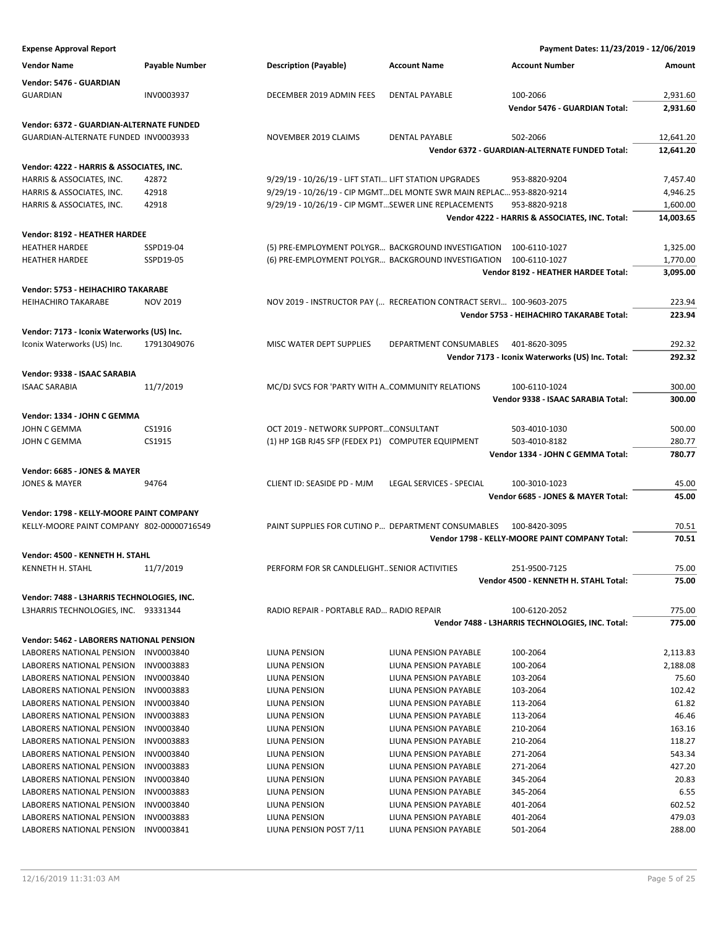| <b>Expense Approval Report</b>                                                        |                          |                                                                      |                                                | Payment Dates: 11/23/2019 - 12/06/2019           |                 |
|---------------------------------------------------------------------------------------|--------------------------|----------------------------------------------------------------------|------------------------------------------------|--------------------------------------------------|-----------------|
| <b>Vendor Name</b>                                                                    | <b>Payable Number</b>    | <b>Description (Payable)</b>                                         | <b>Account Name</b>                            | <b>Account Number</b>                            | Amount          |
| Vendor: 5476 - GUARDIAN                                                               |                          |                                                                      |                                                |                                                  |                 |
| <b>GUARDIAN</b>                                                                       | INV0003937               | DECEMBER 2019 ADMIN FEES                                             | <b>DENTAL PAYABLE</b>                          | 100-2066                                         | 2,931.60        |
|                                                                                       |                          |                                                                      |                                                | <b>Vendor 5476 - GUARDIAN Total:</b>             | 2,931.60        |
| <b>Vendor: 6372 - GUARDIAN-ALTERNATE FUNDED</b>                                       |                          |                                                                      |                                                |                                                  |                 |
| GUARDIAN-ALTERNATE FUNDED INV0003933                                                  |                          | NOVEMBER 2019 CLAIMS                                                 | DENTAL PAYABLE                                 | 502-2066                                         | 12,641.20       |
|                                                                                       |                          |                                                                      |                                                | Vendor 6372 - GUARDIAN-ALTERNATE FUNDED Total:   | 12,641.20       |
| Vendor: 4222 - HARRIS & ASSOCIATES, INC.                                              |                          |                                                                      |                                                |                                                  |                 |
| HARRIS & ASSOCIATES, INC.                                                             | 42872                    | 9/29/19 - 10/26/19 - LIFT STATI LIFT STATION UPGRADES                |                                                | 953-8820-9204                                    | 7,457.40        |
| HARRIS & ASSOCIATES, INC.                                                             | 42918                    | 9/29/19 - 10/26/19 - CIP MGMTDEL MONTE SWR MAIN REPLAC 953-8820-9214 |                                                |                                                  | 4,946.25        |
| HARRIS & ASSOCIATES, INC.                                                             | 42918                    | 9/29/19 - 10/26/19 - CIP MGMTSEWER LINE REPLACEMENTS                 |                                                | 953-8820-9218                                    | 1,600.00        |
|                                                                                       |                          |                                                                      |                                                | Vendor 4222 - HARRIS & ASSOCIATES, INC. Total:   | 14,003.65       |
| Vendor: 8192 - HEATHER HARDEE                                                         |                          |                                                                      |                                                |                                                  |                 |
| <b>HEATHER HARDEE</b>                                                                 | SSPD19-04                | (5) PRE-EMPLOYMENT POLYGR BACKGROUND INVESTIGATION 100-6110-1027     |                                                |                                                  | 1,325.00        |
| <b>HEATHER HARDEE</b>                                                                 | SSPD19-05                | (6) PRE-EMPLOYMENT POLYGR BACKGROUND INVESTIGATION 100-6110-1027     |                                                |                                                  | 1,770.00        |
|                                                                                       |                          |                                                                      |                                                | Vendor 8192 - HEATHER HARDEE Total:              | 3,095.00        |
| Vendor: 5753 - HEIHACHIRO TAKARABE                                                    |                          |                                                                      |                                                |                                                  |                 |
| <b>HEIHACHIRO TAKARABE</b>                                                            | <b>NOV 2019</b>          | NOV 2019 - INSTRUCTOR PAY ( RECREATION CONTRACT SERVI 100-9603-2075  |                                                |                                                  | 223.94          |
|                                                                                       |                          |                                                                      |                                                | Vendor 5753 - HEIHACHIRO TAKARABE Total:         | 223.94          |
| Vendor: 7173 - Iconix Waterworks (US) Inc.                                            |                          |                                                                      |                                                |                                                  |                 |
| Iconix Waterworks (US) Inc.                                                           | 17913049076              | MISC WATER DEPT SUPPLIES                                             | DEPARTMENT CONSUMABLES                         | 401-8620-3095                                    | 292.32          |
|                                                                                       |                          |                                                                      |                                                | Vendor 7173 - Iconix Waterworks (US) Inc. Total: | 292.32          |
| Vendor: 9338 - ISAAC SARABIA                                                          |                          |                                                                      |                                                |                                                  |                 |
| <b>ISAAC SARABIA</b>                                                                  | 11/7/2019                | MC/DJ SVCS FOR 'PARTY WITH ACOMMUNITY RELATIONS                      |                                                | 100-6110-1024                                    | 300.00          |
|                                                                                       |                          |                                                                      |                                                | Vendor 9338 - ISAAC SARABIA Total:               | 300.00          |
| Vendor: 1334 - JOHN C GEMMA                                                           |                          |                                                                      |                                                |                                                  |                 |
| JOHN C GEMMA                                                                          | CS1916                   | OCT 2019 - NETWORK SUPPORTCONSULTANT                                 |                                                | 503-4010-1030                                    | 500.00          |
| JOHN C GEMMA                                                                          | CS1915                   | (1) HP 1GB RJ45 SFP (FEDEX P1) COMPUTER EQUIPMENT                    |                                                | 503-4010-8182                                    | 280.77          |
|                                                                                       |                          |                                                                      |                                                | Vendor 1334 - JOHN C GEMMA Total:                | 780.77          |
| Vendor: 6685 - JONES & MAYER                                                          |                          |                                                                      |                                                |                                                  |                 |
| <b>JONES &amp; MAYER</b>                                                              | 94764                    | CLIENT ID: SEASIDE PD - MJM                                          | LEGAL SERVICES - SPECIAL                       | 100-3010-1023                                    | 45.00           |
|                                                                                       |                          |                                                                      |                                                | Vendor 6685 - JONES & MAYER Total:               | 45.00           |
|                                                                                       |                          |                                                                      |                                                |                                                  |                 |
| Vendor: 1798 - KELLY-MOORE PAINT COMPANY<br>KELLY-MOORE PAINT COMPANY 802-00000716549 |                          | PAINT SUPPLIES FOR CUTINO P DEPARTMENT CONSUMABLES                   |                                                | 100-8420-3095                                    | 70.51           |
|                                                                                       |                          |                                                                      |                                                | Vendor 1798 - KELLY-MOORE PAINT COMPANY Total:   | 70.51           |
|                                                                                       |                          |                                                                      |                                                |                                                  |                 |
| Vendor: 4500 - KENNETH H. STAHL                                                       |                          |                                                                      |                                                |                                                  |                 |
| KENNETH H. STAHL                                                                      | 11/7/2019                | PERFORM FOR SR CANDLELIGHT SENIOR ACTIVITIES                         |                                                | 251-9500-7125                                    | 75.00           |
|                                                                                       |                          |                                                                      |                                                | Vendor 4500 - KENNETH H. STAHL Total:            | 75.00           |
| Vendor: 7488 - L3HARRIS TECHNOLOGIES, INC.                                            |                          |                                                                      |                                                |                                                  |                 |
| L3HARRIS TECHNOLOGIES, INC. 93331344                                                  |                          | RADIO REPAIR - PORTABLE RAD RADIO REPAIR                             |                                                | 100-6120-2052                                    | 775.00          |
|                                                                                       |                          |                                                                      |                                                | Vendor 7488 - L3HARRIS TECHNOLOGIES, INC. Total: | 775.00          |
| Vendor: 5462 - LABORERS NATIONAL PENSION                                              |                          |                                                                      |                                                |                                                  |                 |
| LABORERS NATIONAL PENSION                                                             | INV0003840               | LIUNA PENSION                                                        | LIUNA PENSION PAYABLE                          | 100-2064                                         | 2,113.83        |
| LABORERS NATIONAL PENSION                                                             | INV0003883               | LIUNA PENSION                                                        | LIUNA PENSION PAYABLE                          | 100-2064                                         | 2,188.08        |
| LABORERS NATIONAL PENSION                                                             | INV0003840               | LIUNA PENSION                                                        | LIUNA PENSION PAYABLE                          | 103-2064                                         | 75.60           |
| LABORERS NATIONAL PENSION<br>LABORERS NATIONAL PENSION                                | INV0003883<br>INV0003840 | LIUNA PENSION                                                        | LIUNA PENSION PAYABLE                          | 103-2064                                         | 102.42<br>61.82 |
| LABORERS NATIONAL PENSION                                                             | INV0003883               | LIUNA PENSION<br>LIUNA PENSION                                       | LIUNA PENSION PAYABLE<br>LIUNA PENSION PAYABLE | 113-2064<br>113-2064                             | 46.46           |
| LABORERS NATIONAL PENSION                                                             | INV0003840               | LIUNA PENSION                                                        | LIUNA PENSION PAYABLE                          | 210-2064                                         | 163.16          |
| LABORERS NATIONAL PENSION                                                             | INV0003883               | LIUNA PENSION                                                        | LIUNA PENSION PAYABLE                          | 210-2064                                         | 118.27          |
| LABORERS NATIONAL PENSION                                                             | INV0003840               | LIUNA PENSION                                                        | LIUNA PENSION PAYABLE                          | 271-2064                                         | 543.34          |
| LABORERS NATIONAL PENSION                                                             | INV0003883               | LIUNA PENSION                                                        | LIUNA PENSION PAYABLE                          | 271-2064                                         | 427.20          |
| LABORERS NATIONAL PENSION                                                             | INV0003840               | LIUNA PENSION                                                        | LIUNA PENSION PAYABLE                          | 345-2064                                         | 20.83           |
| LABORERS NATIONAL PENSION                                                             | INV0003883               | LIUNA PENSION                                                        | LIUNA PENSION PAYABLE                          | 345-2064                                         | 6.55            |
| LABORERS NATIONAL PENSION                                                             | INV0003840               | LIUNA PENSION                                                        | LIUNA PENSION PAYABLE                          | 401-2064                                         | 602.52          |
| LABORERS NATIONAL PENSION                                                             | INV0003883               | LIUNA PENSION                                                        | LIUNA PENSION PAYABLE                          | 401-2064                                         | 479.03          |
| LABORERS NATIONAL PENSION                                                             | INV0003841               | LIUNA PENSION POST 7/11                                              | LIUNA PENSION PAYABLE                          | 501-2064                                         | 288.00          |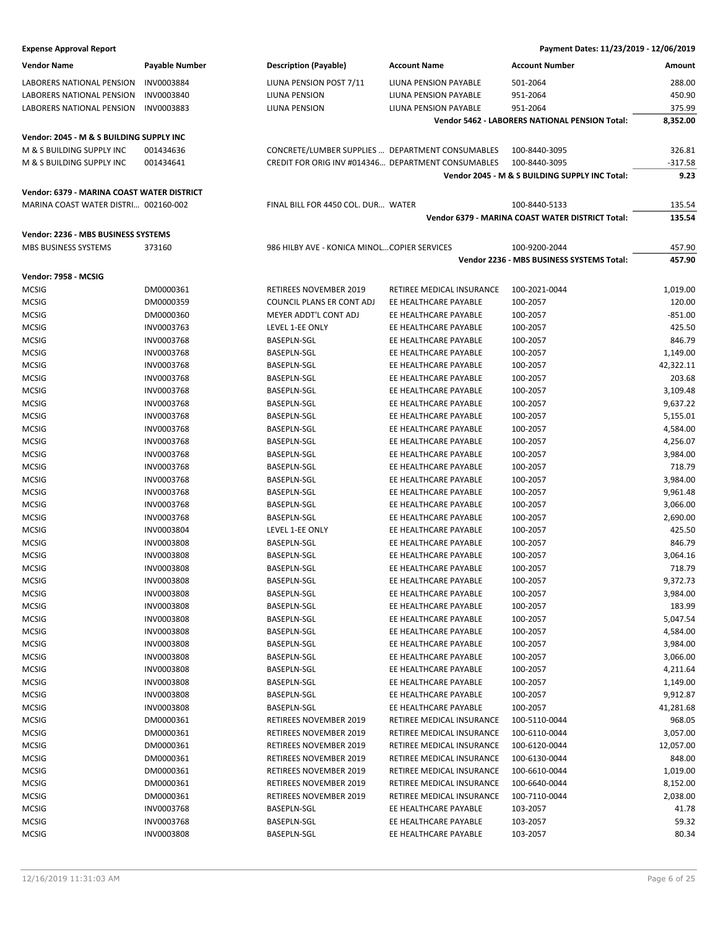| <b>Vendor Name</b>                         | Payable Number    | <b>Description (Payable)</b>                       | <b>Account Name</b>       | <b>Account Number</b>                            | Amount               |
|--------------------------------------------|-------------------|----------------------------------------------------|---------------------------|--------------------------------------------------|----------------------|
| LABORERS NATIONAL PENSION                  | INV0003884        | LIUNA PENSION POST 7/11                            | LIUNA PENSION PAYABLE     | 501-2064                                         | 288.00               |
| LABORERS NATIONAL PENSION                  | INV0003840        | LIUNA PENSION                                      | LIUNA PENSION PAYABLE     | 951-2064                                         | 450.90               |
| LABORERS NATIONAL PENSION                  | INV0003883        | LIUNA PENSION                                      | LIUNA PENSION PAYABLE     | 951-2064                                         | 375.99               |
|                                            |                   |                                                    |                           | Vendor 5462 - LABORERS NATIONAL PENSION Total:   | 8,352.00             |
| Vendor: 2045 - M & S BUILDING SUPPLY INC   |                   |                                                    |                           |                                                  |                      |
| M & S BUILDING SUPPLY INC                  | 001434636         | CONCRETE/LUMBER SUPPLIES  DEPARTMENT CONSUMABLES   |                           | 100-8440-3095                                    | 326.81               |
| M & S BUILDING SUPPLY INC                  | 001434641         | CREDIT FOR ORIG INV #014346 DEPARTMENT CONSUMABLES |                           | 100-8440-3095                                    | $-317.58$            |
|                                            |                   |                                                    |                           | Vendor 2045 - M & S BUILDING SUPPLY INC Total:   | 9.23                 |
| Vendor: 6379 - MARINA COAST WATER DISTRICT |                   |                                                    |                           |                                                  |                      |
| MARINA COAST WATER DISTRI 002160-002       |                   | FINAL BILL FOR 4450 COL. DUR WATER                 |                           | 100-8440-5133                                    | 135.54               |
|                                            |                   |                                                    |                           | Vendor 6379 - MARINA COAST WATER DISTRICT Total: | 135.54               |
|                                            |                   |                                                    |                           |                                                  |                      |
| Vendor: 2236 - MBS BUSINESS SYSTEMS        |                   |                                                    |                           |                                                  |                      |
| MBS BUSINESS SYSTEMS                       | 373160            | 986 HILBY AVE - KONICA MINOLCOPIER SERVICES        |                           | 100-9200-2044                                    | 457.90               |
|                                            |                   |                                                    |                           | Vendor 2236 - MBS BUSINESS SYSTEMS Total:        | 457.90               |
| Vendor: 7958 - MCSIG                       |                   |                                                    |                           |                                                  |                      |
| <b>MCSIG</b>                               | DM0000361         | <b>RETIREES NOVEMBER 2019</b>                      | RETIREE MEDICAL INSURANCE | 100-2021-0044                                    | 1,019.00             |
| <b>MCSIG</b>                               | DM0000359         | COUNCIL PLANS ER CONT ADJ                          | EE HEALTHCARE PAYABLE     | 100-2057                                         | 120.00               |
| <b>MCSIG</b>                               | DM0000360         | <b>MEYER ADDT'L CONT ADJ</b>                       | EE HEALTHCARE PAYABLE     | 100-2057                                         | $-851.00$            |
| <b>MCSIG</b>                               | INV0003763        | LEVEL 1-EE ONLY                                    | EE HEALTHCARE PAYABLE     | 100-2057                                         | 425.50               |
| <b>MCSIG</b>                               | INV0003768        | <b>BASEPLN-SGL</b>                                 | EE HEALTHCARE PAYABLE     | 100-2057                                         | 846.79               |
| <b>MCSIG</b>                               | INV0003768        | <b>BASEPLN-SGL</b>                                 | EE HEALTHCARE PAYABLE     | 100-2057                                         | 1,149.00             |
| <b>MCSIG</b>                               | INV0003768        | <b>BASEPLN-SGL</b>                                 | EE HEALTHCARE PAYABLE     | 100-2057                                         | 42,322.11            |
| <b>MCSIG</b>                               | INV0003768        | <b>BASEPLN-SGL</b>                                 | EE HEALTHCARE PAYABLE     | 100-2057                                         | 203.68               |
| <b>MCSIG</b>                               | INV0003768        | <b>BASEPLN-SGL</b>                                 | EE HEALTHCARE PAYABLE     | 100-2057                                         | 3,109.48             |
| <b>MCSIG</b>                               | INV0003768        | <b>BASEPLN-SGL</b>                                 | EE HEALTHCARE PAYABLE     | 100-2057                                         | 9,637.22             |
| <b>MCSIG</b>                               | INV0003768        | <b>BASEPLN-SGL</b>                                 | EE HEALTHCARE PAYABLE     | 100-2057                                         | 5,155.01             |
| <b>MCSIG</b>                               | INV0003768        | BASEPLN-SGL                                        | EE HEALTHCARE PAYABLE     | 100-2057                                         | 4,584.00             |
| <b>MCSIG</b>                               | INV0003768        | BASEPLN-SGL                                        | EE HEALTHCARE PAYABLE     | 100-2057                                         | 4,256.07             |
| <b>MCSIG</b>                               | INV0003768        | BASEPLN-SGL                                        | EE HEALTHCARE PAYABLE     | 100-2057                                         | 3,984.00             |
| <b>MCSIG</b>                               | INV0003768        | <b>BASEPLN-SGL</b>                                 | EE HEALTHCARE PAYABLE     | 100-2057                                         | 718.79               |
| <b>MCSIG</b>                               | INV0003768        | <b>BASEPLN-SGL</b>                                 | EE HEALTHCARE PAYABLE     | 100-2057                                         | 3,984.00             |
| <b>MCSIG</b>                               | INV0003768        | <b>BASEPLN-SGL</b>                                 | EE HEALTHCARE PAYABLE     | 100-2057                                         | 9,961.48             |
| <b>MCSIG</b>                               | INV0003768        | BASEPLN-SGL                                        | EE HEALTHCARE PAYABLE     | 100-2057                                         | 3,066.00             |
| <b>MCSIG</b>                               | INV0003768        | BASEPLN-SGL                                        | EE HEALTHCARE PAYABLE     | 100-2057                                         | 2,690.00             |
| <b>MCSIG</b>                               | INV0003804        | LEVEL 1-EE ONLY                                    | EE HEALTHCARE PAYABLE     | 100-2057                                         | 425.50               |
| <b>MCSIG</b>                               | INV0003808        | <b>BASEPLN-SGL</b>                                 | EE HEALTHCARE PAYABLE     | 100-2057                                         | 846.79               |
| <b>MCSIG</b>                               | INV0003808        | <b>BASEPLN-SGL</b>                                 | EE HEALTHCARE PAYABLE     | 100-2057                                         | 3,064.16             |
| <b>MCSIG</b>                               | <b>INV0003808</b> | BASEPLN-SGL                                        | EE HEALTHCARE PAYABLE     | 100-2057                                         | 718.79               |
| <b>MCSIG</b>                               | INV0003808        | <b>BASEPLN-SGL</b>                                 | EE HEALTHCARE PAYABLE     | 100-2057                                         | 9,372.73             |
| <b>MCSIG</b>                               | INV0003808        | BASEPLN-SGL                                        | EE HEALTHCARE PAYABLE     | 100-2057                                         | 3,984.00             |
| <b>MCSIG</b>                               | INV0003808        | <b>BASEPLN-SGL</b>                                 | EE HEALTHCARE PAYABLE     | 100-2057                                         | 183.99               |
| <b>MCSIG</b>                               | INV0003808        | BASEPLN-SGL                                        | EE HEALTHCARE PAYABLE     | 100-2057                                         | 5,047.54             |
| <b>MCSIG</b>                               | <b>INV0003808</b> | BASEPLN-SGL                                        | EE HEALTHCARE PAYABLE     | 100-2057                                         | 4,584.00             |
| <b>MCSIG</b>                               | <b>INV0003808</b> | <b>BASEPLN-SGL</b>                                 | EE HEALTHCARE PAYABLE     | 100-2057                                         |                      |
|                                            |                   | <b>BASEPLN-SGL</b>                                 |                           |                                                  | 3,984.00<br>3,066.00 |
| <b>MCSIG</b>                               | INV0003808        |                                                    | EE HEALTHCARE PAYABLE     | 100-2057                                         |                      |
| <b>MCSIG</b>                               | INV0003808        | <b>BASEPLN-SGL</b>                                 | EE HEALTHCARE PAYABLE     | 100-2057                                         | 4,211.64             |
| <b>MCSIG</b>                               | <b>INV0003808</b> | BASEPLN-SGL                                        | EE HEALTHCARE PAYABLE     | 100-2057                                         | 1,149.00             |
| <b>MCSIG</b>                               | <b>INV0003808</b> | BASEPLN-SGL                                        | EE HEALTHCARE PAYABLE     | 100-2057                                         | 9,912.87             |
| <b>MCSIG</b>                               | <b>INV0003808</b> | <b>BASEPLN-SGL</b>                                 | EE HEALTHCARE PAYABLE     | 100-2057                                         | 41,281.68            |
| <b>MCSIG</b>                               | DM0000361         | RETIREES NOVEMBER 2019                             | RETIREE MEDICAL INSURANCE | 100-5110-0044                                    | 968.05               |
| <b>MCSIG</b>                               | DM0000361         | RETIREES NOVEMBER 2019                             | RETIREE MEDICAL INSURANCE | 100-6110-0044                                    | 3,057.00             |
| <b>MCSIG</b>                               | DM0000361         | RETIREES NOVEMBER 2019                             | RETIREE MEDICAL INSURANCE | 100-6120-0044                                    | 12,057.00            |
| <b>MCSIG</b>                               | DM0000361         | RETIREES NOVEMBER 2019                             | RETIREE MEDICAL INSURANCE | 100-6130-0044                                    | 848.00               |
| <b>MCSIG</b>                               | DM0000361         | RETIREES NOVEMBER 2019                             | RETIREE MEDICAL INSURANCE | 100-6610-0044                                    | 1,019.00             |
| <b>MCSIG</b>                               | DM0000361         | RETIREES NOVEMBER 2019                             | RETIREE MEDICAL INSURANCE | 100-6640-0044                                    | 8,152.00             |
| <b>MCSIG</b>                               | DM0000361         | <b>RETIREES NOVEMBER 2019</b>                      | RETIREE MEDICAL INSURANCE | 100-7110-0044                                    | 2,038.00             |
| <b>MCSIG</b>                               | INV0003768        | BASEPLN-SGL                                        | EE HEALTHCARE PAYABLE     | 103-2057                                         | 41.78                |
| <b>MCSIG</b>                               | INV0003768        | BASEPLN-SGL                                        | EE HEALTHCARE PAYABLE     | 103-2057                                         | 59.32                |
| <b>MCSIG</b>                               | INV0003808        | BASEPLN-SGL                                        | EE HEALTHCARE PAYABLE     | 103-2057                                         | 80.34                |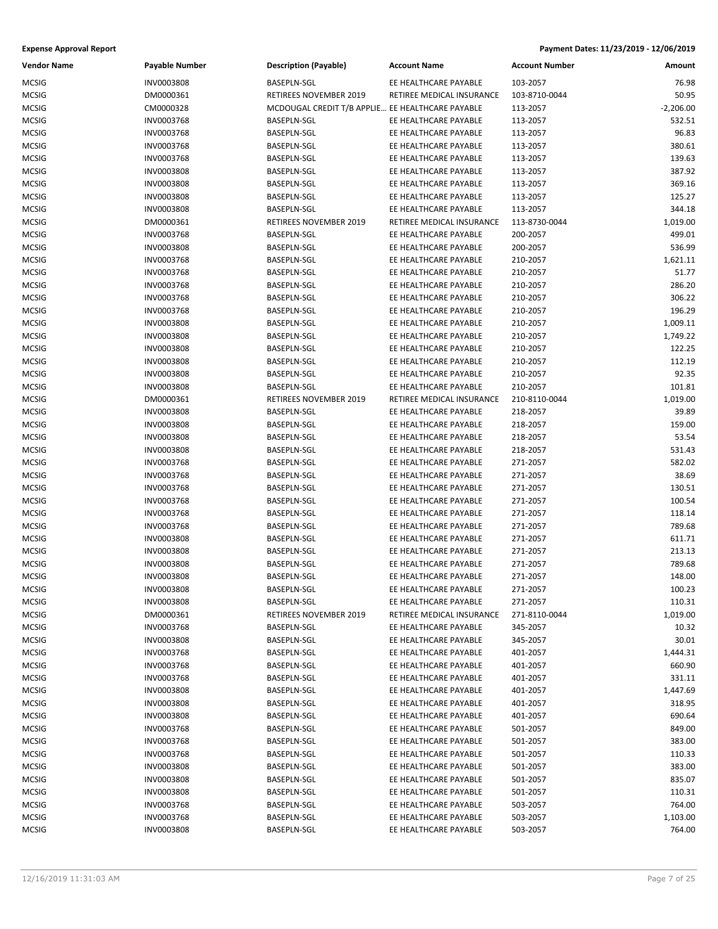| <b>Vendor Name</b> | <b>Payable Number</b> | <b>Description (Payable)</b>                     | <b>Account Name</b>       | <b>Account Number</b> | Amount      |
|--------------------|-----------------------|--------------------------------------------------|---------------------------|-----------------------|-------------|
| <b>MCSIG</b>       | INV0003808            | <b>BASEPLN-SGL</b>                               | EE HEALTHCARE PAYABLE     | 103-2057              | 76.98       |
| <b>MCSIG</b>       | DM0000361             | RETIREES NOVEMBER 2019                           | RETIREE MEDICAL INSURANCE | 103-8710-0044         | 50.95       |
| <b>MCSIG</b>       | CM0000328             | MCDOUGAL CREDIT T/B APPLIE EE HEALTHCARE PAYABLE |                           | 113-2057              | $-2,206.00$ |
| <b>MCSIG</b>       | INV0003768            | BASEPLN-SGL                                      | EE HEALTHCARE PAYABLE     | 113-2057              | 532.51      |
| <b>MCSIG</b>       | INV0003768            | BASEPLN-SGL                                      | EE HEALTHCARE PAYABLE     | 113-2057              | 96.83       |
| <b>MCSIG</b>       | INV0003768            | BASEPLN-SGL                                      | EE HEALTHCARE PAYABLE     | 113-2057              | 380.61      |
| <b>MCSIG</b>       | INV0003768            | BASEPLN-SGL                                      | EE HEALTHCARE PAYABLE     | 113-2057              | 139.63      |
| MCSIG              | INV0003808            | BASEPLN-SGL                                      | EE HEALTHCARE PAYABLE     | 113-2057              | 387.92      |
| <b>MCSIG</b>       | INV0003808            | BASEPLN-SGL                                      | EE HEALTHCARE PAYABLE     | 113-2057              | 369.16      |
| <b>MCSIG</b>       | INV0003808            | BASEPLN-SGL                                      | EE HEALTHCARE PAYABLE     | 113-2057              | 125.27      |
| <b>MCSIG</b>       | INV0003808            | BASEPLN-SGL                                      | EE HEALTHCARE PAYABLE     | 113-2057              | 344.18      |
| <b>MCSIG</b>       | DM0000361             | RETIREES NOVEMBER 2019                           | RETIREE MEDICAL INSURANCE | 113-8730-0044         | 1,019.00    |
| MCSIG              | INV0003768            | BASEPLN-SGL                                      | EE HEALTHCARE PAYABLE     | 200-2057              | 499.01      |
| <b>MCSIG</b>       | INV0003808            | BASEPLN-SGL                                      | EE HEALTHCARE PAYABLE     | 200-2057              | 536.99      |
| <b>MCSIG</b>       | INV0003768            | BASEPLN-SGL                                      | EE HEALTHCARE PAYABLE     | 210-2057              | 1,621.11    |
| <b>MCSIG</b>       | INV0003768            | BASEPLN-SGL                                      | EE HEALTHCARE PAYABLE     | 210-2057              | 51.77       |
| <b>MCSIG</b>       | INV0003768            | BASEPLN-SGL                                      | EE HEALTHCARE PAYABLE     | 210-2057              | 286.20      |
| MCSIG              | INV0003768            | <b>BASEPLN-SGL</b>                               | EE HEALTHCARE PAYABLE     | 210-2057              | 306.22      |
| <b>MCSIG</b>       | INV0003768            | BASEPLN-SGL                                      | EE HEALTHCARE PAYABLE     | 210-2057              | 196.29      |
| <b>MCSIG</b>       | INV0003808            | BASEPLN-SGL                                      | EE HEALTHCARE PAYABLE     | 210-2057              | 1,009.11    |
| <b>MCSIG</b>       | INV0003808            | BASEPLN-SGL                                      | EE HEALTHCARE PAYABLE     | 210-2057              | 1,749.22    |
| <b>MCSIG</b>       | INV0003808            | BASEPLN-SGL                                      | EE HEALTHCARE PAYABLE     | 210-2057              | 122.25      |
| MCSIG              | INV0003808            | BASEPLN-SGL                                      | EE HEALTHCARE PAYABLE     | 210-2057              | 112.19      |
| <b>MCSIG</b>       | INV0003808            | <b>BASEPLN-SGL</b>                               | EE HEALTHCARE PAYABLE     | 210-2057              | 92.35       |
| <b>MCSIG</b>       | INV0003808            | BASEPLN-SGL                                      | EE HEALTHCARE PAYABLE     | 210-2057              | 101.81      |
| <b>MCSIG</b>       | DM0000361             | RETIREES NOVEMBER 2019                           | RETIREE MEDICAL INSURANCE | 210-8110-0044         | 1,019.00    |
| <b>MCSIG</b>       | INV0003808            | BASEPLN-SGL                                      | EE HEALTHCARE PAYABLE     | 218-2057              | 39.89       |
| MCSIG              | INV0003808            | BASEPLN-SGL                                      | EE HEALTHCARE PAYABLE     | 218-2057              | 159.00      |
| <b>MCSIG</b>       | INV0003808            | BASEPLN-SGL                                      | EE HEALTHCARE PAYABLE     | 218-2057              | 53.54       |
| <b>MCSIG</b>       | INV0003808            | BASEPLN-SGL                                      | EE HEALTHCARE PAYABLE     | 218-2057              | 531.43      |
| <b>MCSIG</b>       | INV0003768            | BASEPLN-SGL                                      | EE HEALTHCARE PAYABLE     | 271-2057              | 582.02      |
| <b>MCSIG</b>       | INV0003768            | BASEPLN-SGL                                      | EE HEALTHCARE PAYABLE     | 271-2057              | 38.69       |
| MCSIG              | INV0003768            | BASEPLN-SGL                                      | EE HEALTHCARE PAYABLE     | 271-2057              | 130.51      |
| <b>MCSIG</b>       | INV0003768            | BASEPLN-SGL                                      | EE HEALTHCARE PAYABLE     | 271-2057              | 100.54      |
| <b>MCSIG</b>       | INV0003768            | BASEPLN-SGL                                      | EE HEALTHCARE PAYABLE     | 271-2057              | 118.14      |
| MCSIG              | INV0003768            | BASEPLN-SGL                                      | EE HEALTHCARE PAYABLE     | 271-2057              | 789.68      |
| <b>MCSIG</b>       | INV0003808            | BASEPLN-SGL                                      | EE HEALTHCARE PAYABLE     | 271-2057              | 611.71      |
| <b>MCSIG</b>       | INV0003808            | BASEPLN-SGL                                      | EE HEALTHCARE PAYABLE     | 271-2057              | 213.13      |
| <b>MCSIG</b>       | INV0003808            | <b>BASEPLN-SGL</b>                               | EE HEALTHCARE PAYABLE     | 271-2057              | 789.68      |
| <b>MCSIG</b>       | INV0003808            | <b>BASEPLN-SGL</b>                               | EE HEALTHCARE PAYABLE     | 271-2057              | 148.00      |
| MCSIG              | INV0003808            | BASEPLN-SGL                                      | EE HEALTHCARE PAYABLE     | 271-2057              | 100.23      |
| MCSIG              | INV0003808            | BASEPLN-SGL                                      | EE HEALTHCARE PAYABLE     | 271-2057              | 110.31      |
| <b>MCSIG</b>       | DM0000361             | RETIREES NOVEMBER 2019                           | RETIREE MEDICAL INSURANCE | 271-8110-0044         | 1,019.00    |
| <b>MCSIG</b>       | INV0003768            | BASEPLN-SGL                                      | EE HEALTHCARE PAYABLE     | 345-2057              | 10.32       |
| MCSIG              | INV0003808            | BASEPLN-SGL                                      | EE HEALTHCARE PAYABLE     | 345-2057              | 30.01       |
| MCSIG              | INV0003768            | BASEPLN-SGL                                      | EE HEALTHCARE PAYABLE     | 401-2057              | 1,444.31    |
| <b>MCSIG</b>       | INV0003768            | BASEPLN-SGL                                      | EE HEALTHCARE PAYABLE     | 401-2057              | 660.90      |
| <b>MCSIG</b>       | INV0003768            | BASEPLN-SGL                                      | EE HEALTHCARE PAYABLE     | 401-2057              | 331.11      |
| <b>MCSIG</b>       | INV0003808            | <b>BASEPLN-SGL</b>                               | EE HEALTHCARE PAYABLE     | 401-2057              | 1,447.69    |
| MCSIG              | INV0003808            | BASEPLN-SGL                                      | EE HEALTHCARE PAYABLE     | 401-2057              | 318.95      |
| <b>MCSIG</b>       | INV0003808            | BASEPLN-SGL                                      | EE HEALTHCARE PAYABLE     | 401-2057              | 690.64      |
| <b>MCSIG</b>       | INV0003768            | BASEPLN-SGL                                      | EE HEALTHCARE PAYABLE     | 501-2057              | 849.00      |
| <b>MCSIG</b>       | INV0003768            | BASEPLN-SGL                                      | EE HEALTHCARE PAYABLE     | 501-2057              | 383.00      |
| <b>MCSIG</b>       | INV0003768            | BASEPLN-SGL                                      | EE HEALTHCARE PAYABLE     | 501-2057              | 110.33      |
| MCSIG              | INV0003808            | BASEPLN-SGL                                      | EE HEALTHCARE PAYABLE     | 501-2057              | 383.00      |
| MCSIG              | INV0003808            | BASEPLN-SGL                                      | EE HEALTHCARE PAYABLE     | 501-2057              | 835.07      |
| <b>MCSIG</b>       | INV0003808            | BASEPLN-SGL                                      | EE HEALTHCARE PAYABLE     | 501-2057              | 110.31      |
| MCSIG              | INV0003768            | BASEPLN-SGL                                      | EE HEALTHCARE PAYABLE     | 503-2057              | 764.00      |
| MCSIG              | INV0003768            | BASEPLN-SGL                                      | EE HEALTHCARE PAYABLE     | 503-2057              | 1,103.00    |
| <b>MCSIG</b>       | INV0003808            | BASEPLN-SGL                                      | EE HEALTHCARE PAYABLE     | 503-2057              | 764.00      |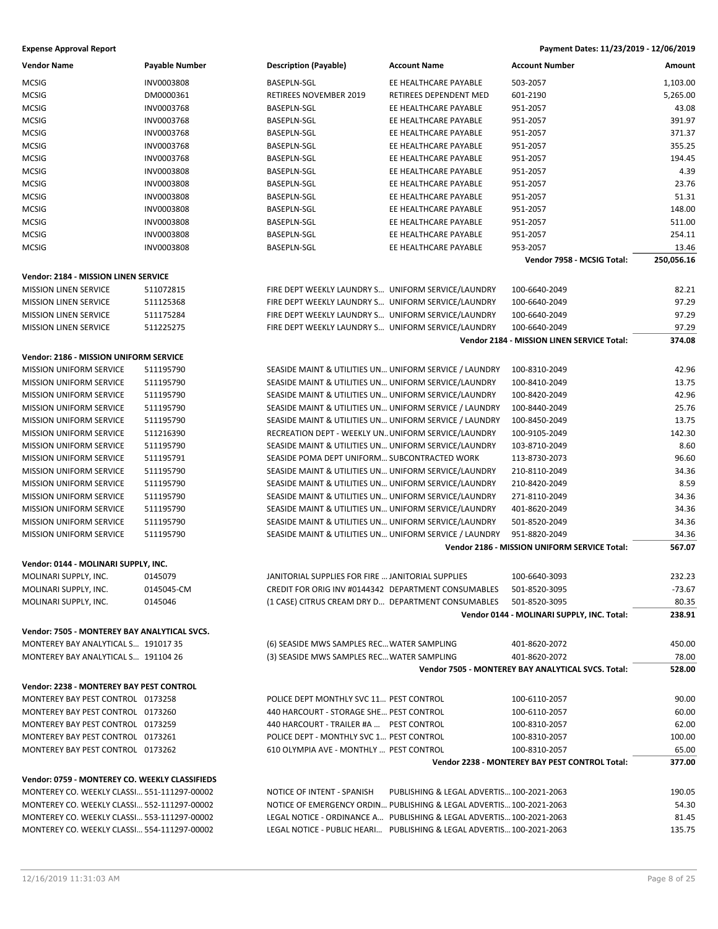| Vendor Name                                    | <b>Payable Number</b> | <b>Description (Payable)</b>                           | <b>Account Name</b>                                                   | <b>Account Number</b>                                         | Amount          |
|------------------------------------------------|-----------------------|--------------------------------------------------------|-----------------------------------------------------------------------|---------------------------------------------------------------|-----------------|
| MCSIG                                          | INV0003808            | <b>BASEPLN-SGL</b>                                     | EE HEALTHCARE PAYABLE                                                 | 503-2057                                                      | 1,103.00        |
| MCSIG                                          | DM0000361             | RETIREES NOVEMBER 2019                                 | RETIREES DEPENDENT MED                                                | 601-2190                                                      | 5,265.00        |
| MCSIG                                          | INV0003768            | <b>BASEPLN-SGL</b>                                     | EE HEALTHCARE PAYABLE                                                 | 951-2057                                                      | 43.08           |
| MCSIG                                          | INV0003768            | <b>BASEPLN-SGL</b>                                     | EE HEALTHCARE PAYABLE                                                 | 951-2057                                                      | 391.97          |
| MCSIG                                          | INV0003768            | BASEPLN-SGL                                            | EE HEALTHCARE PAYABLE                                                 | 951-2057                                                      | 371.37          |
| MCSIG                                          | INV0003768            | BASEPLN-SGL                                            | EE HEALTHCARE PAYABLE                                                 | 951-2057                                                      | 355.25          |
| MCSIG                                          | <b>INV0003768</b>     | BASEPLN-SGL                                            | EE HEALTHCARE PAYABLE                                                 | 951-2057                                                      | 194.45          |
| MCSIG                                          | <b>INV0003808</b>     | <b>BASEPLN-SGL</b>                                     | EE HEALTHCARE PAYABLE                                                 | 951-2057                                                      | 4.39            |
| MCSIG                                          | INV0003808            | <b>BASEPLN-SGL</b>                                     | EE HEALTHCARE PAYABLE                                                 | 951-2057                                                      | 23.76           |
| MCSIG                                          | INV0003808            | BASEPLN-SGL                                            | EE HEALTHCARE PAYABLE                                                 | 951-2057                                                      | 51.31           |
| MCSIG                                          | INV0003808            | BASEPLN-SGL                                            | EE HEALTHCARE PAYABLE                                                 | 951-2057                                                      | 148.00          |
| MCSIG                                          | <b>INV0003808</b>     | BASEPLN-SGL                                            | EE HEALTHCARE PAYABLE                                                 | 951-2057                                                      | 511.00          |
| MCSIG                                          | INV0003808            | BASEPLN-SGL                                            | EE HEALTHCARE PAYABLE                                                 | 951-2057                                                      | 254.11          |
| MCSIG                                          | INV0003808            | <b>BASEPLN-SGL</b>                                     | EE HEALTHCARE PAYABLE                                                 | 953-2057                                                      | 13.46           |
|                                                |                       |                                                        |                                                                       | Vendor 7958 - MCSIG Total:                                    | 250,056.16      |
| Vendor: 2184 - MISSION LINEN SERVICE           |                       |                                                        |                                                                       |                                                               |                 |
| <b>MISSION LINEN SERVICE</b>                   | 511072815             | FIRE DEPT WEEKLY LAUNDRY S UNIFORM SERVICE/LAUNDRY     |                                                                       | 100-6640-2049                                                 | 82.21           |
| <b>MISSION LINEN SERVICE</b>                   | 511125368             | FIRE DEPT WEEKLY LAUNDRY S UNIFORM SERVICE/LAUNDRY     |                                                                       | 100-6640-2049                                                 | 97.29           |
| <b>MISSION LINEN SERVICE</b>                   | 511175284             | FIRE DEPT WEEKLY LAUNDRY S UNIFORM SERVICE/LAUNDRY     |                                                                       | 100-6640-2049                                                 | 97.29           |
| <b>MISSION LINEN SERVICE</b>                   | 511225275             | FIRE DEPT WEEKLY LAUNDRY S UNIFORM SERVICE/LAUNDRY     |                                                                       | 100-6640-2049                                                 | 97.29           |
|                                                |                       |                                                        |                                                                       | Vendor 2184 - MISSION LINEN SERVICE Total:                    | 374.08          |
| Vendor: 2186 - MISSION UNIFORM SERVICE         |                       |                                                        |                                                                       |                                                               |                 |
| <b>MISSION UNIFORM SERVICE</b>                 |                       | SEASIDE MAINT & UTILITIES UN UNIFORM SERVICE / LAUNDRY |                                                                       |                                                               |                 |
|                                                | 511195790             |                                                        |                                                                       | 100-8310-2049                                                 | 42.96           |
| MISSION UNIFORM SERVICE                        | 511195790             | SEASIDE MAINT & UTILITIES UN UNIFORM SERVICE/LAUNDRY   |                                                                       | 100-8410-2049                                                 | 13.75           |
| <b>MISSION UNIFORM SERVICE</b>                 | 511195790             | SEASIDE MAINT & UTILITIES UN UNIFORM SERVICE/LAUNDRY   |                                                                       | 100-8420-2049                                                 | 42.96           |
| <b>MISSION UNIFORM SERVICE</b>                 | 511195790             | SEASIDE MAINT & UTILITIES UN UNIFORM SERVICE / LAUNDRY |                                                                       | 100-8440-2049                                                 | 25.76<br>13.75  |
| <b>MISSION UNIFORM SERVICE</b>                 | 511195790             | SEASIDE MAINT & UTILITIES UN UNIFORM SERVICE / LAUNDRY |                                                                       | 100-8450-2049                                                 |                 |
| MISSION UNIFORM SERVICE                        | 511216390             | RECREATION DEPT - WEEKLY UN UNIFORM SERVICE/LAUNDRY    |                                                                       | 100-9105-2049                                                 | 142.30          |
| <b>MISSION UNIFORM SERVICE</b>                 | 511195790             | SEASIDE MAINT & UTILITIES UN UNIFORM SERVICE/LAUNDRY   |                                                                       | 103-8710-2049                                                 | 8.60            |
| <b>MISSION UNIFORM SERVICE</b>                 | 511195791             | SEASIDE POMA DEPT UNIFORM SUBCONTRACTED WORK           |                                                                       | 113-8730-2073                                                 | 96.60           |
| <b>MISSION UNIFORM SERVICE</b>                 | 511195790             | SEASIDE MAINT & UTILITIES UN UNIFORM SERVICE/LAUNDRY   |                                                                       | 210-8110-2049                                                 | 34.36           |
| <b>MISSION UNIFORM SERVICE</b>                 | 511195790             | SEASIDE MAINT & UTILITIES UN UNIFORM SERVICE/LAUNDRY   |                                                                       | 210-8420-2049                                                 | 8.59            |
| MISSION UNIFORM SERVICE                        | 511195790             | SEASIDE MAINT & UTILITIES UN UNIFORM SERVICE/LAUNDRY   |                                                                       | 271-8110-2049                                                 | 34.36           |
| MISSION UNIFORM SERVICE                        | 511195790             | SEASIDE MAINT & UTILITIES UN UNIFORM SERVICE/LAUNDRY   |                                                                       | 401-8620-2049                                                 | 34.36           |
| <b>MISSION UNIFORM SERVICE</b>                 | 511195790             | SEASIDE MAINT & UTILITIES UN UNIFORM SERVICE/LAUNDRY   |                                                                       | 501-8520-2049                                                 | 34.36           |
| <b>MISSION UNIFORM SERVICE</b>                 | 511195790             | SEASIDE MAINT & UTILITIES UN UNIFORM SERVICE / LAUNDRY |                                                                       | 951-8820-2049<br>Vendor 2186 - MISSION UNIFORM SERVICE Total: | 34.36<br>567.07 |
|                                                |                       |                                                        |                                                                       |                                                               |                 |
| Vendor: 0144 - MOLINARI SUPPLY, INC.           |                       |                                                        |                                                                       |                                                               |                 |
| MOLINARI SUPPLY, INC.                          | 0145079               | JANITORIAL SUPPLIES FOR FIRE  JANITORIAL SUPPLIES      |                                                                       | 100-6640-3093                                                 | 232.23          |
| MOLINARI SUPPLY, INC.                          | 0145045-CM            |                                                        | CREDIT FOR ORIG INV #0144342 DEPARTMENT CONSUMABLES 501-8520-3095     |                                                               | $-73.67$        |
| MOLINARI SUPPLY, INC.                          | 0145046               | (1 CASE) CITRUS CREAM DRY D DEPARTMENT CONSUMABLES     |                                                                       | 501-8520-3095                                                 | 80.35           |
|                                                |                       |                                                        |                                                                       | Vendor 0144 - MOLINARI SUPPLY, INC. Total:                    | 238.91          |
| Vendor: 7505 - MONTEREY BAY ANALYTICAL SVCS.   |                       |                                                        |                                                                       |                                                               |                 |
| MONTEREY BAY ANALYTICAL S 191017 35            |                       | (6) SEASIDE MWS SAMPLES REC WATER SAMPLING             |                                                                       | 401-8620-2072                                                 | 450.00          |
| MONTEREY BAY ANALYTICAL S 191104 26            |                       | (3) SEASIDE MWS SAMPLES REC WATER SAMPLING             |                                                                       | 401-8620-2072                                                 | 78.00           |
|                                                |                       |                                                        |                                                                       | Vendor 7505 - MONTEREY BAY ANALYTICAL SVCS. Total:            | 528.00          |
| Vendor: 2238 - MONTEREY BAY PEST CONTROL       |                       |                                                        |                                                                       |                                                               |                 |
| MONTEREY BAY PEST CONTROL 0173258              |                       | POLICE DEPT MONTHLY SVC 11 PEST CONTROL                |                                                                       | 100-6110-2057                                                 | 90.00           |
| MONTEREY BAY PEST CONTROL 0173260              |                       | 440 HARCOURT - STORAGE SHE PEST CONTROL                |                                                                       | 100-6110-2057                                                 | 60.00           |
| MONTEREY BAY PEST CONTROL 0173259              |                       | 440 HARCOURT - TRAILER #A  PEST CONTROL                |                                                                       | 100-8310-2057                                                 | 62.00           |
| MONTEREY BAY PEST CONTROL 0173261              |                       | POLICE DEPT - MONTHLY SVC 1 PEST CONTROL               |                                                                       | 100-8310-2057                                                 | 100.00          |
| MONTEREY BAY PEST CONTROL 0173262              |                       | 610 OLYMPIA AVE - MONTHLY  PEST CONTROL                |                                                                       | 100-8310-2057                                                 | 65.00           |
|                                                |                       |                                                        |                                                                       | Vendor 2238 - MONTEREY BAY PEST CONTROL Total:                | 377.00          |
| Vendor: 0759 - MONTEREY CO. WEEKLY CLASSIFIEDS |                       |                                                        |                                                                       |                                                               |                 |
| MONTEREY CO. WEEKLY CLASSI 551-111297-00002    |                       | NOTICE OF INTENT - SPANISH                             | PUBLISHING & LEGAL ADVERTIS 100-2021-2063                             |                                                               | 190.05          |
| MONTEREY CO. WEEKLY CLASSI 552-111297-00002    |                       |                                                        | NOTICE OF EMERGENCY ORDIN PUBLISHING & LEGAL ADVERTIS 100-2021-2063   |                                                               | 54.30           |
| MONTEREY CO. WEEKLY CLASSI 553-111297-00002    |                       |                                                        | LEGAL NOTICE - ORDINANCE A PUBLISHING & LEGAL ADVERTIS 100-2021-2063  |                                                               | 81.45           |
| MONTEREY CO. WEEKLY CLASSI 554-111297-00002    |                       |                                                        | LEGAL NOTICE - PUBLIC HEARI PUBLISHING & LEGAL ADVERTIS 100-2021-2063 |                                                               | 135.75          |
|                                                |                       |                                                        |                                                                       |                                                               |                 |
|                                                |                       |                                                        |                                                                       |                                                               |                 |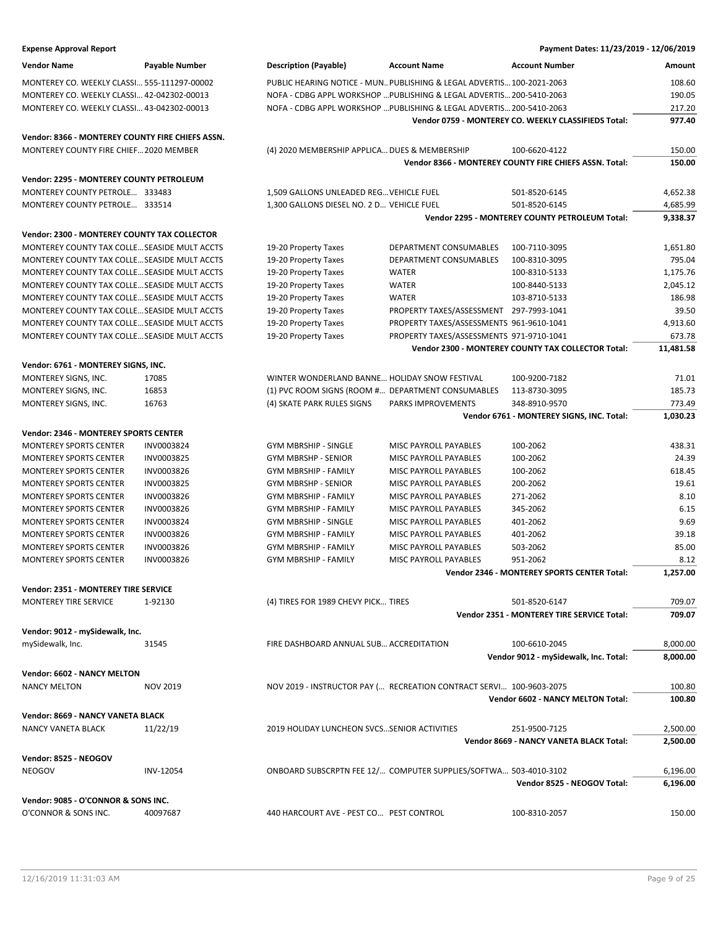# **Expense Approval Report Payment Dates: 11/23/2019 - 12/06/2019 Vendor Name Payable Number Description (Payable) Account Name Account Number Amount** MONTEREY CO. WEEKLY CLASSI… 555-111297-00002 PUBLIC HEARING NOTICE - MUN…PUBLISHING & LEGAL ADVERTIS…100-2021-2063 108.60 MONTEREY CO. WEEKLY CLASSI… 42-042302-00013 NOFA - CDBG APPL WORKSHOP …PUBLISHING & LEGAL ADVERTIS…200-5410-2063 190.05 MONTEREY CO. WEEKLY CLASSI… 43-042302-00013 NOFA - CDBG APPL WORKSHOP …PUBLISHING & LEGAL ADVERTIS…200-5410-2063 217.20 **Vendor 0759 - MONTEREY CO. WEEKLY CLASSIFIEDS Total: 977.40 Vendor: 8366 - MONTEREY COUNTY FIRE CHIEFS ASSN.** MONTEREY COUNTY FIRE CHIEF... 2020 MEMBER (4) 2020 MEMBERSHIP APPLICA... DUES & MEMBERSHIP 100-6620-4122 150.00 **Vendor 8366 - MONTEREY COUNTY FIRE CHIEFS ASSN. Total: 150.00 Vendor: 2295 - MONTEREY COUNTY PETROLEUM** MONTEREY COUNTY PETROLE... 333483 1,509 GALLONS UNLEADED REG... VEHICLE FUEL 501-8520-6145 501-8520-6145 4,652.38 MONTEREY COUNTY PETROLE… 333514 1,300 GALLONS DIESEL NO. 2 D… VEHICLE FUEL 501-8520-6145 4,685.99 **Vendor 2295 - MONTEREY COUNTY PETROLEUM Total: 9,338.37 Vendor: 2300 - MONTEREY COUNTY TAX COLLECTOR** MONTEREY COUNTY TAX COLLE…SEASIDE MULT ACCTS 19-20 Property Taxes DEPARTMENT CONSUMABLES 100-7110-3095 1,651.80 MONTEREY COUNTY TAX COLLE... SEASIDE MULT ACCTS 19-20 Property Taxes DEPARTMENT CONSUMABLES 100-8310-3095 795.04 MONTEREY COUNTY TAX COLLE… SEASIDE MULT ACCTS 19-20 Property Taxes WATER 100-8310-5133 1,175.76 MONTEREY COUNTY TAX COLLE… SEASIDE MULT ACCTS 19-20 Property Taxes WATER 100-8440-5133 2,045.12 MONTEREY COUNTY TAX COLLE… SEASIDE MULT ACCTS 19-20 Property Taxes WATER 103-8710-5133 186.98 MONTEREY COUNTY TAX COLLE…SEASIDE MULT ACCTS 19-20 Property Taxes PROPERTY TAXES/ASSESSMENT 297-7993-1041 39.50 MONTEREY COUNTY TAX COLLE... SEASIDE MULT ACCTS 19-20 Property Taxes PROPERTY TAXES/ASSESSMENTS 961-9610-1041 4,913.60 MONTEREY COUNTY TAX COLLE…SEASIDE MULT ACCTS 19-20 Property Taxes PROPERTY TAXES/ASSESSMENTS 971-9710-1041 673.78 **Vendor 2300 - MONTEREY COUNTY TAX COLLECTOR Total: 11,481.58 Vendor: 6761 - MONTEREY SIGNS, INC.** MONTEREY SIGNS, INC. 17085 TABLEY STRUM AND THE WONDERLAND BANNE... HOLIDAY SNOW FESTIVAL 100-9200-7182 TABLET MONTEREY SIGNS, INC. 16853 185.73 (1) PVC ROOM SIGNS (ROOM #... DEPARTMENT CONSUMABLES 113-8730-3095 185.73 MONTEREY SIGNS, INC. 16763 16763 1990 14) SKATE PARK RULES SIGNS PARKS IMPROVEMENTS 348-8910-9570 16 773.49 **Vendor 6761 - MONTEREY SIGNS, INC. Total: 1,030.23 Vendor: 2346 - MONTEREY SPORTS CENTER** MONTEREY SPORTS CENTER INV0003824 GYM MBRSHIP - SINGLE MISC PAYROLL PAYABLES 100-2062 438.31 MONTEREY SPORTS CENTER INV0003825 GYM MBRSHP - SENIOR MISC PAYROLL PAYABLES 100-2062 24.39 MONTEREY SPORTS CENTER INV0003826 GYM MBRSHIP - FAMILY MISC PAYROLL PAYABLES 100-2062 618.45 MONTEREY SPORTS CENTER INV0003825 GYM MBRSHP - SENIOR MISC PAYROLL PAYABLES 200-2062 19.61 MONTEREY SPORTS CENTER INV0003826 GYM MBRSHIP - FAMILY MISC PAYROLL PAYABLES 271-2062 8.10 MONTEREY SPORTS CENTER INV0003826 GYM MBRSHIP - FAMILY MISC PAYROLL PAYABLES 345-2062 6.15 MONTEREY SPORTS CENTER INV0003824 GYM MBRSHIP - SINGLE MISC PAYROLL PAYABLES 401-2062 9.69 MONTEREY SPORTS CENTER INV0003826 GYM MBRSHIP - FAMILY MISC PAYROLL PAYABLES 401-2062 39.18 MONTEREY SPORTS CENTER INVOOD3826 GYM MBRSHIP - FAMILY MISC PAYROLL PAYABLES 503-2062 85.00 85.00 MONTEREY SPORTS CENTER INV0003826 GYM MBRSHIP - FAMILY MISC PAYROLL PAYABLES 951-2062 8.12 **Vendor 2346 - MONTEREY SPORTS CENTER Total: 1,257.00 Vendor: 2351 - MONTEREY TIRE SERVICE** MONTEREY TIRE SERVICE 1-92130 (4) TIRES FOR 1989 CHEVY PICK... TIRES 501-8520-6147 501-8520-6147 **Vendor 2351 - MONTEREY TIRE SERVICE Total: 709.07 Vendor: 9012 - mySidewalk, Inc.** mySidewalk, Inc. **31545** and 31545 FIRE DASHBOARD ANNUAL SUB... ACCREDITATION 100-6610-2045 8,000.00 **Vendor 9012 - mySidewalk, Inc. Total: 8,000.00 Vendor: 6602 - NANCY MELTON** NANCY MELTON NOV 2019 NOV 2019 NOV 2019 - INSTRUCTOR PAY (... RECREATION CONTRACT SERVI... 100-9603-2075 100.80 **Vendor 6602 - NANCY MELTON Total: 100.80 Vendor: 8669 - NANCY VANETA BLACK** NANCY VANETA BLACK 11/22/19 2019 HOLIDAY LUNCHEON SVCS...SENIOR ACTIVITIES 251-9500-7125 2,500.00 **Vendor 8669 - NANCY VANETA BLACK Total: 2,500.00 Vendor: 8525 - NEOGOV** NEOGOV INV-12054 ONBOARD SUBSCRPTN FEE 12/… COMPUTER SUPPLIES/SOFTWA… 503-4010-3102 6,196.00 **Vendor 8525 - NEOGOV Total: 6,196.00 Vendor: 9085 - O'CONNOR & SONS INC.**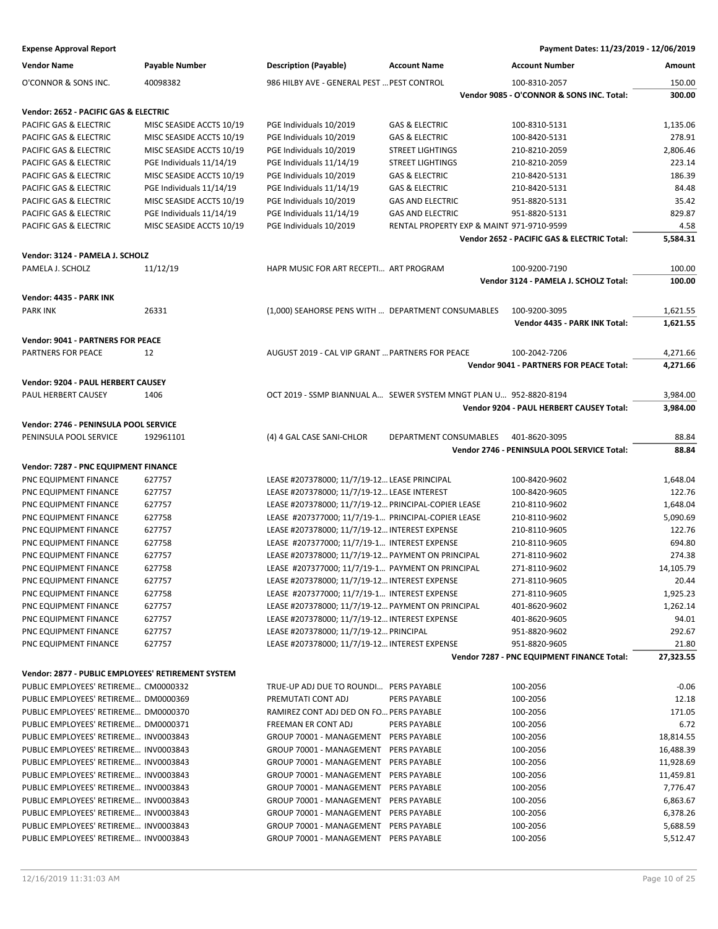| <b>Vendor Name</b>                                 | Payable Number           | <b>Description (Payable)</b>                        | <b>Account Name</b>                                               | <b>Account Number</b>                       | Amount           |
|----------------------------------------------------|--------------------------|-----------------------------------------------------|-------------------------------------------------------------------|---------------------------------------------|------------------|
| O'CONNOR & SONS INC.                               | 40098382                 | 986 HILBY AVE - GENERAL PEST  PEST CONTROL          |                                                                   | 100-8310-2057                               | 150.00           |
|                                                    |                          |                                                     |                                                                   | Vendor 9085 - O'CONNOR & SONS INC. Total:   | 300.00           |
| Vendor: 2652 - PACIFIC GAS & ELECTRIC              |                          |                                                     |                                                                   |                                             |                  |
| PACIFIC GAS & ELECTRIC                             | MISC SEASIDE ACCTS 10/19 | PGE Individuals 10/2019                             | <b>GAS &amp; ELECTRIC</b>                                         | 100-8310-5131                               | 1,135.06         |
| PACIFIC GAS & ELECTRIC                             | MISC SEASIDE ACCTS 10/19 | PGE Individuals 10/2019                             | <b>GAS &amp; ELECTRIC</b>                                         | 100-8420-5131                               | 278.91           |
| PACIFIC GAS & ELECTRIC                             | MISC SEASIDE ACCTS 10/19 | PGE Individuals 10/2019                             | <b>STREET LIGHTINGS</b>                                           | 210-8210-2059                               | 2,806.46         |
| PACIFIC GAS & ELECTRIC                             | PGE Individuals 11/14/19 | PGE Individuals 11/14/19                            | <b>STREET LIGHTINGS</b>                                           | 210-8210-2059                               | 223.14           |
| PACIFIC GAS & ELECTRIC                             | MISC SEASIDE ACCTS 10/19 | PGE Individuals 10/2019                             | <b>GAS &amp; ELECTRIC</b>                                         | 210-8420-5131                               | 186.39           |
| PACIFIC GAS & ELECTRIC                             | PGE Individuals 11/14/19 | PGE Individuals 11/14/19                            | <b>GAS &amp; ELECTRIC</b>                                         | 210-8420-5131                               | 84.48            |
| PACIFIC GAS & ELECTRIC                             | MISC SEASIDE ACCTS 10/19 | PGE Individuals 10/2019                             | <b>GAS AND ELECTRIC</b>                                           | 951-8820-5131                               | 35.42            |
| PACIFIC GAS & ELECTRIC                             | PGE Individuals 11/14/19 | PGE Individuals 11/14/19                            | <b>GAS AND ELECTRIC</b>                                           | 951-8820-5131                               | 829.87           |
|                                                    |                          |                                                     |                                                                   |                                             |                  |
| PACIFIC GAS & ELECTRIC                             | MISC SEASIDE ACCTS 10/19 | PGE Individuals 10/2019                             | RENTAL PROPERTY EXP & MAINT 971-9710-9599                         | Vendor 2652 - PACIFIC GAS & ELECTRIC Total: | 4.58<br>5,584.31 |
|                                                    |                          |                                                     |                                                                   |                                             |                  |
| Vendor: 3124 - PAMELA J. SCHOLZ                    |                          |                                                     |                                                                   |                                             |                  |
| PAMELA J. SCHOLZ                                   | 11/12/19                 | HAPR MUSIC FOR ART RECEPTI ART PROGRAM              |                                                                   | 100-9200-7190                               | 100.00           |
|                                                    |                          |                                                     |                                                                   | Vendor 3124 - PAMELA J. SCHOLZ Total:       | 100.00           |
| Vendor: 4435 - PARK INK                            |                          |                                                     |                                                                   |                                             |                  |
| <b>PARK INK</b>                                    | 26331                    | (1,000) SEAHORSE PENS WITH  DEPARTMENT CONSUMABLES  |                                                                   | 100-9200-3095                               | 1,621.55         |
|                                                    |                          |                                                     |                                                                   | Vendor 4435 - PARK INK Total:               | 1,621.55         |
| <b>Vendor: 9041 - PARTNERS FOR PEACE</b>           |                          |                                                     |                                                                   |                                             |                  |
| PARTNERS FOR PEACE                                 | 12                       | AUGUST 2019 - CAL VIP GRANT  PARTNERS FOR PEACE     |                                                                   | 100-2042-7206                               | 4,271.66         |
|                                                    |                          |                                                     |                                                                   | Vendor 9041 - PARTNERS FOR PEACE Total:     | 4,271.66         |
| Vendor: 9204 - PAUL HERBERT CAUSEY                 |                          |                                                     |                                                                   |                                             |                  |
| PAUL HERBERT CAUSEY                                | 1406                     |                                                     | OCT 2019 - SSMP BIANNUAL A SEWER SYSTEM MNGT PLAN U 952-8820-8194 |                                             | 3,984.00         |
|                                                    |                          |                                                     |                                                                   | Vendor 9204 - PAUL HERBERT CAUSEY Total:    | 3,984.00         |
|                                                    |                          |                                                     |                                                                   |                                             |                  |
| Vendor: 2746 - PENINSULA POOL SERVICE              |                          |                                                     |                                                                   |                                             |                  |
| PENINSULA POOL SERVICE                             | 192961101                | (4) 4 GAL CASE SANI-CHLOR                           | DEPARTMENT CONSUMABLES                                            | 401-8620-3095                               | 88.84            |
|                                                    |                          |                                                     |                                                                   | Vendor 2746 - PENINSULA POOL SERVICE Total: | 88.84            |
| Vendor: 7287 - PNC EQUIPMENT FINANCE               |                          |                                                     |                                                                   |                                             |                  |
| PNC EQUIPMENT FINANCE                              | 627757                   | LEASE #207378000; 11/7/19-12 LEASE PRINCIPAL        |                                                                   | 100-8420-9602                               | 1,648.04         |
| PNC EQUIPMENT FINANCE                              | 627757                   | LEASE #207378000; 11/7/19-12 LEASE INTEREST         |                                                                   | 100-8420-9605                               | 122.76           |
| PNC EQUIPMENT FINANCE                              | 627757                   | LEASE #207378000; 11/7/19-12 PRINCIPAL-COPIER LEASE |                                                                   | 210-8110-9602                               | 1,648.04         |
| PNC EQUIPMENT FINANCE                              | 627758                   | LEASE #207377000; 11/7/19-1 PRINCIPAL-COPIER LEASE  |                                                                   | 210-8110-9602                               | 5,090.69         |
| PNC EQUIPMENT FINANCE                              | 627757                   | LEASE #207378000; 11/7/19-12 INTEREST EXPENSE       |                                                                   | 210-8110-9605                               | 122.76           |
| PNC EQUIPMENT FINANCE                              | 627758                   | LEASE #207377000; 11/7/19-1 INTEREST EXPENSE        |                                                                   | 210-8110-9605                               | 694.80           |
| PNC EQUIPMENT FINANCE                              | 627757                   | LEASE #207378000; 11/7/19-12 PAYMENT ON PRINCIPAL   |                                                                   | 271-8110-9602                               | 274.38           |
| PNC EQUIPMENT FINANCE                              | 627758                   | LEASE #207377000; 11/7/19-1 PAYMENT ON PRINCIPAL    |                                                                   | 271-8110-9602                               | 14,105.79        |
| PNC EQUIPMENT FINANCE                              | 627757                   | LEASE #207378000; 11/7/19-12 INTEREST EXPENSE       |                                                                   | 271-8110-9605                               | 20.44            |
| PNC EQUIPMENT FINANCE                              | 627758                   | LEASE #207377000; 11/7/19-1 INTEREST EXPENSE        |                                                                   | 271-8110-9605                               | 1,925.23         |
| PNC EQUIPMENT FINANCE                              | 627757                   | LEASE #207378000; 11/7/19-12 PAYMENT ON PRINCIPAL   |                                                                   | 401-8620-9602                               | 1,262.14         |
| PNC EQUIPMENT FINANCE                              | 627757                   | LEASE #207378000; 11/7/19-12 INTEREST EXPENSE       |                                                                   | 401-8620-9605                               | 94.01            |
| PNC EQUIPMENT FINANCE                              | 627757                   | LEASE #207378000; 11/7/19-12 PRINCIPAL              |                                                                   | 951-8820-9602                               | 292.67           |
| PNC EQUIPMENT FINANCE                              | 627757                   | LEASE #207378000; 11/7/19-12 INTEREST EXPENSE       |                                                                   | 951-8820-9605                               | 21.80            |
|                                                    |                          |                                                     |                                                                   | Vendor 7287 - PNC EQUIPMENT FINANCE Total:  | 27,323.55        |
|                                                    |                          |                                                     |                                                                   |                                             |                  |
| Vendor: 2877 - PUBLIC EMPLOYEES' RETIREMENT SYSTEM |                          |                                                     |                                                                   |                                             |                  |
| PUBLIC EMPLOYEES' RETIREME CM0000332               |                          | TRUE-UP ADJ DUE TO ROUNDI PERS PAYABLE              |                                                                   | 100-2056                                    | $-0.06$          |
| PUBLIC EMPLOYEES' RETIREME DM0000369               |                          | PREMUTATI CONT ADJ                                  | <b>PERS PAYABLE</b>                                               | 100-2056                                    | 12.18            |
| PUBLIC EMPLOYEES' RETIREME DM0000370               |                          | RAMIREZ CONT ADJ DED ON FO PERS PAYABLE             |                                                                   | 100-2056                                    | 171.05           |
| PUBLIC EMPLOYEES' RETIREME DM0000371               |                          | FREEMAN ER CONT ADJ                                 | PERS PAYABLE                                                      | 100-2056                                    | 6.72             |
| PUBLIC EMPLOYEES' RETIREME INV0003843              |                          | GROUP 70001 - MANAGEMENT PERS PAYABLE               |                                                                   | 100-2056                                    | 18,814.55        |
| PUBLIC EMPLOYEES' RETIREME INV0003843              |                          | GROUP 70001 - MANAGEMENT                            | PERS PAYABLE                                                      | 100-2056                                    | 16,488.39        |
| PUBLIC EMPLOYEES' RETIREME INV0003843              |                          | GROUP 70001 - MANAGEMENT PERS PAYABLE               |                                                                   | 100-2056                                    | 11,928.69        |
| PUBLIC EMPLOYEES' RETIREME INV0003843              |                          | GROUP 70001 - MANAGEMENT PERS PAYABLE               |                                                                   | 100-2056                                    | 11,459.81        |
| PUBLIC EMPLOYEES' RETIREME INV0003843              |                          | GROUP 70001 - MANAGEMENT                            | PERS PAYABLE                                                      | 100-2056                                    | 7,776.47         |
| PUBLIC EMPLOYEES' RETIREME INV0003843              |                          | GROUP 70001 - MANAGEMENT                            | PERS PAYABLE                                                      | 100-2056                                    | 6,863.67         |
| PUBLIC EMPLOYEES' RETIREME INV0003843              |                          | GROUP 70001 - MANAGEMENT                            | PERS PAYABLE                                                      | 100-2056                                    | 6,378.26         |
| PUBLIC EMPLOYEES' RETIREME INV0003843              |                          | GROUP 70001 - MANAGEMENT                            | PERS PAYABLE                                                      | 100-2056                                    | 5,688.59         |
| PUBLIC EMPLOYEES' RETIREME INV0003843              |                          | GROUP 70001 - MANAGEMENT PERS PAYABLE               |                                                                   | 100-2056                                    | 5,512.47         |
|                                                    |                          |                                                     |                                                                   |                                             |                  |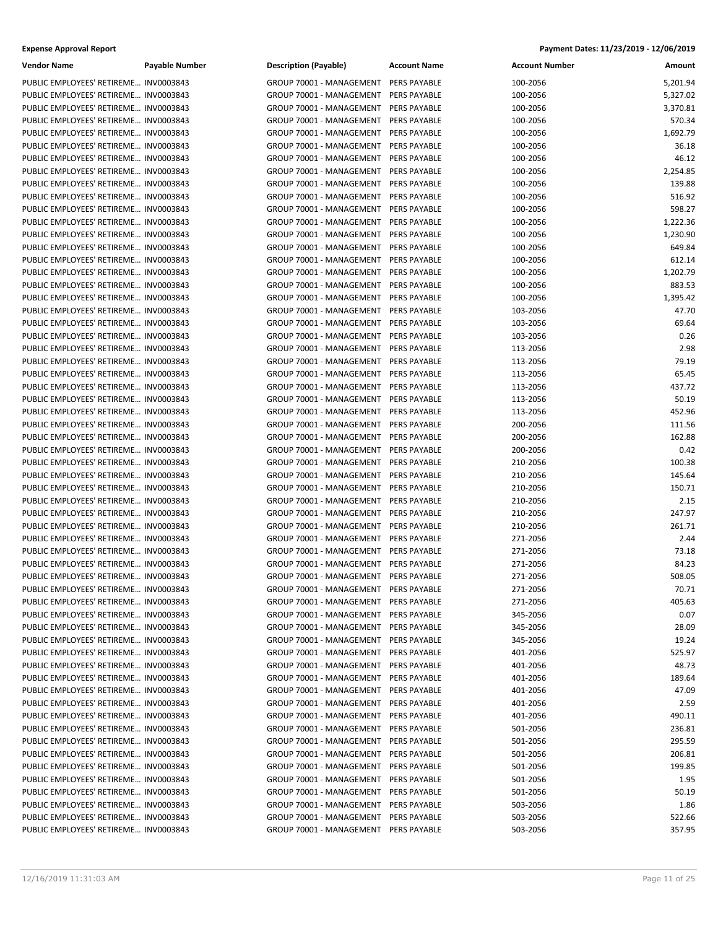| <b>Vendor Name</b>                    | <b>Payable Number</b> | <b>Description (Payable)</b>          | <b>Account Name</b> | <b>Account Number</b> | Amount   |
|---------------------------------------|-----------------------|---------------------------------------|---------------------|-----------------------|----------|
| PUBLIC EMPLOYEES' RETIREME INV0003843 |                       | GROUP 70001 - MANAGEMENT              | <b>PERS PAYABLE</b> | 100-2056              | 5,201.94 |
| PUBLIC EMPLOYEES' RETIREME INV0003843 |                       | GROUP 70001 - MANAGEMENT              | PERS PAYABLE        | 100-2056              | 5,327.02 |
| PUBLIC EMPLOYEES' RETIREME INV0003843 |                       | GROUP 70001 - MANAGEMENT              | PERS PAYABLE        | 100-2056              | 3,370.81 |
| PUBLIC EMPLOYEES' RETIREME INV0003843 |                       | GROUP 70001 - MANAGEMENT              | PERS PAYABLE        | 100-2056              | 570.34   |
| PUBLIC EMPLOYEES' RETIREME INV0003843 |                       | GROUP 70001 - MANAGEMENT              | <b>PERS PAYABLE</b> | 100-2056              | 1,692.79 |
| PUBLIC EMPLOYEES' RETIREME INV0003843 |                       | GROUP 70001 - MANAGEMENT              | PERS PAYABLE        | 100-2056              | 36.18    |
| PUBLIC EMPLOYEES' RETIREME INV0003843 |                       | GROUP 70001 - MANAGEMENT              | PERS PAYABLE        | 100-2056              | 46.12    |
| PUBLIC EMPLOYEES' RETIREME INV0003843 |                       | GROUP 70001 - MANAGEMENT              | PERS PAYABLE        | 100-2056              | 2,254.85 |
| PUBLIC EMPLOYEES' RETIREME INV0003843 |                       | GROUP 70001 - MANAGEMENT              | PERS PAYABLE        | 100-2056              | 139.88   |
| PUBLIC EMPLOYEES' RETIREME INV0003843 |                       | GROUP 70001 - MANAGEMENT              | PERS PAYABLE        | 100-2056              | 516.92   |
| PUBLIC EMPLOYEES' RETIREME INV0003843 |                       | GROUP 70001 - MANAGEMENT              | PERS PAYABLE        | 100-2056              | 598.27   |
| PUBLIC EMPLOYEES' RETIREME INV0003843 |                       | GROUP 70001 - MANAGEMENT              | PERS PAYABLE        | 100-2056              | 1,222.36 |
| PUBLIC EMPLOYEES' RETIREME INV0003843 |                       | GROUP 70001 - MANAGEMENT              | PERS PAYABLE        | 100-2056              | 1,230.90 |
| PUBLIC EMPLOYEES' RETIREME INV0003843 |                       | GROUP 70001 - MANAGEMENT              | PERS PAYABLE        | 100-2056              | 649.84   |
| PUBLIC EMPLOYEES' RETIREME INV0003843 |                       | GROUP 70001 - MANAGEMENT              | <b>PERS PAYABLE</b> | 100-2056              | 612.14   |
| PUBLIC EMPLOYEES' RETIREME INV0003843 |                       | GROUP 70001 - MANAGEMENT              | PERS PAYABLE        | 100-2056              | 1,202.79 |
| PUBLIC EMPLOYEES' RETIREME INV0003843 |                       | GROUP 70001 - MANAGEMENT              | PERS PAYABLE        | 100-2056              | 883.53   |
| PUBLIC EMPLOYEES' RETIREME INV0003843 |                       | GROUP 70001 - MANAGEMENT              | PERS PAYABLE        | 100-2056              | 1,395.42 |
| PUBLIC EMPLOYEES' RETIREME INV0003843 |                       | GROUP 70001 - MANAGEMENT              | PERS PAYABLE        | 103-2056              | 47.70    |
| PUBLIC EMPLOYEES' RETIREME INV0003843 |                       | GROUP 70001 - MANAGEMENT              | PERS PAYABLE        | 103-2056              | 69.64    |
| PUBLIC EMPLOYEES' RETIREME INV0003843 |                       | GROUP 70001 - MANAGEMENT              | PERS PAYABLE        | 103-2056              | 0.26     |
| PUBLIC EMPLOYEES' RETIREME INV0003843 |                       | GROUP 70001 - MANAGEMENT              | <b>PERS PAYABLE</b> | 113-2056              | 2.98     |
| PUBLIC EMPLOYEES' RETIREME INV0003843 |                       | GROUP 70001 - MANAGEMENT              | PERS PAYABLE        | 113-2056              | 79.19    |
| PUBLIC EMPLOYEES' RETIREME INV0003843 |                       | GROUP 70001 - MANAGEMENT              | PERS PAYABLE        | 113-2056              | 65.45    |
| PUBLIC EMPLOYEES' RETIREME INV0003843 |                       | GROUP 70001 - MANAGEMENT              | PERS PAYABLE        | 113-2056              | 437.72   |
| PUBLIC EMPLOYEES' RETIREME INV0003843 |                       | GROUP 70001 - MANAGEMENT              | PERS PAYABLE        | 113-2056              | 50.19    |
| PUBLIC EMPLOYEES' RETIREME INV0003843 |                       | GROUP 70001 - MANAGEMENT              | PERS PAYABLE        | 113-2056              | 452.96   |
| PUBLIC EMPLOYEES' RETIREME INV0003843 |                       | GROUP 70001 - MANAGEMENT              | PERS PAYABLE        | 200-2056              | 111.56   |
| PUBLIC EMPLOYEES' RETIREME INV0003843 |                       | GROUP 70001 - MANAGEMENT              | PERS PAYABLE        | 200-2056              | 162.88   |
| PUBLIC EMPLOYEES' RETIREME INV0003843 |                       | GROUP 70001 - MANAGEMENT              | PERS PAYABLE        | 200-2056              | 0.42     |
| PUBLIC EMPLOYEES' RETIREME INV0003843 |                       | GROUP 70001 - MANAGEMENT              | PERS PAYABLE        | 210-2056              | 100.38   |
| PUBLIC EMPLOYEES' RETIREME INV0003843 |                       | GROUP 70001 - MANAGEMENT              | PERS PAYABLE        | 210-2056              | 145.64   |
| PUBLIC EMPLOYEES' RETIREME INV0003843 |                       | GROUP 70001 - MANAGEMENT              | PERS PAYABLE        | 210-2056              | 150.71   |
| PUBLIC EMPLOYEES' RETIREME INV0003843 |                       | GROUP 70001 - MANAGEMENT              | PERS PAYABLE        | 210-2056              | 2.15     |
| PUBLIC EMPLOYEES' RETIREME INV0003843 |                       | GROUP 70001 - MANAGEMENT              | PERS PAYABLE        | 210-2056              | 247.97   |
| PUBLIC EMPLOYEES' RETIREME INV0003843 |                       | GROUP 70001 - MANAGEMENT              | PERS PAYABLE        | 210-2056              | 261.71   |
| PUBLIC EMPLOYEES' RETIREME INV0003843 |                       | GROUP 70001 - MANAGEMENT              | PERS PAYABLE        | 271-2056              | 2.44     |
| PUBLIC EMPLOYEES' RETIREME INV0003843 |                       | GROUP 70001 - MANAGEMENT              | PERS PAYABLE        | 271-2056              | 73.18    |
| PUBLIC EMPLOYEES' RETIREME INV0003843 |                       | GROUP 70001 - MANAGEMENT              | PERS PAYABLE        | 271-2056              | 84.23    |
| PUBLIC EMPLOYEES' RETIREME INV0003843 |                       | GROUP 70001 - MANAGEMENT PERS PAYABLE |                     | 271-2056              | 508.05   |
| PUBLIC EMPLOYEES' RETIREME INV0003843 |                       | GROUP 70001 - MANAGEMENT PERS PAYABLE |                     | 271-2056              | 70.71    |
| PUBLIC EMPLOYEES' RETIREME INV0003843 |                       | GROUP 70001 - MANAGEMENT              | PERS PAYABLE        | 271-2056              | 405.63   |
| PUBLIC EMPLOYEES' RETIREME INV0003843 |                       | GROUP 70001 - MANAGEMENT              | <b>PERS PAYABLE</b> | 345-2056              | 0.07     |
| PUBLIC EMPLOYEES' RETIREME INV0003843 |                       | GROUP 70001 - MANAGEMENT PERS PAYABLE |                     | 345-2056              | 28.09    |
| PUBLIC EMPLOYEES' RETIREME INV0003843 |                       | GROUP 70001 - MANAGEMENT PERS PAYABLE |                     | 345-2056              | 19.24    |
| PUBLIC EMPLOYEES' RETIREME INV0003843 |                       | GROUP 70001 - MANAGEMENT PERS PAYABLE |                     | 401-2056              | 525.97   |
| PUBLIC EMPLOYEES' RETIREME INV0003843 |                       | GROUP 70001 - MANAGEMENT              | PERS PAYABLE        | 401-2056              | 48.73    |
| PUBLIC EMPLOYEES' RETIREME INV0003843 |                       | GROUP 70001 - MANAGEMENT              | <b>PERS PAYABLE</b> | 401-2056              | 189.64   |
| PUBLIC EMPLOYEES' RETIREME INV0003843 |                       | GROUP 70001 - MANAGEMENT PERS PAYABLE |                     | 401-2056              | 47.09    |
| PUBLIC EMPLOYEES' RETIREME INV0003843 |                       | GROUP 70001 - MANAGEMENT              | PERS PAYABLE        | 401-2056              | 2.59     |
| PUBLIC EMPLOYEES' RETIREME INV0003843 |                       | GROUP 70001 - MANAGEMENT PERS PAYABLE |                     | 401-2056              | 490.11   |
| PUBLIC EMPLOYEES' RETIREME INV0003843 |                       | GROUP 70001 - MANAGEMENT              | <b>PERS PAYABLE</b> | 501-2056              | 236.81   |
| PUBLIC EMPLOYEES' RETIREME INV0003843 |                       | GROUP 70001 - MANAGEMENT              | PERS PAYABLE        | 501-2056              | 295.59   |
| PUBLIC EMPLOYEES' RETIREME INV0003843 |                       | GROUP 70001 - MANAGEMENT PERS PAYABLE |                     | 501-2056              | 206.81   |
| PUBLIC EMPLOYEES' RETIREME INV0003843 |                       | GROUP 70001 - MANAGEMENT              | PERS PAYABLE        | 501-2056              | 199.85   |
| PUBLIC EMPLOYEES' RETIREME INV0003843 |                       | GROUP 70001 - MANAGEMENT              | PERS PAYABLE        | 501-2056              | 1.95     |
| PUBLIC EMPLOYEES' RETIREME INV0003843 |                       | GROUP 70001 - MANAGEMENT              | PERS PAYABLE        | 501-2056              | 50.19    |
| PUBLIC EMPLOYEES' RETIREME INV0003843 |                       | GROUP 70001 - MANAGEMENT              | PERS PAYABLE        | 503-2056              | 1.86     |
| PUBLIC EMPLOYEES' RETIREME INV0003843 |                       | GROUP 70001 - MANAGEMENT              | PERS PAYABLE        | 503-2056              | 522.66   |
| PUBLIC EMPLOYEES' RETIREME INV0003843 |                       | GROUP 70001 - MANAGEMENT PERS PAYABLE |                     | 503-2056              | 357.95   |
|                                       |                       |                                       |                     |                       |          |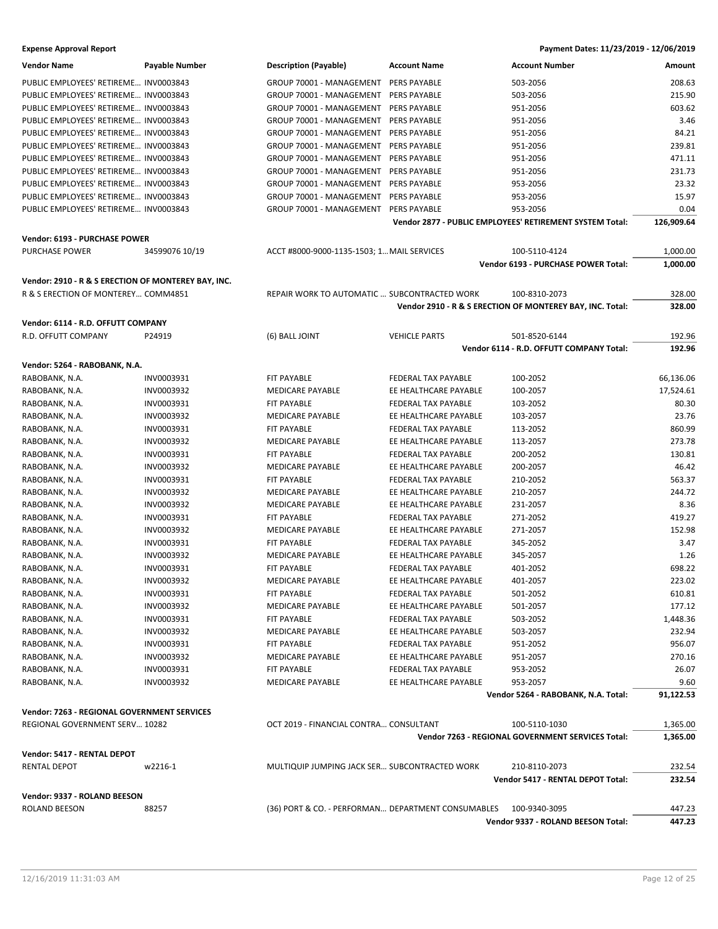| <b>Vendor Name</b>                                  | Payable Number | <b>Description (Payable)</b>                       | <b>Account Name</b>        | <b>Account Number</b>                                     | Amount     |
|-----------------------------------------------------|----------------|----------------------------------------------------|----------------------------|-----------------------------------------------------------|------------|
| PUBLIC EMPLOYEES' RETIREME INV0003843               |                | GROUP 70001 - MANAGEMENT                           | PERS PAYABLE               | 503-2056                                                  | 208.63     |
| PUBLIC EMPLOYEES' RETIREME INV0003843               |                | GROUP 70001 - MANAGEMENT                           | PERS PAYABLE               | 503-2056                                                  | 215.90     |
| PUBLIC EMPLOYEES' RETIREME INV0003843               |                | GROUP 70001 - MANAGEMENT                           | PERS PAYABLE               | 951-2056                                                  | 603.62     |
| PUBLIC EMPLOYEES' RETIREME INV0003843               |                | GROUP 70001 - MANAGEMENT                           | <b>PERS PAYABLE</b>        | 951-2056                                                  | 3.46       |
| PUBLIC EMPLOYEES' RETIREME INV0003843               |                | GROUP 70001 - MANAGEMENT                           | PERS PAYABLE               | 951-2056                                                  | 84.21      |
| PUBLIC EMPLOYEES' RETIREME INV0003843               |                | GROUP 70001 - MANAGEMENT                           | PERS PAYABLE               | 951-2056                                                  | 239.81     |
| PUBLIC EMPLOYEES' RETIREME INV0003843               |                | GROUP 70001 - MANAGEMENT                           | PERS PAYABLE               | 951-2056                                                  | 471.11     |
| PUBLIC EMPLOYEES' RETIREME INV0003843               |                | GROUP 70001 - MANAGEMENT                           | PERS PAYABLE               | 951-2056                                                  | 231.73     |
| PUBLIC EMPLOYEES' RETIREME INV0003843               |                | GROUP 70001 - MANAGEMENT                           | PERS PAYABLE               | 953-2056                                                  | 23.32      |
| PUBLIC EMPLOYEES' RETIREME INV0003843               |                | GROUP 70001 - MANAGEMENT                           | PERS PAYABLE               | 953-2056                                                  | 15.97      |
| PUBLIC EMPLOYEES' RETIREME INV0003843               |                | GROUP 70001 - MANAGEMENT                           | PERS PAYABLE               | 953-2056                                                  | 0.04       |
|                                                     |                |                                                    |                            | Vendor 2877 - PUBLIC EMPLOYEES' RETIREMENT SYSTEM Total:  | 126,909.64 |
| Vendor: 6193 - PURCHASE POWER                       |                |                                                    |                            |                                                           |            |
| PURCHASE POWER                                      | 34599076 10/19 | ACCT #8000-9000-1135-1503; 1 MAIL SERVICES         |                            | 100-5110-4124                                             | 1,000.00   |
|                                                     |                |                                                    |                            | Vendor 6193 - PURCHASE POWER Total:                       | 1,000.00   |
| Vendor: 2910 - R & S ERECTION OF MONTEREY BAY, INC. |                |                                                    |                            |                                                           |            |
| R & S ERECTION OF MONTEREY COMM4851                 |                | REPAIR WORK TO AUTOMATIC  SUBCONTRACTED WORK       |                            | 100-8310-2073                                             | 328.00     |
|                                                     |                |                                                    |                            | Vendor 2910 - R & S ERECTION OF MONTEREY BAY, INC. Total: | 328.00     |
|                                                     |                |                                                    |                            |                                                           |            |
| Vendor: 6114 - R.D. OFFUTT COMPANY                  |                |                                                    |                            |                                                           |            |
| R.D. OFFUTT COMPANY                                 | P24919         | (6) BALL JOINT                                     | <b>VEHICLE PARTS</b>       | 501-8520-6144                                             | 192.96     |
|                                                     |                |                                                    |                            | Vendor 6114 - R.D. OFFUTT COMPANY Total:                  | 192.96     |
| Vendor: 5264 - RABOBANK, N.A.                       |                |                                                    |                            |                                                           |            |
| RABOBANK, N.A.                                      | INV0003931     | FIT PAYABLE                                        | FEDERAL TAX PAYABLE        | 100-2052                                                  | 66,136.06  |
| RABOBANK, N.A.                                      | INV0003932     | MEDICARE PAYABLE                                   | EE HEALTHCARE PAYABLE      | 100-2057                                                  | 17,524.61  |
| RABOBANK, N.A.                                      | INV0003931     | FIT PAYABLE                                        | FEDERAL TAX PAYABLE        | 103-2052                                                  | 80.30      |
| RABOBANK, N.A.                                      | INV0003932     | <b>MEDICARE PAYABLE</b>                            | EE HEALTHCARE PAYABLE      | 103-2057                                                  | 23.76      |
| RABOBANK, N.A.                                      | INV0003931     | FIT PAYABLE                                        | FEDERAL TAX PAYABLE        | 113-2052                                                  | 860.99     |
| RABOBANK, N.A.                                      | INV0003932     | MEDICARE PAYABLE                                   | EE HEALTHCARE PAYABLE      | 113-2057                                                  | 273.78     |
| RABOBANK, N.A.                                      | INV0003931     | FIT PAYABLE                                        | FEDERAL TAX PAYABLE        | 200-2052                                                  | 130.81     |
| RABOBANK, N.A.                                      | INV0003932     | <b>MEDICARE PAYABLE</b>                            | EE HEALTHCARE PAYABLE      | 200-2057                                                  | 46.42      |
| RABOBANK, N.A.                                      | INV0003931     | FIT PAYABLE                                        | FEDERAL TAX PAYABLE        | 210-2052                                                  | 563.37     |
| RABOBANK, N.A.                                      | INV0003932     | <b>MEDICARE PAYABLE</b>                            | EE HEALTHCARE PAYABLE      | 210-2057                                                  | 244.72     |
| RABOBANK, N.A.                                      | INV0003932     | MEDICARE PAYABLE                                   | EE HEALTHCARE PAYABLE      | 231-2057                                                  | 8.36       |
| RABOBANK, N.A.                                      | INV0003931     | FIT PAYABLE                                        | FEDERAL TAX PAYABLE        | 271-2052                                                  | 419.27     |
| RABOBANK, N.A.                                      | INV0003932     | MEDICARE PAYABLE                                   | EE HEALTHCARE PAYABLE      | 271-2057                                                  | 152.98     |
| RABOBANK, N.A.                                      | INV0003931     | FIT PAYABLE                                        | FEDERAL TAX PAYABLE        | 345-2052                                                  | 3.47       |
| RABOBANK, N.A.                                      | INV0003932     | MEDICARE PAYABLE                                   | EE HEALTHCARE PAYABLE      | 345-2057                                                  | 1.26       |
| RABOBANK, N.A.                                      | INV0003931     | <b>FIT PAYABLE</b>                                 | FEDERAL TAX PAYABLE        | 401-2052                                                  | 698.22     |
| RABOBANK, N.A.                                      | INV0003932     | <b>MEDICARE PAYABLE</b>                            | EE HEALTHCARE PAYABLE      | 401-2057                                                  | 223.02     |
| RABOBANK, N.A.                                      | INV0003931     | FIT PAYABLE                                        | <b>FEDERAL TAX PAYABLE</b> | 501-2052                                                  | 610.81     |
| RABOBANK, N.A.                                      | INV0003932     | <b>MEDICARE PAYABLE</b>                            | EE HEALTHCARE PAYABLE      | 501-2057                                                  | 177.12     |
| RABOBANK, N.A.                                      | INV0003931     | FIT PAYABLE                                        | FEDERAL TAX PAYABLE        | 503-2052                                                  | 1,448.36   |
| RABOBANK, N.A.                                      | INV0003932     | <b>MEDICARE PAYABLE</b>                            | EE HEALTHCARE PAYABLE      | 503-2057                                                  | 232.94     |
| RABOBANK, N.A.                                      | INV0003931     | FIT PAYABLE                                        | FEDERAL TAX PAYABLE        | 951-2052                                                  | 956.07     |
| RABOBANK, N.A.                                      | INV0003932     | <b>MEDICARE PAYABLE</b>                            | EE HEALTHCARE PAYABLE      | 951-2057                                                  | 270.16     |
| RABOBANK, N.A.                                      | INV0003931     | FIT PAYABLE                                        | FEDERAL TAX PAYABLE        | 953-2052                                                  | 26.07      |
| RABOBANK, N.A.                                      | INV0003932     | MEDICARE PAYABLE                                   | EE HEALTHCARE PAYABLE      | 953-2057                                                  | 9.60       |
|                                                     |                |                                                    |                            | Vendor 5264 - RABOBANK, N.A. Total:                       | 91,122.53  |
| <b>Vendor: 7263 - REGIONAL GOVERNMENT SERVICES</b>  |                |                                                    |                            |                                                           |            |
| REGIONAL GOVERNMENT SERV 10282                      |                | OCT 2019 - FINANCIAL CONTRA CONSULTANT             |                            | 100-5110-1030                                             | 1,365.00   |
|                                                     |                |                                                    |                            | Vendor 7263 - REGIONAL GOVERNMENT SERVICES Total:         | 1,365.00   |
| Vendor: 5417 - RENTAL DEPOT                         |                |                                                    |                            |                                                           |            |
| <b>RENTAL DEPOT</b>                                 | w2216-1        | MULTIQUIP JUMPING JACK SER SUBCONTRACTED WORK      |                            | 210-8110-2073                                             | 232.54     |
|                                                     |                |                                                    |                            | Vendor 5417 - RENTAL DEPOT Total:                         | 232.54     |
| Vendor: 9337 - ROLAND BEESON                        |                |                                                    |                            |                                                           |            |
| <b>ROLAND BEESON</b>                                | 88257          | (36) PORT & CO. - PERFORMAN DEPARTMENT CONSUMABLES |                            | 100-9340-3095                                             | 447.23     |
|                                                     |                |                                                    |                            | Vendor 9337 - ROLAND BEESON Total:                        | 447.23     |
|                                                     |                |                                                    |                            |                                                           |            |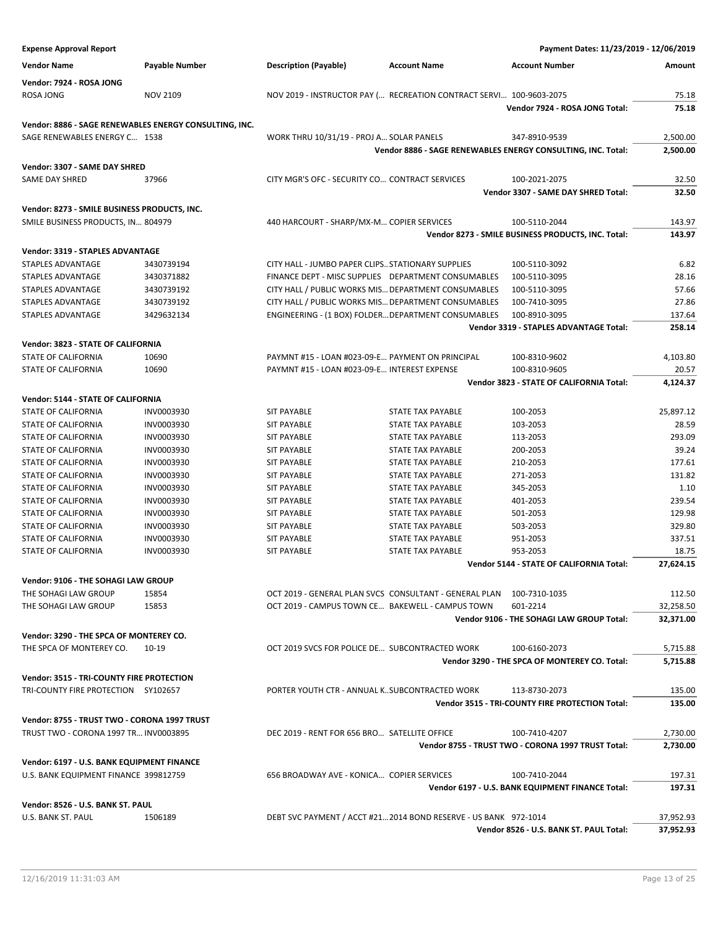| <b>Expense Approval Report</b>                         |                          |                                                     |                                                                      | Payment Dates: 11/23/2019 - 12/06/2019                       |                        |
|--------------------------------------------------------|--------------------------|-----------------------------------------------------|----------------------------------------------------------------------|--------------------------------------------------------------|------------------------|
| <b>Vendor Name</b>                                     | <b>Payable Number</b>    | <b>Description (Payable)</b>                        | <b>Account Name</b>                                                  | <b>Account Number</b>                                        | Amount                 |
| Vendor: 7924 - ROSA JONG                               |                          |                                                     |                                                                      |                                                              |                        |
| ROSA JONG                                              | <b>NOV 2109</b>          |                                                     | NOV 2019 - INSTRUCTOR PAY ( RECREATION CONTRACT SERVI 100-9603-2075  |                                                              | 75.18                  |
|                                                        |                          |                                                     |                                                                      | Vendor 7924 - ROSA JONG Total:                               | 75.18                  |
| Vendor: 8886 - SAGE RENEWABLES ENERGY CONSULTING, INC. |                          |                                                     |                                                                      |                                                              |                        |
| SAGE RENEWABLES ENERGY C 1538                          |                          | WORK THRU 10/31/19 - PROJ A SOLAR PANELS            |                                                                      | 347-8910-9539                                                | 2,500.00               |
|                                                        |                          |                                                     |                                                                      | Vendor 8886 - SAGE RENEWABLES ENERGY CONSULTING, INC. Total: | 2,500.00               |
| Vendor: 3307 - SAME DAY SHRED                          |                          |                                                     |                                                                      |                                                              |                        |
| SAME DAY SHRED                                         | 37966                    | CITY MGR'S OFC - SECURITY CO CONTRACT SERVICES      |                                                                      | 100-2021-2075                                                | 32.50                  |
|                                                        |                          |                                                     |                                                                      | Vendor 3307 - SAME DAY SHRED Total:                          | 32.50                  |
| Vendor: 8273 - SMILE BUSINESS PRODUCTS, INC.           |                          |                                                     |                                                                      |                                                              |                        |
| SMILE BUSINESS PRODUCTS, IN 804979                     |                          | 440 HARCOURT - SHARP/MX-M COPIER SERVICES           |                                                                      | 100-5110-2044                                                | 143.97                 |
|                                                        |                          |                                                     |                                                                      | Vendor 8273 - SMILE BUSINESS PRODUCTS, INC. Total:           | 143.97                 |
|                                                        |                          |                                                     |                                                                      |                                                              |                        |
| Vendor: 3319 - STAPLES ADVANTAGE                       |                          |                                                     |                                                                      |                                                              |                        |
| STAPLES ADVANTAGE                                      | 3430739194               | CITY HALL - JUMBO PAPER CLIPS STATIONARY SUPPLIES   |                                                                      | 100-5110-3092                                                | 6.82                   |
| STAPLES ADVANTAGE<br><b>STAPLES ADVANTAGE</b>          | 3430371882               | FINANCE DEPT - MISC SUPPLIES DEPARTMENT CONSUMABLES |                                                                      | 100-5110-3095                                                | 28.16                  |
|                                                        | 3430739192               | CITY HALL / PUBLIC WORKS MIS DEPARTMENT CONSUMABLES |                                                                      | 100-5110-3095                                                | 57.66                  |
| STAPLES ADVANTAGE<br><b>STAPLES ADVANTAGE</b>          | 3430739192<br>3429632134 | CITY HALL / PUBLIC WORKS MIS DEPARTMENT CONSUMABLES |                                                                      | 100-7410-3095                                                | 27.86                  |
|                                                        |                          | ENGINEERING - (1 BOX) FOLDERDEPARTMENT CONSUMABLES  |                                                                      | 100-8910-3095<br>Vendor 3319 - STAPLES ADVANTAGE Total:      | 137.64<br>258.14       |
|                                                        |                          |                                                     |                                                                      |                                                              |                        |
| Vendor: 3823 - STATE OF CALIFORNIA                     |                          |                                                     |                                                                      |                                                              |                        |
| <b>STATE OF CALIFORNIA</b>                             | 10690                    | PAYMNT #15 - LOAN #023-09-E PAYMENT ON PRINCIPAL    |                                                                      | 100-8310-9602                                                | 4,103.80               |
| STATE OF CALIFORNIA                                    | 10690                    | PAYMNT #15 - LOAN #023-09-E INTEREST EXPENSE        |                                                                      | 100-8310-9605                                                | 20.57                  |
|                                                        |                          |                                                     |                                                                      | Vendor 3823 - STATE OF CALIFORNIA Total:                     | 4,124.37               |
| Vendor: 5144 - STATE OF CALIFORNIA                     |                          |                                                     |                                                                      |                                                              |                        |
| STATE OF CALIFORNIA                                    | INV0003930               | <b>SIT PAYABLE</b>                                  | STATE TAX PAYABLE                                                    | 100-2053                                                     | 25,897.12              |
| STATE OF CALIFORNIA                                    | INV0003930               | <b>SIT PAYABLE</b>                                  | STATE TAX PAYABLE                                                    | 103-2053                                                     | 28.59                  |
| <b>STATE OF CALIFORNIA</b>                             | INV0003930               | <b>SIT PAYABLE</b>                                  | <b>STATE TAX PAYABLE</b>                                             | 113-2053                                                     | 293.09                 |
| STATE OF CALIFORNIA                                    | INV0003930               | <b>SIT PAYABLE</b>                                  | STATE TAX PAYABLE                                                    | 200-2053                                                     | 39.24                  |
| STATE OF CALIFORNIA                                    | INV0003930               | <b>SIT PAYABLE</b>                                  | STATE TAX PAYABLE                                                    | 210-2053                                                     | 177.61                 |
| STATE OF CALIFORNIA                                    | INV0003930               | <b>SIT PAYABLE</b>                                  | STATE TAX PAYABLE                                                    | 271-2053                                                     | 131.82                 |
| STATE OF CALIFORNIA                                    | INV0003930               | <b>SIT PAYABLE</b>                                  | STATE TAX PAYABLE                                                    | 345-2053                                                     | 1.10                   |
| STATE OF CALIFORNIA                                    | INV0003930               | <b>SIT PAYABLE</b>                                  | <b>STATE TAX PAYABLE</b>                                             | 401-2053                                                     | 239.54                 |
| <b>STATE OF CALIFORNIA</b>                             | INV0003930               | <b>SIT PAYABLE</b>                                  | STATE TAX PAYABLE                                                    | 501-2053                                                     | 129.98                 |
| <b>STATE OF CALIFORNIA</b>                             | INV0003930               | <b>SIT PAYABLE</b>                                  | STATE TAX PAYABLE                                                    | 503-2053                                                     | 329.80                 |
| STATE OF CALIFORNIA                                    | INV0003930               | <b>SIT PAYABLE</b>                                  | STATE TAX PAYABLE                                                    | 951-2053                                                     | 337.51                 |
| <b>STATE OF CALIFORNIA</b>                             | INV0003930               | <b>SIT PAYABLE</b>                                  | STATE TAX PAYABLE                                                    | 953-2053                                                     | 18.75                  |
|                                                        |                          |                                                     |                                                                      | Vendor 5144 - STATE OF CALIFORNIA Total:                     | 27,624.15              |
| Vendor: 9106 - THE SOHAGI LAW GROUP                    |                          |                                                     |                                                                      |                                                              |                        |
| THE SOHAGI LAW GROUP                                   | 15854                    |                                                     | OCT 2019 - GENERAL PLAN SVCS CONSULTANT - GENERAL PLAN 100-7310-1035 |                                                              | 112.50                 |
| THE SOHAGI LAW GROUP                                   | 15853                    | OCT 2019 - CAMPUS TOWN CE BAKEWELL - CAMPUS TOWN    |                                                                      | 601-2214                                                     | 32,258.50              |
|                                                        |                          |                                                     |                                                                      | Vendor 9106 - THE SOHAGI LAW GROUP Total:                    | 32,371.00              |
| Vendor: 3290 - THE SPCA OF MONTEREY CO.                |                          |                                                     |                                                                      |                                                              |                        |
| THE SPCA OF MONTEREY CO.                               | 10-19                    | OCT 2019 SVCS FOR POLICE DE SUBCONTRACTED WORK      |                                                                      | 100-6160-2073                                                | 5,715.88               |
|                                                        |                          |                                                     |                                                                      | Vendor 3290 - THE SPCA OF MONTEREY CO. Total:                | 5,715.88               |
|                                                        |                          |                                                     |                                                                      |                                                              |                        |
| Vendor: 3515 - TRI-COUNTY FIRE PROTECTION              |                          |                                                     |                                                                      |                                                              |                        |
| TRI-COUNTY FIRE PROTECTION SY102657                    |                          | PORTER YOUTH CTR - ANNUAL KSUBCONTRACTED WORK       |                                                                      | 113-8730-2073                                                | 135.00                 |
|                                                        |                          |                                                     |                                                                      | Vendor 3515 - TRI-COUNTY FIRE PROTECTION Total:              | 135.00                 |
| Vendor: 8755 - TRUST TWO - CORONA 1997 TRUST           |                          |                                                     |                                                                      |                                                              |                        |
| TRUST TWO - CORONA 1997 TR INV0003895                  |                          | DEC 2019 - RENT FOR 656 BRO SATELLITE OFFICE        |                                                                      | 100-7410-4207                                                | 2,730.00               |
|                                                        |                          |                                                     |                                                                      | Vendor 8755 - TRUST TWO - CORONA 1997 TRUST Total:           | 2,730.00               |
| Vendor: 6197 - U.S. BANK EQUIPMENT FINANCE             |                          |                                                     |                                                                      |                                                              |                        |
| U.S. BANK EQUIPMENT FINANCE 399812759                  |                          | 656 BROADWAY AVE - KONICA COPIER SERVICES           |                                                                      | 100-7410-2044                                                | 197.31                 |
|                                                        |                          |                                                     |                                                                      | Vendor 6197 - U.S. BANK EQUIPMENT FINANCE Total:             | 197.31                 |
|                                                        |                          |                                                     |                                                                      |                                                              |                        |
| Vendor: 8526 - U.S. BANK ST. PAUL                      |                          |                                                     |                                                                      |                                                              |                        |
| U.S. BANK ST. PAUL                                     | 1506189                  |                                                     | DEBT SVC PAYMENT / ACCT #212014 BOND RESERVE - US BANK 972-1014      | Vendor 8526 - U.S. BANK ST. PAUL Total:                      | 37,952.93<br>37,952.93 |
|                                                        |                          |                                                     |                                                                      |                                                              |                        |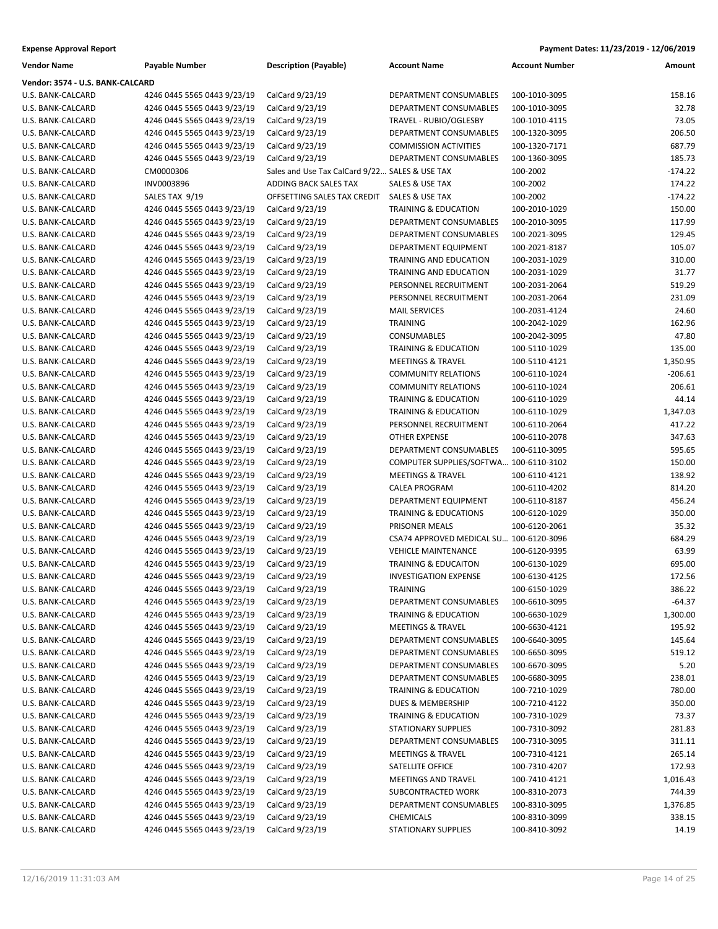| <b>Vendor Name</b>               | <b>Payable Number</b>       | <b>Description (Payable)</b>                   | <b>Account Name</b>                     | <b>Account Number</b> | Amount    |
|----------------------------------|-----------------------------|------------------------------------------------|-----------------------------------------|-----------------------|-----------|
| Vendor: 3574 - U.S. BANK-CALCARD |                             |                                                |                                         |                       |           |
| U.S. BANK-CALCARD                | 4246 0445 5565 0443 9/23/19 | CalCard 9/23/19                                | DEPARTMENT CONSUMABLES                  | 100-1010-3095         | 158.16    |
| U.S. BANK-CALCARD                | 4246 0445 5565 0443 9/23/19 | CalCard 9/23/19                                | DEPARTMENT CONSUMABLES                  | 100-1010-3095         | 32.78     |
| U.S. BANK-CALCARD                | 4246 0445 5565 0443 9/23/19 | CalCard 9/23/19                                | TRAVEL - RUBIO/OGLESBY                  | 100-1010-4115         | 73.05     |
| U.S. BANK-CALCARD                | 4246 0445 5565 0443 9/23/19 | CalCard 9/23/19                                | DEPARTMENT CONSUMABLES                  | 100-1320-3095         | 206.50    |
| U.S. BANK-CALCARD                | 4246 0445 5565 0443 9/23/19 | CalCard 9/23/19                                | <b>COMMISSION ACTIVITIES</b>            | 100-1320-7171         | 687.79    |
| U.S. BANK-CALCARD                | 4246 0445 5565 0443 9/23/19 | CalCard 9/23/19                                | DEPARTMENT CONSUMABLES                  | 100-1360-3095         | 185.73    |
| U.S. BANK-CALCARD                | CM0000306                   | Sales and Use Tax CalCard 9/22 SALES & USE TAX |                                         | 100-2002              | $-174.22$ |
| U.S. BANK-CALCARD                | INV0003896                  | ADDING BACK SALES TAX                          | SALES & USE TAX                         | 100-2002              | 174.22    |
| U.S. BANK-CALCARD                | SALES TAX 9/19              | OFFSETTING SALES TAX CREDIT                    | SALES & USE TAX                         | 100-2002              | $-174.22$ |
| U.S. BANK-CALCARD                | 4246 0445 5565 0443 9/23/19 | CalCard 9/23/19                                | <b>TRAINING &amp; EDUCATION</b>         | 100-2010-1029         | 150.00    |
| U.S. BANK-CALCARD                | 4246 0445 5565 0443 9/23/19 | CalCard 9/23/19                                | DEPARTMENT CONSUMABLES                  | 100-2010-3095         | 117.99    |
| U.S. BANK-CALCARD                | 4246 0445 5565 0443 9/23/19 | CalCard 9/23/19                                | DEPARTMENT CONSUMABLES                  | 100-2021-3095         | 129.45    |
| U.S. BANK-CALCARD                | 4246 0445 5565 0443 9/23/19 | CalCard 9/23/19                                | DEPARTMENT EQUIPMENT                    | 100-2021-8187         | 105.07    |
| U.S. BANK-CALCARD                | 4246 0445 5565 0443 9/23/19 | CalCard 9/23/19                                | TRAINING AND EDUCATION                  | 100-2031-1029         | 310.00    |
| U.S. BANK-CALCARD                | 4246 0445 5565 0443 9/23/19 | CalCard 9/23/19                                | TRAINING AND EDUCATION                  | 100-2031-1029         | 31.77     |
| U.S. BANK-CALCARD                | 4246 0445 5565 0443 9/23/19 | CalCard 9/23/19                                | PERSONNEL RECRUITMENT                   | 100-2031-2064         | 519.29    |
| U.S. BANK-CALCARD                | 4246 0445 5565 0443 9/23/19 | CalCard 9/23/19                                | PERSONNEL RECRUITMENT                   | 100-2031-2064         | 231.09    |
| U.S. BANK-CALCARD                | 4246 0445 5565 0443 9/23/19 | CalCard 9/23/19                                | <b>MAIL SERVICES</b>                    | 100-2031-4124         | 24.60     |
| U.S. BANK-CALCARD                | 4246 0445 5565 0443 9/23/19 | CalCard 9/23/19                                | <b>TRAINING</b>                         | 100-2042-1029         | 162.96    |
| U.S. BANK-CALCARD                | 4246 0445 5565 0443 9/23/19 | CalCard 9/23/19                                | CONSUMABLES                             | 100-2042-3095         | 47.80     |
| U.S. BANK-CALCARD                | 4246 0445 5565 0443 9/23/19 | CalCard 9/23/19                                | <b>TRAINING &amp; EDUCATION</b>         | 100-5110-1029         | 135.00    |
| U.S. BANK-CALCARD                | 4246 0445 5565 0443 9/23/19 | CalCard 9/23/19                                | <b>MEETINGS &amp; TRAVEL</b>            | 100-5110-4121         | 1,350.95  |
| U.S. BANK-CALCARD                | 4246 0445 5565 0443 9/23/19 | CalCard 9/23/19                                | <b>COMMUNITY RELATIONS</b>              | 100-6110-1024         | $-206.61$ |
| U.S. BANK-CALCARD                | 4246 0445 5565 0443 9/23/19 | CalCard 9/23/19                                | <b>COMMUNITY RELATIONS</b>              | 100-6110-1024         | 206.61    |
| U.S. BANK-CALCARD                | 4246 0445 5565 0443 9/23/19 | CalCard 9/23/19                                | <b>TRAINING &amp; EDUCATION</b>         | 100-6110-1029         | 44.14     |
| U.S. BANK-CALCARD                | 4246 0445 5565 0443 9/23/19 | CalCard 9/23/19                                | <b>TRAINING &amp; EDUCATION</b>         | 100-6110-1029         | 1,347.03  |
| U.S. BANK-CALCARD                | 4246 0445 5565 0443 9/23/19 | CalCard 9/23/19                                | PERSONNEL RECRUITMENT                   | 100-6110-2064         | 417.22    |
| U.S. BANK-CALCARD                | 4246 0445 5565 0443 9/23/19 | CalCard 9/23/19                                | <b>OTHER EXPENSE</b>                    | 100-6110-2078         | 347.63    |
| U.S. BANK-CALCARD                | 4246 0445 5565 0443 9/23/19 | CalCard 9/23/19                                | DEPARTMENT CONSUMABLES                  | 100-6110-3095         | 595.65    |
| U.S. BANK-CALCARD                | 4246 0445 5565 0443 9/23/19 | CalCard 9/23/19                                | COMPUTER SUPPLIES/SOFTWA 100-6110-3102  |                       | 150.00    |
| U.S. BANK-CALCARD                | 4246 0445 5565 0443 9/23/19 | CalCard 9/23/19                                | <b>MEETINGS &amp; TRAVEL</b>            | 100-6110-4121         | 138.92    |
| U.S. BANK-CALCARD                | 4246 0445 5565 0443 9/23/19 | CalCard 9/23/19                                | CALEA PROGRAM                           | 100-6110-4202         | 814.20    |
| U.S. BANK-CALCARD                | 4246 0445 5565 0443 9/23/19 | CalCard 9/23/19                                | DEPARTMENT EQUIPMENT                    | 100-6110-8187         | 456.24    |
| U.S. BANK-CALCARD                | 4246 0445 5565 0443 9/23/19 | CalCard 9/23/19                                | <b>TRAINING &amp; EDUCATIONS</b>        | 100-6120-1029         | 350.00    |
| U.S. BANK-CALCARD                | 4246 0445 5565 0443 9/23/19 | CalCard 9/23/19                                | PRISONER MEALS                          | 100-6120-2061         | 35.32     |
| U.S. BANK-CALCARD                | 4246 0445 5565 0443 9/23/19 | CalCard 9/23/19                                | CSA74 APPROVED MEDICAL SU 100-6120-3096 |                       | 684.29    |
| U.S. BANK-CALCARD                | 4246 0445 5565 0443 9/23/19 | CalCard 9/23/19                                | <b>VEHICLE MAINTENANCE</b>              | 100-6120-9395         | 63.99     |
| U.S. BANK-CALCARD                | 4246 0445 5565 0443 9/23/19 | CalCard 9/23/19                                | <b>TRAINING &amp; EDUCAITON</b>         | 100-6130-1029         | 695.00    |
| U.S. BANK-CALCARD                | 4246 0445 5565 0443 9/23/19 | CalCard 9/23/19                                | <b>INVESTIGATION EXPENSE</b>            | 100-6130-4125         | 172.56    |
| U.S. BANK-CALCARD                | 4246 0445 5565 0443 9/23/19 | CalCard 9/23/19                                | TRAINING                                | 100-6150-1029         | 386.22    |
| U.S. BANK-CALCARD                | 4246 0445 5565 0443 9/23/19 | CalCard 9/23/19                                | DEPARTMENT CONSUMABLES                  | 100-6610-3095         | $-64.37$  |
| U.S. BANK-CALCARD                | 4246 0445 5565 0443 9/23/19 | CalCard 9/23/19                                | <b>TRAINING &amp; EDUCATION</b>         | 100-6630-1029         | 1,300.00  |
| U.S. BANK-CALCARD                | 4246 0445 5565 0443 9/23/19 | CalCard 9/23/19                                | <b>MEETINGS &amp; TRAVEL</b>            | 100-6630-4121         | 195.92    |
| U.S. BANK-CALCARD                | 4246 0445 5565 0443 9/23/19 | CalCard 9/23/19                                | DEPARTMENT CONSUMABLES                  | 100-6640-3095         | 145.64    |
| U.S. BANK-CALCARD                | 4246 0445 5565 0443 9/23/19 | CalCard 9/23/19                                | DEPARTMENT CONSUMABLES                  | 100-6650-3095         | 519.12    |
| U.S. BANK-CALCARD                | 4246 0445 5565 0443 9/23/19 | CalCard 9/23/19                                | DEPARTMENT CONSUMABLES                  | 100-6670-3095         | 5.20      |
| U.S. BANK-CALCARD                | 4246 0445 5565 0443 9/23/19 | CalCard 9/23/19                                | DEPARTMENT CONSUMABLES                  | 100-6680-3095         | 238.01    |
| U.S. BANK-CALCARD                | 4246 0445 5565 0443 9/23/19 | CalCard 9/23/19                                | <b>TRAINING &amp; EDUCATION</b>         | 100-7210-1029         | 780.00    |
| U.S. BANK-CALCARD                | 4246 0445 5565 0443 9/23/19 | CalCard 9/23/19                                | <b>DUES &amp; MEMBERSHIP</b>            | 100-7210-4122         | 350.00    |
| U.S. BANK-CALCARD                | 4246 0445 5565 0443 9/23/19 | CalCard 9/23/19                                | <b>TRAINING &amp; EDUCATION</b>         | 100-7310-1029         | 73.37     |
| U.S. BANK-CALCARD                | 4246 0445 5565 0443 9/23/19 | CalCard 9/23/19                                | STATIONARY SUPPLIES                     | 100-7310-3092         | 281.83    |
| U.S. BANK-CALCARD                | 4246 0445 5565 0443 9/23/19 | CalCard 9/23/19                                | DEPARTMENT CONSUMABLES                  | 100-7310-3095         | 311.11    |
| U.S. BANK-CALCARD                | 4246 0445 5565 0443 9/23/19 | CalCard 9/23/19                                | <b>MEETINGS &amp; TRAVEL</b>            | 100-7310-4121         | 265.14    |
| U.S. BANK-CALCARD                | 4246 0445 5565 0443 9/23/19 | CalCard 9/23/19                                | SATELLITE OFFICE                        | 100-7310-4207         | 172.93    |
| U.S. BANK-CALCARD                | 4246 0445 5565 0443 9/23/19 | CalCard 9/23/19                                | MEETINGS AND TRAVEL                     | 100-7410-4121         | 1,016.43  |
| U.S. BANK-CALCARD                | 4246 0445 5565 0443 9/23/19 | CalCard 9/23/19                                | SUBCONTRACTED WORK                      | 100-8310-2073         | 744.39    |
| U.S. BANK-CALCARD                | 4246 0445 5565 0443 9/23/19 | CalCard 9/23/19                                | DEPARTMENT CONSUMABLES                  | 100-8310-3095         | 1,376.85  |
| U.S. BANK-CALCARD                | 4246 0445 5565 0443 9/23/19 | CalCard 9/23/19                                | <b>CHEMICALS</b>                        | 100-8310-3099         | 338.15    |
| U.S. BANK-CALCARD                | 4246 0445 5565 0443 9/23/19 | CalCard 9/23/19                                | <b>STATIONARY SUPPLIES</b>              | 100-8410-3092         | 14.19     |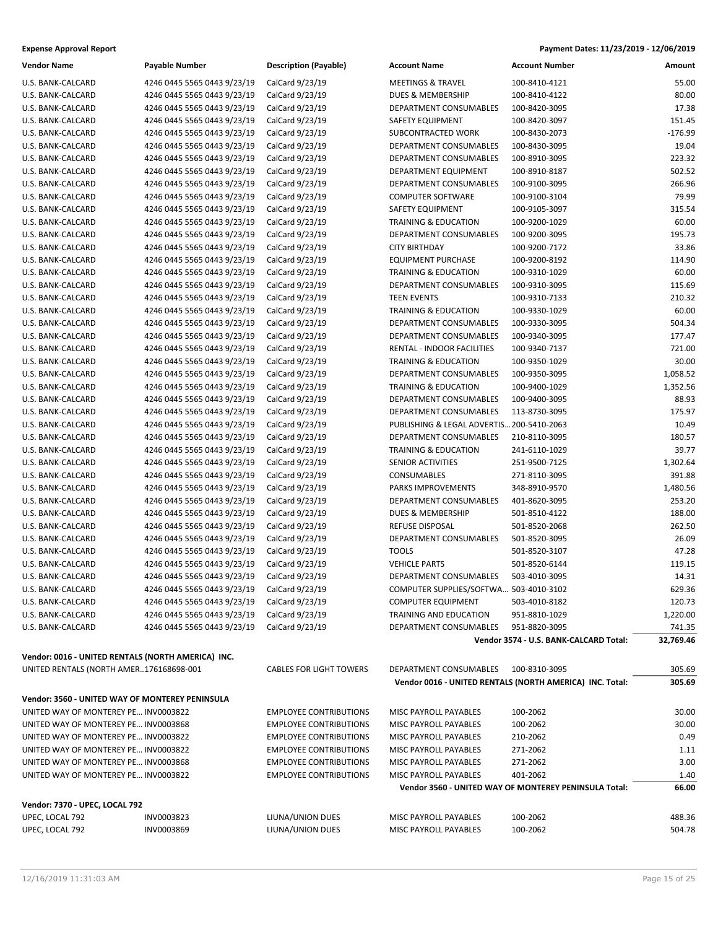| <b>Expense Approval Report</b> | Payment Dates: 11/23/2019 - 12/06/2019 |
|--------------------------------|----------------------------------------|
|--------------------------------|----------------------------------------|

| <b>Vendor Name</b>                                 | Payable Number              | <b>Description (Payable)</b>   | <b>Account Name</b>                       | <b>Account Number</b>                                    | Amount    |
|----------------------------------------------------|-----------------------------|--------------------------------|-------------------------------------------|----------------------------------------------------------|-----------|
| U.S. BANK-CALCARD                                  | 4246 0445 5565 0443 9/23/19 | CalCard 9/23/19                | <b>MEETINGS &amp; TRAVEL</b>              | 100-8410-4121                                            | 55.00     |
| U.S. BANK-CALCARD                                  | 4246 0445 5565 0443 9/23/19 | CalCard 9/23/19                | DUES & MEMBERSHIP                         | 100-8410-4122                                            | 80.00     |
| U.S. BANK-CALCARD                                  | 4246 0445 5565 0443 9/23/19 | CalCard 9/23/19                | DEPARTMENT CONSUMABLES                    | 100-8420-3095                                            | 17.38     |
| U.S. BANK-CALCARD                                  | 4246 0445 5565 0443 9/23/19 | CalCard 9/23/19                | SAFETY EQUIPMENT                          | 100-8420-3097                                            | 151.45    |
| U.S. BANK-CALCARD                                  | 4246 0445 5565 0443 9/23/19 | CalCard 9/23/19                | SUBCONTRACTED WORK                        | 100-8430-2073                                            | $-176.99$ |
| U.S. BANK-CALCARD                                  | 4246 0445 5565 0443 9/23/19 | CalCard 9/23/19                | DEPARTMENT CONSUMABLES                    | 100-8430-3095                                            | 19.04     |
| U.S. BANK-CALCARD                                  | 4246 0445 5565 0443 9/23/19 | CalCard 9/23/19                | DEPARTMENT CONSUMABLES                    | 100-8910-3095                                            | 223.32    |
| U.S. BANK-CALCARD                                  | 4246 0445 5565 0443 9/23/19 | CalCard 9/23/19                | DEPARTMENT EQUIPMENT                      | 100-8910-8187                                            | 502.52    |
| U.S. BANK-CALCARD                                  | 4246 0445 5565 0443 9/23/19 | CalCard 9/23/19                | DEPARTMENT CONSUMABLES                    | 100-9100-3095                                            | 266.96    |
| U.S. BANK-CALCARD                                  | 4246 0445 5565 0443 9/23/19 | CalCard 9/23/19                | <b>COMPUTER SOFTWARE</b>                  | 100-9100-3104                                            | 79.99     |
| U.S. BANK-CALCARD                                  | 4246 0445 5565 0443 9/23/19 | CalCard 9/23/19                | SAFETY EQUIPMENT                          | 100-9105-3097                                            | 315.54    |
| U.S. BANK-CALCARD                                  | 4246 0445 5565 0443 9/23/19 | CalCard 9/23/19                | <b>TRAINING &amp; EDUCATION</b>           | 100-9200-1029                                            | 60.00     |
| U.S. BANK-CALCARD                                  | 4246 0445 5565 0443 9/23/19 | CalCard 9/23/19                | DEPARTMENT CONSUMABLES                    | 100-9200-3095                                            | 195.73    |
| U.S. BANK-CALCARD                                  | 4246 0445 5565 0443 9/23/19 | CalCard 9/23/19                | <b>CITY BIRTHDAY</b>                      | 100-9200-7172                                            | 33.86     |
| U.S. BANK-CALCARD                                  | 4246 0445 5565 0443 9/23/19 | CalCard 9/23/19                | <b>EQUIPMENT PURCHASE</b>                 | 100-9200-8192                                            | 114.90    |
| U.S. BANK-CALCARD                                  | 4246 0445 5565 0443 9/23/19 | CalCard 9/23/19                | <b>TRAINING &amp; EDUCATION</b>           | 100-9310-1029                                            | 60.00     |
| U.S. BANK-CALCARD                                  | 4246 0445 5565 0443 9/23/19 | CalCard 9/23/19                | DEPARTMENT CONSUMABLES                    | 100-9310-3095                                            | 115.69    |
| U.S. BANK-CALCARD                                  | 4246 0445 5565 0443 9/23/19 | CalCard 9/23/19                | <b>TEEN EVENTS</b>                        | 100-9310-7133                                            | 210.32    |
| U.S. BANK-CALCARD                                  | 4246 0445 5565 0443 9/23/19 | CalCard 9/23/19                | <b>TRAINING &amp; EDUCATION</b>           | 100-9330-1029                                            | 60.00     |
| U.S. BANK-CALCARD                                  | 4246 0445 5565 0443 9/23/19 | CalCard 9/23/19                | DEPARTMENT CONSUMABLES                    | 100-9330-3095                                            | 504.34    |
| U.S. BANK-CALCARD                                  | 4246 0445 5565 0443 9/23/19 | CalCard 9/23/19                | DEPARTMENT CONSUMABLES                    | 100-9340-3095                                            | 177.47    |
| U.S. BANK-CALCARD                                  | 4246 0445 5565 0443 9/23/19 | CalCard 9/23/19                | RENTAL - INDOOR FACILITIES                | 100-9340-7137                                            | 721.00    |
| U.S. BANK-CALCARD                                  | 4246 0445 5565 0443 9/23/19 | CalCard 9/23/19                | TRAINING & EDUCATION                      | 100-9350-1029                                            | 30.00     |
| U.S. BANK-CALCARD                                  | 4246 0445 5565 0443 9/23/19 | CalCard 9/23/19                | DEPARTMENT CONSUMABLES                    | 100-9350-3095                                            | 1,058.52  |
| U.S. BANK-CALCARD                                  | 4246 0445 5565 0443 9/23/19 | CalCard 9/23/19                | <b>TRAINING &amp; EDUCATION</b>           | 100-9400-1029                                            | 1,352.56  |
| U.S. BANK-CALCARD                                  | 4246 0445 5565 0443 9/23/19 | CalCard 9/23/19                | DEPARTMENT CONSUMABLES                    | 100-9400-3095                                            | 88.93     |
| U.S. BANK-CALCARD                                  | 4246 0445 5565 0443 9/23/19 | CalCard 9/23/19                | DEPARTMENT CONSUMABLES                    | 113-8730-3095                                            | 175.97    |
| U.S. BANK-CALCARD                                  | 4246 0445 5565 0443 9/23/19 | CalCard 9/23/19                | PUBLISHING & LEGAL ADVERTIS 200-5410-2063 |                                                          | 10.49     |
| U.S. BANK-CALCARD                                  | 4246 0445 5565 0443 9/23/19 | CalCard 9/23/19                | DEPARTMENT CONSUMABLES                    | 210-8110-3095                                            | 180.57    |
| U.S. BANK-CALCARD                                  | 4246 0445 5565 0443 9/23/19 | CalCard 9/23/19                | <b>TRAINING &amp; EDUCATION</b>           | 241-6110-1029                                            | 39.77     |
| U.S. BANK-CALCARD                                  | 4246 0445 5565 0443 9/23/19 | CalCard 9/23/19                | SENIOR ACTIVITIES                         | 251-9500-7125                                            | 1,302.64  |
| U.S. BANK-CALCARD                                  | 4246 0445 5565 0443 9/23/19 | CalCard 9/23/19                | CONSUMABLES                               | 271-8110-3095                                            | 391.88    |
| U.S. BANK-CALCARD                                  | 4246 0445 5565 0443 9/23/19 | CalCard 9/23/19                | PARKS IMPROVEMENTS                        | 348-8910-9570                                            | 1,480.56  |
| U.S. BANK-CALCARD                                  | 4246 0445 5565 0443 9/23/19 | CalCard 9/23/19                | DEPARTMENT CONSUMABLES                    | 401-8620-3095                                            | 253.20    |
| U.S. BANK-CALCARD                                  | 4246 0445 5565 0443 9/23/19 | CalCard 9/23/19                | DUES & MEMBERSHIP                         | 501-8510-4122                                            | 188.00    |
| U.S. BANK-CALCARD                                  | 4246 0445 5565 0443 9/23/19 | CalCard 9/23/19                | REFUSE DISPOSAL                           | 501-8520-2068                                            | 262.50    |
| U.S. BANK-CALCARD                                  | 4246 0445 5565 0443 9/23/19 | CalCard 9/23/19                | DEPARTMENT CONSUMABLES                    | 501-8520-3095                                            | 26.09     |
| U.S. BANK-CALCARD                                  | 4246 0445 5565 0443 9/23/19 | CalCard 9/23/19                | <b>TOOLS</b>                              | 501-8520-3107                                            | 47.28     |
| U.S. BANK-CALCARD                                  | 4246 0445 5565 0443 9/23/19 | CalCard 9/23/19                | <b>VEHICLE PARTS</b>                      | 501-8520-6144                                            | 119.15    |
| U.S. BANK-CALCARD                                  | 4246 0445 5565 0443 9/23/19 | CalCard 9/23/19                | DEPARTMENT CONSUMABLES                    | 503-4010-3095                                            | 14.31     |
| U.S. BANK-CALCARD                                  | 4246 0445 5565 0443 9/23/19 | CalCard 9/23/19                | COMPUTER SUPPLIES/SOFTWA 503-4010-3102    |                                                          | 629.36    |
| U.S. BANK-CALCARD                                  | 4246 0445 5565 0443 9/23/19 | CalCard 9/23/19                | <b>COMPUTER EQUIPMENT</b>                 | 503-4010-8182                                            | 120.73    |
| U.S. BANK-CALCARD                                  | 4246 0445 5565 0443 9/23/19 | CalCard 9/23/19                | TRAINING AND EDUCATION                    | 951-8810-1029                                            | 1,220.00  |
| U.S. BANK-CALCARD                                  | 4246 0445 5565 0443 9/23/19 | CalCard 9/23/19                | DEPARTMENT CONSUMABLES                    | 951-8820-3095                                            | 741.35    |
|                                                    |                             |                                |                                           | Vendor 3574 - U.S. BANK-CALCARD Total:                   | 32,769.46 |
| Vendor: 0016 - UNITED RENTALS (NORTH AMERICA) INC. |                             |                                |                                           |                                                          |           |
| UNITED RENTALS (NORTH AMER176168698-001            |                             | <b>CABLES FOR LIGHT TOWERS</b> | DEPARTMENT CONSUMABLES                    | 100-8310-3095                                            | 305.69    |
|                                                    |                             |                                |                                           | Vendor 0016 - UNITED RENTALS (NORTH AMERICA) INC. Total: | 305.69    |
| Vendor: 3560 - UNITED WAY OF MONTEREY PENINSULA    |                             |                                |                                           |                                                          |           |
| UNITED WAY OF MONTEREY PE INV0003822               |                             | <b>EMPLOYEE CONTRIBUTIONS</b>  | MISC PAYROLL PAYABLES                     | 100-2062                                                 | 30.00     |
| UNITED WAY OF MONTEREY PE INV0003868               |                             | <b>EMPLOYEE CONTRIBUTIONS</b>  | MISC PAYROLL PAYABLES                     | 100-2062                                                 | 30.00     |
| UNITED WAY OF MONTEREY PE INV0003822               |                             | <b>EMPLOYEE CONTRIBUTIONS</b>  | MISC PAYROLL PAYABLES                     | 210-2062                                                 | 0.49      |
| UNITED WAY OF MONTEREY PE INV0003822               |                             | <b>EMPLOYEE CONTRIBUTIONS</b>  | MISC PAYROLL PAYABLES                     | 271-2062                                                 | 1.11      |
| UNITED WAY OF MONTEREY PE INV0003868               |                             | <b>EMPLOYEE CONTRIBUTIONS</b>  | MISC PAYROLL PAYABLES                     | 271-2062                                                 | 3.00      |
| UNITED WAY OF MONTEREY PE INV0003822               |                             | <b>EMPLOYEE CONTRIBUTIONS</b>  | MISC PAYROLL PAYABLES                     | 401-2062                                                 | 1.40      |
|                                                    |                             |                                |                                           | Vendor 3560 - UNITED WAY OF MONTEREY PENINSULA Total:    | 66.00     |
|                                                    |                             |                                |                                           |                                                          |           |
| Vendor: 7370 - UPEC, LOCAL 792                     |                             |                                |                                           |                                                          |           |
| UPEC, LOCAL 792                                    | INV0003823                  | LIUNA/UNION DUES               | MISC PAYROLL PAYABLES                     | 100-2062                                                 | 488.36    |
| UPEC, LOCAL 792                                    | INV0003869                  | LIUNA/UNION DUES               | MISC PAYROLL PAYABLES                     | 100-2062                                                 | 504.78    |
|                                                    |                             |                                |                                           |                                                          |           |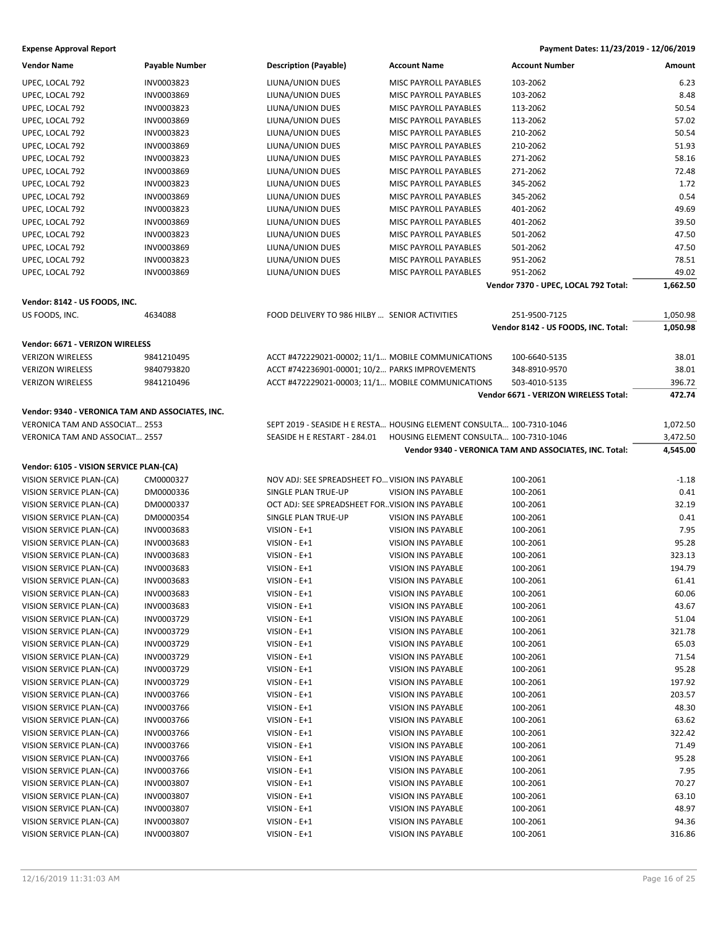| Vendor Name                                      | <b>Payable Number</b> | <b>Description (Payable)</b>                                         | <b>Account Name</b>                    | <b>Account Number</b>                                  | Amount   |
|--------------------------------------------------|-----------------------|----------------------------------------------------------------------|----------------------------------------|--------------------------------------------------------|----------|
| UPEC, LOCAL 792                                  | INV0003823            | LIUNA/UNION DUES                                                     | MISC PAYROLL PAYABLES                  | 103-2062                                               | 6.23     |
| UPEC, LOCAL 792                                  | INV0003869            | LIUNA/UNION DUES                                                     | MISC PAYROLL PAYABLES                  | 103-2062                                               | 8.48     |
| UPEC, LOCAL 792                                  | INV0003823            | LIUNA/UNION DUES                                                     | MISC PAYROLL PAYABLES                  | 113-2062                                               | 50.54    |
| UPEC, LOCAL 792                                  | INV0003869            | LIUNA/UNION DUES                                                     | MISC PAYROLL PAYABLES                  | 113-2062                                               | 57.02    |
| UPEC, LOCAL 792                                  | INV0003823            | LIUNA/UNION DUES                                                     | MISC PAYROLL PAYABLES                  | 210-2062                                               | 50.54    |
| UPEC, LOCAL 792                                  | INV0003869            | LIUNA/UNION DUES                                                     | MISC PAYROLL PAYABLES                  | 210-2062                                               | 51.93    |
| UPEC, LOCAL 792                                  | INV0003823            | LIUNA/UNION DUES                                                     | MISC PAYROLL PAYABLES                  | 271-2062                                               | 58.16    |
| UPEC, LOCAL 792                                  | INV0003869            | LIUNA/UNION DUES                                                     | MISC PAYROLL PAYABLES                  | 271-2062                                               | 72.48    |
| UPEC, LOCAL 792                                  | INV0003823            | LIUNA/UNION DUES                                                     | MISC PAYROLL PAYABLES                  | 345-2062                                               | 1.72     |
| UPEC, LOCAL 792                                  | INV0003869            | LIUNA/UNION DUES                                                     | <b>MISC PAYROLL PAYABLES</b>           | 345-2062                                               | 0.54     |
| UPEC, LOCAL 792                                  | INV0003823            | LIUNA/UNION DUES                                                     | MISC PAYROLL PAYABLES                  | 401-2062                                               | 49.69    |
| UPEC, LOCAL 792                                  | INV0003869            | LIUNA/UNION DUES                                                     | MISC PAYROLL PAYABLES                  | 401-2062                                               | 39.50    |
| UPEC, LOCAL 792                                  | INV0003823            | LIUNA/UNION DUES                                                     | MISC PAYROLL PAYABLES                  | 501-2062                                               | 47.50    |
|                                                  |                       |                                                                      |                                        |                                                        |          |
| UPEC, LOCAL 792                                  | INV0003869            | LIUNA/UNION DUES                                                     | MISC PAYROLL PAYABLES                  | 501-2062                                               | 47.50    |
| UPEC, LOCAL 792                                  | INV0003823            | LIUNA/UNION DUES                                                     | MISC PAYROLL PAYABLES                  | 951-2062                                               | 78.51    |
| UPEC, LOCAL 792                                  | INV0003869            | LIUNA/UNION DUES                                                     | MISC PAYROLL PAYABLES                  | 951-2062                                               | 49.02    |
|                                                  |                       |                                                                      |                                        | Vendor 7370 - UPEC, LOCAL 792 Total:                   | 1,662.50 |
| Vendor: 8142 - US FOODS, INC.                    |                       |                                                                      |                                        |                                                        |          |
| US FOODS, INC.                                   | 4634088               | FOOD DELIVERY TO 986 HILBY  SENIOR ACTIVITIES                        |                                        | 251-9500-7125                                          | 1,050.98 |
|                                                  |                       |                                                                      |                                        | Vendor 8142 - US FOODS, INC. Total:                    | 1,050.98 |
| Vendor: 6671 - VERIZON WIRELESS                  |                       |                                                                      |                                        |                                                        |          |
| <b>VERIZON WIRELESS</b>                          | 9841210495            | ACCT #472229021-00002; 11/1 MOBILE COMMUNICATIONS                    |                                        | 100-6640-5135                                          | 38.01    |
| <b>VERIZON WIRELESS</b>                          | 9840793820            | ACCT #742236901-00001; 10/2 PARKS IMPROVEMENTS                       |                                        | 348-8910-9570                                          | 38.01    |
| <b>VERIZON WIRELESS</b>                          | 9841210496            | ACCT #472229021-00003; 11/1 MOBILE COMMUNICATIONS                    |                                        | 503-4010-5135                                          | 396.72   |
|                                                  |                       |                                                                      |                                        | Vendor 6671 - VERIZON WIRELESS Total:                  | 472.74   |
| Vendor: 9340 - VERONICA TAM AND ASSOCIATES, INC. |                       |                                                                      |                                        |                                                        |          |
| VERONICA TAM AND ASSOCIAT 2553                   |                       | SEPT 2019 - SEASIDE H E RESTA HOUSING ELEMENT CONSULTA 100-7310-1046 |                                        |                                                        |          |
|                                                  |                       |                                                                      |                                        |                                                        | 1,072.50 |
| VERONICA TAM AND ASSOCIAT 2557                   |                       | SEASIDE H E RESTART - 284.01                                         | HOUSING ELEMENT CONSULTA 100-7310-1046 |                                                        | 3,472.50 |
|                                                  |                       |                                                                      |                                        | Vendor 9340 - VERONICA TAM AND ASSOCIATES, INC. Total: | 4,545.00 |
| Vendor: 6105 - VISION SERVICE PLAN-(CA)          |                       |                                                                      |                                        |                                                        |          |
| VISION SERVICE PLAN-(CA)                         | CM0000327             | NOV ADJ: SEE SPREADSHEET FO VISION INS PAYABLE                       |                                        | 100-2061                                               | $-1.18$  |
| VISION SERVICE PLAN-(CA)                         | DM0000336             | SINGLE PLAN TRUE-UP                                                  | <b>VISION INS PAYABLE</b>              | 100-2061                                               | 0.41     |
| VISION SERVICE PLAN-(CA)                         | DM0000337             | OCT ADJ: SEE SPREADSHEET FOR. VISION INS PAYABLE                     |                                        | 100-2061                                               | 32.19    |
| VISION SERVICE PLAN-(CA)                         | DM0000354             | SINGLE PLAN TRUE-UP                                                  | <b>VISION INS PAYABLE</b>              | 100-2061                                               | 0.41     |
| VISION SERVICE PLAN-(CA)                         | INV0003683            | VISION - E+1                                                         | VISION INS PAYABLE                     | 100-2061                                               | 7.95     |
| VISION SERVICE PLAN-(CA)                         | INV0003683            | VISION - E+1                                                         | VISION INS PAYABLE                     | 100-2061                                               | 95.28    |
| VISION SERVICE PLAN-(CA)                         | INV0003683            | VISION - E+1                                                         | <b>VISION INS PAYABLE</b>              | 100-2061                                               | 323.13   |
| VISION SERVICE PLAN-(CA)                         | INV0003683            | VISION - E+1                                                         | <b>VISION INS PAYABLE</b>              | 100-2061                                               | 194.79   |
| VISION SERVICE PLAN-(CA)                         | INV0003683            | VISION - E+1                                                         | <b>VISION INS PAYABLE</b>              | 100-2061                                               | 61.41    |
| VISION SERVICE PLAN-(CA)                         | INV0003683            | VISION - E+1                                                         | VISION INS PAYABLE                     | 100-2061                                               | 60.06    |
| VISION SERVICE PLAN-(CA)                         | INV0003683            | VISION - E+1                                                         | <b>VISION INS PAYABLE</b>              | 100-2061                                               | 43.67    |
| VISION SERVICE PLAN-(CA)                         | INV0003729            | VISION - E+1                                                         | <b>VISION INS PAYABLE</b>              | 100-2061                                               | 51.04    |
| VISION SERVICE PLAN-(CA)                         | INV0003729            | VISION - E+1                                                         | VISION INS PAYABLE                     | 100-2061                                               | 321.78   |
| VISION SERVICE PLAN-(CA)                         | INV0003729            | VISION - E+1                                                         | VISION INS PAYABLE                     | 100-2061                                               | 65.03    |
| VISION SERVICE PLAN-(CA)                         | INV0003729            | VISION - E+1                                                         | VISION INS PAYABLE                     | 100-2061                                               | 71.54    |
| VISION SERVICE PLAN-(CA)                         | INV0003729            | VISION - E+1                                                         | VISION INS PAYABLE                     | 100-2061                                               | 95.28    |
| VISION SERVICE PLAN-(CA)                         | INV0003729            |                                                                      | VISION INS PAYABLE                     | 100-2061                                               | 197.92   |
|                                                  | INV0003766            | VISION - E+1                                                         |                                        |                                                        | 203.57   |
| VISION SERVICE PLAN-(CA)                         |                       | VISION - E+1                                                         | VISION INS PAYABLE                     | 100-2061                                               |          |
| VISION SERVICE PLAN-(CA)                         | INV0003766            | VISION - E+1                                                         | VISION INS PAYABLE                     | 100-2061                                               | 48.30    |
| VISION SERVICE PLAN-(CA)                         | INV0003766            | VISION - E+1                                                         | VISION INS PAYABLE                     | 100-2061                                               | 63.62    |
| VISION SERVICE PLAN-(CA)                         | INV0003766            | VISION - E+1                                                         | VISION INS PAYABLE                     | 100-2061                                               | 322.42   |
| VISION SERVICE PLAN-(CA)                         | INV0003766            | VISION - E+1                                                         | VISION INS PAYABLE                     | 100-2061                                               | 71.49    |
| VISION SERVICE PLAN-(CA)                         | INV0003766            | VISION - E+1                                                         | VISION INS PAYABLE                     | 100-2061                                               | 95.28    |
| VISION SERVICE PLAN-(CA)                         | INV0003766            | VISION - E+1                                                         | VISION INS PAYABLE                     | 100-2061                                               | 7.95     |
| VISION SERVICE PLAN-(CA)                         | INV0003807            | VISION - E+1                                                         | VISION INS PAYABLE                     | 100-2061                                               | 70.27    |
| VISION SERVICE PLAN-(CA)                         | INV0003807            | VISION - E+1                                                         | VISION INS PAYABLE                     | 100-2061                                               | 63.10    |
| VISION SERVICE PLAN-(CA)                         | INV0003807            | VISION - E+1                                                         | VISION INS PAYABLE                     | 100-2061                                               | 48.97    |
| VISION SERVICE PLAN-(CA)                         | INV0003807            | VISION - E+1                                                         | VISION INS PAYABLE                     | 100-2061                                               | 94.36    |
| VISION SERVICE PLAN-(CA)                         | INV0003807            | VISION - E+1                                                         | VISION INS PAYABLE                     | 100-2061                                               | 316.86   |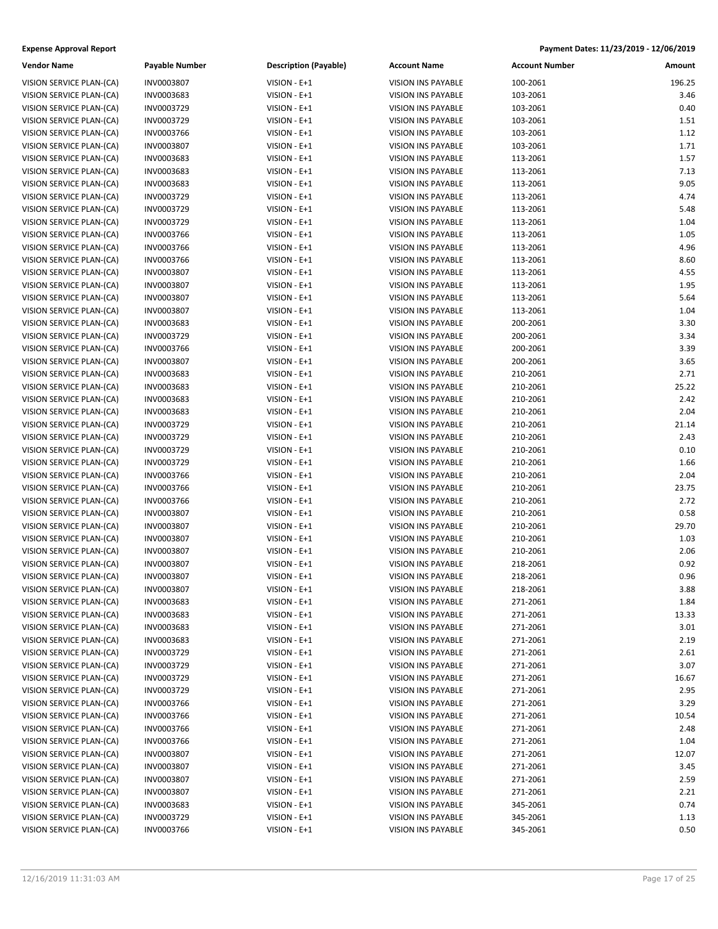### **Expense Approval Report**

| Payable Number | Description (Payab |
|----------------|--------------------|
| INV0003807     | VISION - E+1       |
| INV0003683     | VISION - E+1       |
| INV0003729     | VISION - E+1       |
| INV0003729     | VISION - E+1       |
| INV0003766     | VISION - E+1       |
| INV0003807     | VISION - E+1       |
| INV0003683     | VISION - E+1       |
| INV0003683     | VISION - E+1       |
| INV0003683     | VISION - E+1       |
| INV0003729     | VISION - E+1       |
| INV0003729     | VISION - E+1       |
| INV0003729     | VISION - E+1       |
| INV0003766     | VISION - E+1       |
| INV0003766     | VISION - E+1       |
| INV0003766     | VISION - E+1       |
| INV0003807     | VISION - E+1       |
| INV0003807     | VISION - E+1       |
| INV0003807     | VISION - E+1       |
| INV0003807     | VISION - E+1       |
| INV0003683     | VISION - E+1       |
| INV0003729     | VISION - E+1       |
| INV0003766     | VISION - E+1       |
| INV0003807     | VISION - E+1       |
| INV0003683     | VISION - E+1       |
| INV0003683     | VISION - E+1       |
| INV0003683     | VISION - E+1       |
| INV0003683     | VISION - E+1       |
| INV0003729     | VISION - E+1       |
| INV0003729     | VISION - E+1       |
| INV0003729     | VISION - E+1       |
| INV0003729     | VISION - E+1       |
| INV0003766     | VISION - E+1       |
| INV0003766     | VISION - E+1       |
| INV0003766     | VISION - E+1       |
| INV0003807     | VISION - E+1       |
| INV0003807     | VISION - E+1       |
| INV0003807     | VISION - E+1       |
| INV0003807     | VISION - E+1       |
| INV0003807     | VISION - E+1       |
| INV0003807     | VISION - E+1       |
| INV0003807     | $VISION - E + 1$   |
| INV0003683     | VISION - E+1       |
| INV0003683     | VISION - E+1       |
| INV0003683     | VISION - E+1       |
| INV0003683     | VISION - E+1       |
| INV0003729     | VISION - E+1       |
| INV0003729     | VISION - E+1       |
| INV0003729     | VISION - E+1       |
| INV0003729     | VISION - E+1       |
| INV0003766     | VISION - E+1       |
| INV0003766     | VISION - E+1       |
| INV0003766     | VISION - E+1       |
| INV0003766     | VISION - E+1       |
| INV0003807     | VISION - E+1       |
| INV0003807     | VISION - E+1       |
| INV0003807     | VISION - E+1       |
| INV0003807     | VISION - E+1       |
| INV0003683     | VISION - E+1       |
| INV0003729     | VISION - E+1       |
|                |                    |

| Payment Dates: 11/23/2019 - 12/06/2019 |  |
|----------------------------------------|--|
|                                        |  |

| Vendor Name                                          | Payable Number           | <b>Description (Payable)</b> | <b>Account Name</b>                             | <b>Account Number</b> | Amount        |
|------------------------------------------------------|--------------------------|------------------------------|-------------------------------------------------|-----------------------|---------------|
| VISION SERVICE PLAN-(CA)                             | <b>INV0003807</b>        | VISION - E+1                 | VISION INS PAYABLE                              | 100-2061              | 196.25        |
| VISION SERVICE PLAN-(CA)                             | INV0003683               | VISION - E+1                 | VISION INS PAYABLE                              | 103-2061              | 3.46          |
| VISION SERVICE PLAN-(CA)                             | INV0003729               | VISION - E+1                 | VISION INS PAYABLE                              | 103-2061              | 0.40          |
| VISION SERVICE PLAN-(CA)                             | INV0003729               | VISION - E+1                 | VISION INS PAYABLE                              | 103-2061              | 1.51          |
| VISION SERVICE PLAN-(CA)                             | INV0003766               | VISION - E+1                 | <b>VISION INS PAYABLE</b>                       | 103-2061              | 1.12          |
| VISION SERVICE PLAN-(CA)                             | INV0003807               | VISION - E+1                 | VISION INS PAYABLE                              | 103-2061              | 1.71          |
| VISION SERVICE PLAN-(CA)                             | INV0003683               | VISION - E+1                 | VISION INS PAYABLE                              | 113-2061              | 1.57          |
| VISION SERVICE PLAN-(CA)                             | INV0003683               | VISION - E+1                 | VISION INS PAYABLE                              | 113-2061              | 7.13          |
| VISION SERVICE PLAN-(CA)                             | INV0003683               | VISION - E+1                 | VISION INS PAYABLE                              | 113-2061              | 9.05          |
| VISION SERVICE PLAN-(CA)                             | INV0003729               | VISION - E+1                 | <b>VISION INS PAYABLE</b>                       | 113-2061              | 4.74          |
| VISION SERVICE PLAN-(CA)                             | INV0003729               | VISION - E+1                 | <b>VISION INS PAYABLE</b>                       | 113-2061              | 5.48          |
| VISION SERVICE PLAN-(CA)                             | INV0003729               | VISION - E+1                 | <b>VISION INS PAYABLE</b>                       | 113-2061              | 1.04          |
| VISION SERVICE PLAN-(CA)                             | INV0003766               | VISION - E+1                 | VISION INS PAYABLE                              | 113-2061              | 1.05          |
| VISION SERVICE PLAN-(CA)                             | INV0003766               | VISION - E+1                 | VISION INS PAYABLE                              | 113-2061              | 4.96          |
| VISION SERVICE PLAN-(CA)                             | INV0003766               | VISION - E+1                 | <b>VISION INS PAYABLE</b>                       | 113-2061              | 8.60          |
| VISION SERVICE PLAN-(CA)                             | INV0003807               | VISION - E+1                 | <b>VISION INS PAYABLE</b>                       | 113-2061              | 4.55          |
| VISION SERVICE PLAN-(CA)                             | INV0003807               | VISION - E+1                 | VISION INS PAYABLE                              | 113-2061              | 1.95          |
| VISION SERVICE PLAN-(CA)                             | INV0003807               | VISION - E+1                 | VISION INS PAYABLE                              | 113-2061              | 5.64          |
| VISION SERVICE PLAN-(CA)                             | INV0003807               | VISION - E+1                 | VISION INS PAYABLE                              | 113-2061              | 1.04          |
| VISION SERVICE PLAN-(CA)                             | INV0003683               | VISION - E+1                 | <b>VISION INS PAYABLE</b>                       | 200-2061              | 3.30          |
| VISION SERVICE PLAN-(CA)                             | INV0003729               | VISION - E+1                 | <b>VISION INS PAYABLE</b>                       | 200-2061              | 3.34          |
| VISION SERVICE PLAN-(CA)                             | INV0003766               | VISION - E+1                 | <b>VISION INS PAYABLE</b>                       | 200-2061              | 3.39          |
| VISION SERVICE PLAN-(CA)                             | INV0003807               | VISION - E+1                 | VISION INS PAYABLE                              | 200-2061              | 3.65          |
| VISION SERVICE PLAN-(CA)                             | INV0003683               | VISION - E+1                 | VISION INS PAYABLE                              | 210-2061              | 2.71          |
| VISION SERVICE PLAN-(CA)                             | INV0003683               | VISION - E+1                 | <b>VISION INS PAYABLE</b>                       | 210-2061              | 25.22         |
| VISION SERVICE PLAN-(CA)                             | INV0003683               | VISION - E+1                 | VISION INS PAYABLE                              | 210-2061              | 2.42          |
| VISION SERVICE PLAN-(CA)                             | INV0003683               | VISION - E+1                 | VISION INS PAYABLE                              | 210-2061              | 2.04          |
| VISION SERVICE PLAN-(CA)                             | INV0003729               | VISION - E+1                 | VISION INS PAYABLE                              | 210-2061              | 21.14         |
| VISION SERVICE PLAN-(CA)                             | INV0003729               | VISION - E+1                 | VISION INS PAYABLE                              | 210-2061              | 2.43          |
| VISION SERVICE PLAN-(CA)                             | INV0003729               |                              | VISION INS PAYABLE                              | 210-2061              | 0.10          |
| VISION SERVICE PLAN-(CA)                             | INV0003729               | VISION - E+1<br>VISION - E+1 | <b>VISION INS PAYABLE</b>                       | 210-2061              | 1.66          |
|                                                      | INV0003766               | VISION - E+1                 | VISION INS PAYABLE                              | 210-2061              | 2.04          |
| VISION SERVICE PLAN-(CA)<br>VISION SERVICE PLAN-(CA) | INV0003766               | VISION - E+1                 | VISION INS PAYABLE                              | 210-2061              | 23.75         |
| VISION SERVICE PLAN-(CA)                             | INV0003766               | VISION - E+1                 | VISION INS PAYABLE                              | 210-2061              | 2.72          |
| VISION SERVICE PLAN-(CA)                             | INV0003807               | VISION - E+1                 | VISION INS PAYABLE                              | 210-2061              | 0.58          |
| VISION SERVICE PLAN-(CA)                             | INV0003807               | VISION - E+1                 | VISION INS PAYABLE                              | 210-2061              | 29.70         |
| VISION SERVICE PLAN-(CA)                             | INV0003807               | VISION - E+1                 | VISION INS PAYABLE                              | 210-2061              | 1.03          |
| VISION SERVICE PLAN-(CA)                             | INV0003807               | VISION - E+1                 | VISION INS PAYABLE                              | 210-2061              | 2.06          |
| VISION SERVICE PLAN-(CA)                             | INV0003807               | VISION - E+1                 | VISION INS PAYABLE                              | 218-2061              | 0.92          |
| VISION SERVICE PLAN-(CA)                             | INV0003807               | VISION - E+1                 | <b>VISION INS PAYABLE</b>                       | 218-2061              | 0.96          |
| VISION SERVICE PLAN-(CA)                             | INV0003807               | VISION - E+1                 | VISION INS PAYABLE                              | 218-2061              | 3.88          |
| VISION SERVICE PLAN-(CA)                             | INV0003683               | VISION - E+1                 | <b>VISION INS PAYABLE</b>                       | 271-2061              | 1.84          |
| VISION SERVICE PLAN-(CA)                             | INV0003683               | VISION - E+1                 | <b>VISION INS PAYABLE</b>                       | 271-2061              | 13.33         |
|                                                      |                          |                              | VISION INS PAYABLE                              |                       | 3.01          |
| VISION SERVICE PLAN-(CA)<br>VISION SERVICE PLAN-(CA) | INV0003683<br>INV0003683 | VISION - E+1                 | VISION INS PAYABLE                              | 271-2061              | 2.19          |
| VISION SERVICE PLAN-(CA)                             |                          | VISION - E+1<br>VISION - E+1 | VISION INS PAYABLE                              | 271-2061<br>271-2061  | 2.61          |
|                                                      | INV0003729<br>INV0003729 | VISION - E+1                 |                                                 |                       | 3.07          |
| VISION SERVICE PLAN-(CA)                             |                          |                              | VISION INS PAYABLE<br><b>VISION INS PAYABLE</b> | 271-2061<br>271-2061  |               |
| VISION SERVICE PLAN-(CA)                             | INV0003729               | VISION - E+1                 | <b>VISION INS PAYABLE</b>                       |                       | 16.67<br>2.95 |
| VISION SERVICE PLAN-(CA)                             | INV0003729               | VISION - E+1                 |                                                 | 271-2061              |               |
| VISION SERVICE PLAN-(CA)                             | INV0003766               | VISION - E+1                 | <b>VISION INS PAYABLE</b>                       | 271-2061              | 3.29          |
| VISION SERVICE PLAN-(CA)                             | INV0003766               | VISION - E+1                 | VISION INS PAYABLE                              | 271-2061              | 10.54         |
| VISION SERVICE PLAN-(CA)                             | INV0003766               | VISION - E+1                 | VISION INS PAYABLE                              | 271-2061              | 2.48          |
| VISION SERVICE PLAN-(CA)                             | INV0003766               | VISION - E+1                 | VISION INS PAYABLE                              | 271-2061              | 1.04          |
| VISION SERVICE PLAN-(CA)                             | INV0003807               | VISION - E+1                 | VISION INS PAYABLE                              | 271-2061              | 12.07         |
| VISION SERVICE PLAN-(CA)                             | INV0003807               | VISION - E+1                 | <b>VISION INS PAYABLE</b>                       | 271-2061              | 3.45          |
| VISION SERVICE PLAN-(CA)                             | INV0003807               | VISION - E+1                 | VISION INS PAYABLE                              | 271-2061              | 2.59          |
| VISION SERVICE PLAN-(CA)                             | INV0003807               | VISION - E+1                 | VISION INS PAYABLE                              | 271-2061              | 2.21          |
| VISION SERVICE PLAN-(CA)                             | INV0003683               | VISION - E+1                 | VISION INS PAYABLE                              | 345-2061              | 0.74          |
| VISION SERVICE PLAN-(CA)                             | INV0003729               | VISION - E+1                 | VISION INS PAYABLE                              | 345-2061              | 1.13          |
| VISION SERVICE PLAN-(CA)                             | INV0003766               | $VISION - E + 1$             | VISION INS PAYABLE                              | 345-2061              | 0.50          |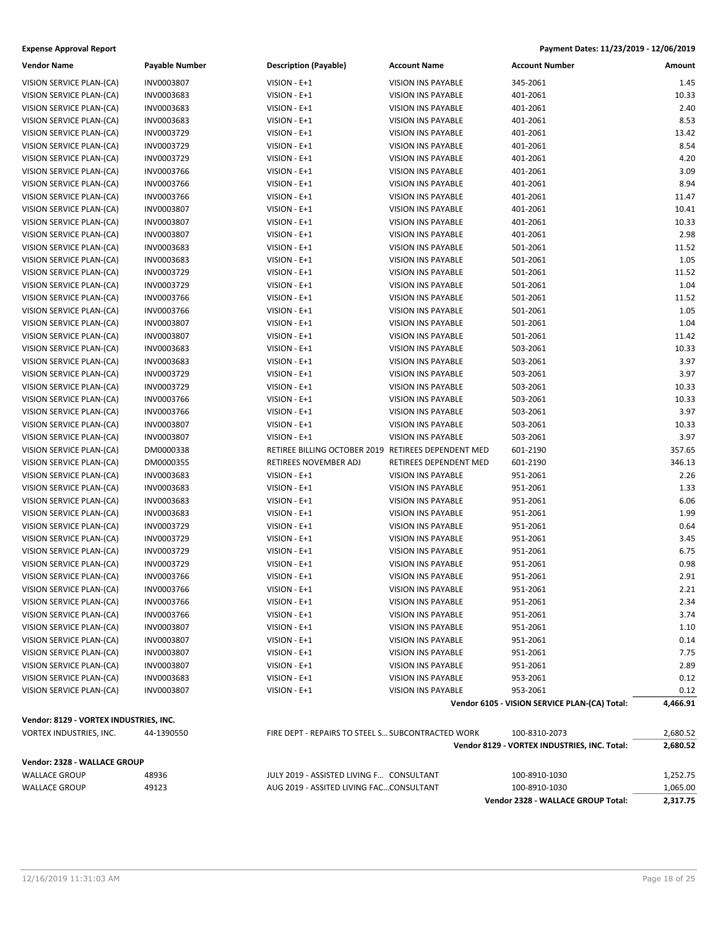### **Expense Approval Report**

### **Vendor Name Payable Number Description (Payable) Account A**

VISION SERVICE PLAN-(CA) INV0003807 VISION - E+1 VISION SERVICE PLAN-(CA) INV0003683 VISION - E+1 VISION 9 VISION SERVICE PLAN-(CA) INV0003683 VISION - E+1 VISION SERVICE PLAN-(CA) INV0003683 VISION - E+1 VISION SERVICE PLAN-(CA) INV0003729 VISION - E+1 VISION VISION VISION INSIDE 401-2061 VISION VISION VISION VIE VISION SERVICE PLAN-(CA) INV0003729 VISION - E+1 VISION VISION VISION INSTRUMENT VISION SERVICE PLAN-(CA) INV0003729 VISION - E+1 VISION VISION VISION - E+1 VISION SERVICE PLAN-(CA) INV0003766 VISION - E+1 VISION VISION INSTRUMENT VISION SERVICE PLAN-(CA) INV0003766 VISION - E+1 VISION VISION VISION INSTRUMENT VISION SERVICE PLAN-(CA) INV0003766 VISION - E+1 VISION VISION VISION INS PAYABLE 401-2012 VISION SERVICE PLAN-(CA) INV0003807 VISION - E+1 VISION VISION INSIDE 401-2061 VISION INSTRUMENT VISION SERVICE PLAN-(CA) INV0003807 VISION SERVICE PLAN-(CA) INV0003683 VISION SERVICE PLAN-(CA) INV0003683 VISION SERVICE PLAN-(CA) INV0003729 VISION SERVICE PLAN-(CA) INV0003729 VISION SERVICE PLAN-(CA) INV0003766 VISION SERVICE PLAN-(CA) INV0003766 VISION SERVICE PLAN-(CA) INV0003807 VISION SERVICE PLAN-(CA) INV0003807 VISION SERVICE PLAN-(CA) INV0003683 VISION SERVICE PLAN-(CA) INV0003683 VISION SERVICE PLAN-(CA) INV0003729 VISION SERVICE PLAN-(CA) INV0003729 VISION SERVICE PLAN-(CA) INV0003766 VISION SERVICE PLAN-(CA) INV0003766 VISION SERVICE PLAN-(CA) INV0003807 VISION SERVICE PLAN-(CA) INV0003807 VISION SERVICE PLAN-(CA) DM0000338 VISION SERVICE PLAN-(CA) DM0000355 VISION SERVICE PLAN-(CA) INV0003683 VISION SERVICE PLAN-(CA) INV0003683 VISION SERVICE PLAN-(CA) INV0003683 VISION SERVICE PLAN-(CA) INV0003683 VISION SERVICE PLAN-(CA) INV0003729 VISION SERVICE PLAN-(CA) INV0003729 VISION SERVICE PLAN-(CA) INV0003729 VISION SERVICE PLAN-(CA) INV0003729 VISION SERVICE PLAN-(CA) INV0003766 VISION SERVICE PLAN-(CA) INV0003766 VISION SERVICE PLAN-(CA) INV0003766 VISION SERVICE PLAN-(CA) INV0003766 VISION SERVICE PLAN-(CA) INV0003807 VISION SERVICE PLAN-(CA) INV0003807 VISION SERVICE PLAN-(CA) INV0003807 VISION SERVICE PLAN-(CA) INV0003807 VISION SERVICE PLAN-(CA) INV0003683 VISION SERVICE PLAN-(CA) INV0003807

### **Vendor: 8129 - VORTEX INDUSTRIES, INC.**

| VORTEX INDUSTRIES, INC.      | 44-1390550 | FIRE DEPT - REPAIRS TO STEEL S SUBCONTRACTED WORK | 100-8310-2073                                | 2.680.52 |  |
|------------------------------|------------|---------------------------------------------------|----------------------------------------------|----------|--|
|                              |            |                                                   | Vendor 8129 - VORTEX INDUSTRIES, INC. Total: | 2.680.52 |  |
| Vendor: 2328 - WALLACE GROUP |            |                                                   |                                              |          |  |
| WALLACE GROUP                | 48936      | JULY 2019 - ASSISTED LIVING F CONSULTANT          | 100-8910-1030                                | 1,252.75 |  |
| WALLACE GROUP                | 49123      | AUG 2019 - ASSITED LIVING FACCONSULTANT           | 100-8910-1030                                | 1.065.00 |  |

|                           |                       | Payment Dates: 11/23/2019 - 12/06/2019 |  |  |
|---------------------------|-----------------------|----------------------------------------|--|--|
| <b>Account Name</b>       | <b>Account Number</b> | Amount                                 |  |  |
| /ISION INS PAYABLE        | 345-2061              | 1.45                                   |  |  |
| <b>/ISION INS PAYABLE</b> | 401-2061              | 10.33                                  |  |  |
| <b>/ISION INS PAYABLE</b> | 401-2061              | 2.40                                   |  |  |
| <b>/ISION INS PAYABLE</b> | 401-2061              | 8.53                                   |  |  |
| /ISION INS PAYABLE        | 401-2061              | 13.42                                  |  |  |
| <b>/ISION INS PAYABLE</b> | 401-2061              | 8.54                                   |  |  |
| <b>/ISION INS PAYABLE</b> | 401-2061              | 4.20                                   |  |  |
| <b>/ISION INS PAYABLE</b> | 401-2061              | 3.09                                   |  |  |
| <b>/ISION INS PAYABLE</b> | 401-2061              | 8.94                                   |  |  |
| <b>/ISION INS PAYABLE</b> | 401-2061              | 11.47                                  |  |  |
| /ISION INS PAYABLE        | 401-2061              | 10.41                                  |  |  |
|                           |                       |                                        |  |  |

**Vendor 2328 - WALLACE GROUP Total: 2,317.75**

|                                        |            |                                                     |                           | Vendor 8129 - VORTEX INDUSTRIES, INC. Total:  | 2,680.52 |
|----------------------------------------|------------|-----------------------------------------------------|---------------------------|-----------------------------------------------|----------|
| VORTEX INDUSTRIES, INC.                | 44-1390550 | FIRE DEPT - REPAIRS TO STEEL S SUBCONTRACTED WORK   |                           | 100-8310-2073                                 | 2,680.52 |
| Vendor: 8129 - VORTEX INDUSTRIES, INC. |            |                                                     |                           |                                               |          |
|                                        |            |                                                     |                           | Vendor 6105 - VISION SERVICE PLAN-(CA) Total: | 4,466.91 |
| VISION SERVICE PLAN-(CA)               | INV0003807 | VISION - E+1                                        | <b>VISION INS PAYABLE</b> | 953-2061                                      | 0.12     |
| VISION SERVICE PLAN-(CA)               | INV0003683 | VISION - E+1                                        | <b>VISION INS PAYABLE</b> | 953-2061                                      | 0.12     |
| VISION SERVICE PLAN-(CA)               | INV0003807 | VISION - E+1                                        | <b>VISION INS PAYABLE</b> | 951-2061                                      | 2.89     |
| VISION SERVICE PLAN-(CA)               | INV0003807 | VISION - E+1                                        | VISION INS PAYABLE        | 951-2061                                      | 7.75     |
| VISION SERVICE PLAN-(CA)               | INV0003807 | VISION - E+1                                        | <b>VISION INS PAYABLE</b> | 951-2061                                      | 0.14     |
| VISION SERVICE PLAN-(CA)               | INV0003807 | VISION - E+1                                        | VISION INS PAYABLE        | 951-2061                                      | 1.10     |
| VISION SERVICE PLAN-(CA)               | INV0003766 | VISION - E+1                                        | VISION INS PAYABLE        | 951-2061                                      | 3.74     |
| VISION SERVICE PLAN-(CA)               | INV0003766 | VISION - E+1                                        | VISION INS PAYABLE        | 951-2061                                      | 2.34     |
| VISION SERVICE PLAN-(CA)               | INV0003766 | VISION - E+1                                        | VISION INS PAYABLE        | 951-2061                                      | 2.21     |
| VISION SERVICE PLAN-(CA)               | INV0003766 | VISION - E+1                                        | <b>VISION INS PAYABLE</b> | 951-2061                                      | 2.91     |
| VISION SERVICE PLAN-(CA)               | INV0003729 | VISION - E+1                                        | <b>VISION INS PAYABLE</b> | 951-2061                                      | 0.98     |
| VISION SERVICE PLAN-(CA)               | INV0003729 | VISION - E+1                                        | <b>VISION INS PAYABLE</b> | 951-2061                                      | 6.75     |
| VISION SERVICE PLAN-(CA)               | INV0003729 | VISION - E+1                                        | VISION INS PAYABLE        | 951-2061                                      | 3.45     |
| VISION SERVICE PLAN-(CA)               | INV0003729 | VISION - E+1                                        | <b>VISION INS PAYABLE</b> | 951-2061                                      | 0.64     |
| VISION SERVICE PLAN-(CA)               | INV0003683 | VISION - E+1                                        | <b>VISION INS PAYABLE</b> | 951-2061                                      | 1.99     |
| VISION SERVICE PLAN-(CA)               | INV0003683 | VISION - E+1                                        | <b>VISION INS PAYABLE</b> | 951-2061                                      | 6.06     |
| VISION SERVICE PLAN-(CA)               | INV0003683 | VISION - E+1                                        | <b>VISION INS PAYABLE</b> | 951-2061                                      | 1.33     |
| VISION SERVICE PLAN-(CA)               | INV0003683 | VISION - E+1                                        | <b>VISION INS PAYABLE</b> | 951-2061                                      | 2.26     |
| VISION SERVICE PLAN-(CA)               | DM0000355  | RETIREES NOVEMBER ADJ                               | RETIREES DEPENDENT MED    | 601-2190                                      | 346.13   |
| VISION SERVICE PLAN-(CA)               | DM0000338  | RETIREE BILLING OCTOBER 2019 RETIREES DEPENDENT MED |                           | 601-2190                                      | 357.65   |
| VISION SERVICE PLAN-(CA)               | INV0003807 | VISION - E+1                                        | <b>VISION INS PAYABLE</b> | 503-2061                                      | 3.97     |
| VISION SERVICE PLAN-(CA)               | INV0003807 | VISION - E+1                                        | VISION INS PAYABLE        | 503-2061                                      | 10.33    |
| VISION SERVICE PLAN-(CA)               | INV0003766 | VISION - E+1                                        | VISION INS PAYABLE        | 503-2061                                      | 3.97     |
| VISION SERVICE PLAN-(CA)               | INV0003766 | VISION - E+1                                        | <b>VISION INS PAYABLE</b> | 503-2061                                      | 10.33    |
| VISION SERVICE PLAN-(CA)               | INV0003729 | VISION - E+1                                        | <b>VISION INS PAYABLE</b> | 503-2061                                      | 10.33    |
| VISION SERVICE PLAN-(CA)               | INV0003729 | VISION - E+1                                        | <b>VISION INS PAYABLE</b> | 503-2061                                      | 3.97     |
| VISION SERVICE PLAN-(CA)               | INV0003683 | VISION - E+1                                        | VISION INS PAYABLE        | 503-2061                                      | 3.97     |
| VISION SERVICE PLAN-(CA)               | INV0003683 | VISION - E+1                                        | <b>VISION INS PAYABLE</b> | 503-2061                                      | 10.33    |
| VISION SERVICE PLAN-(CA)               | INV0003807 | VISION - E+1                                        | VISION INS PAYABLE        | 501-2061                                      | 11.42    |
| VISION SERVICE PLAN-(CA)               | INV0003807 | VISION - E+1                                        | <b>VISION INS PAYABLE</b> | 501-2061                                      | 1.04     |
| VISION SERVICE PLAN-(CA)               | INV0003766 | VISION - E+1                                        | VISION INS PAYABLE        | 501-2061                                      | 1.05     |
| VISION SERVICE PLAN-(CA)               | INV0003766 | VISION - E+1                                        | <b>VISION INS PAYABLE</b> | 501-2061                                      | 11.52    |
| VISION SERVICE PLAN-(CA)               | INV0003729 | VISION - E+1                                        | VISION INS PAYABLE        | 501-2061                                      | 1.04     |
| VISION SERVICE PLAN-(CA)               | INV0003729 | VISION - E+1                                        | <b>VISION INS PAYABLE</b> | 501-2061                                      | 11.52    |
| VISION SERVICE PLAN-(CA)               | INV0003683 | VISION - E+1                                        | VISION INS PAYABLE        | 501-2061                                      | 1.05     |
| VISION SERVICE PLAN-(CA)               | INV0003683 | VISION - E+1                                        | <b>VISION INS PAYABLE</b> | 501-2061                                      | 11.52    |
| VISION SERVICE PLAN-(CA)               | INV0003807 | VISION - E+1                                        | <b>VISION INS PAYABLE</b> | 401-2061                                      | 2.98     |
| VISION SERVICE PLAN-(CA)               | INV0003807 | VISION - E+1                                        | <b>VISION INS PAYABLE</b> | 401-2061                                      | 10.33    |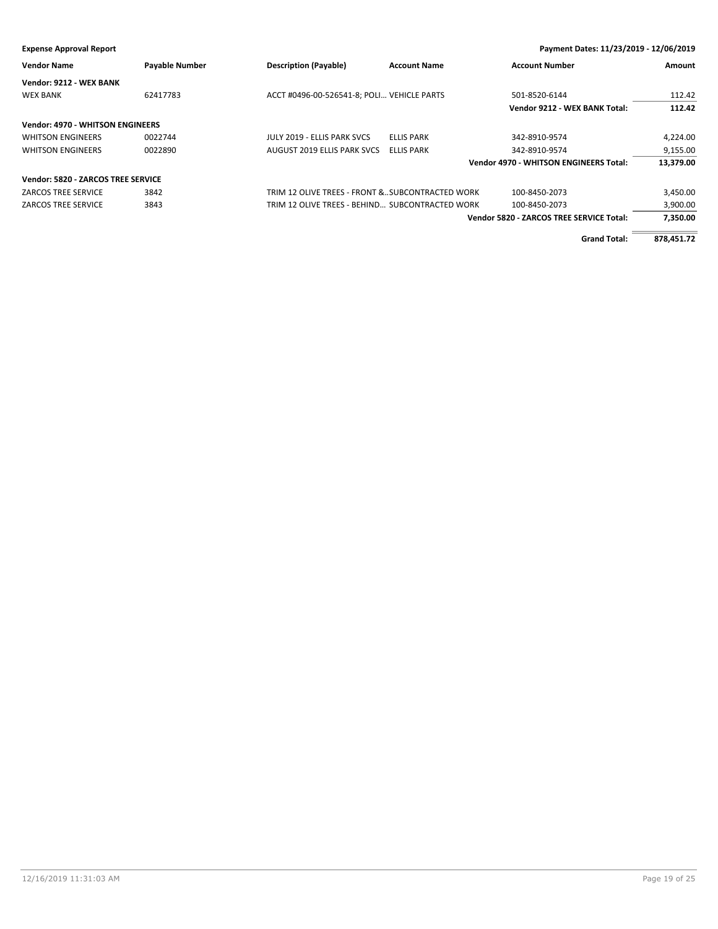# **Expense Approval Report Payment Dates: 11/23/2019 - 12/06/2019 Vendor Name Payable Number Description (Payable) Account Name Account Number Amount Vendor: 9212 - WEX BANK** WEX BANK 62417783 62417783 ACCT #0496-00-526541-8; POLI... VEHICLE PARTS 501-8520-6144 501-8520-6144 **Vendor 9212 - WEX BANK Total: 112.42 Vendor: 4970 - WHITSON ENGINEERS** WHITSON ENGINEERS 0022744 JULY 2019 - ELLIS PARK SVCS ELLIS PARK 342-8910-9574 4,224.00 WHITSON ENGINEERS 0022890 AUGUST 2019 ELLIS PARK SVCS ELLIS PARK 342-8910-9574 9,155.00 **Vendor 4970 - WHITSON ENGINEERS Total: 13,379.00 Vendor: 5820 - ZARCOS TREE SERVICE** ZARCOS TREE SERVICE 3842 TRIM 12 OLIVE TREES - FRONT &…SUBCONTRACTED WORK 100-8450-2073 3,450.00 ZARCOS TREE SERVICE 3843 3.900.00 TRIM 12 OLIVE TREES - BEHIND... SUBCONTRACTED WORK 100-8450-2073 3,900.00 **Vendor 5820 - ZARCOS TREE SERVICE Total: 7,350.00 Grand Total: 878,451.72**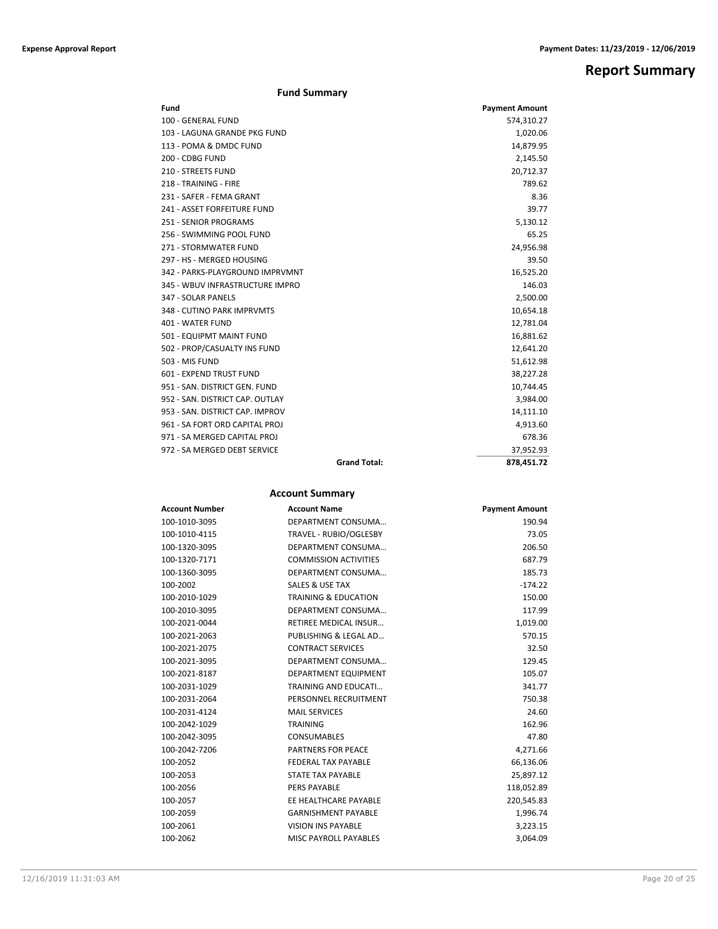# **Report Summary**

| Fund                            |                     | <b>Payment Amount</b> |
|---------------------------------|---------------------|-----------------------|
| 100 - GENERAL FUND              |                     | 574,310.27            |
| 103 - LAGUNA GRANDE PKG FUND    |                     | 1,020.06              |
| 113 - POMA & DMDC FUND          |                     | 14,879.95             |
| 200 - CDBG FUND                 |                     | 2,145.50              |
| 210 - STREETS FUND              |                     | 20,712.37             |
| 218 - TRAINING - FIRE           |                     | 789.62                |
| 231 - SAFER - FEMA GRANT        |                     | 8.36                  |
| 241 - ASSET FORFEITURE FUND     |                     | 39.77                 |
| <b>251 - SENIOR PROGRAMS</b>    |                     | 5,130.12              |
| 256 - SWIMMING POOL FUND        |                     | 65.25                 |
| 271 - STORMWATER FUND           |                     | 24,956.98             |
| 297 - HS - MERGED HOUSING       |                     | 39.50                 |
| 342 - PARKS-PLAYGROUND IMPRVMNT |                     | 16,525.20             |
| 345 - WBUV INFRASTRUCTURE IMPRO |                     | 146.03                |
| 347 - SOLAR PANELS              |                     | 2,500.00              |
| 348 - CUTINO PARK IMPRVMTS      |                     | 10,654.18             |
| 401 - WATER FUND                |                     | 12,781.04             |
| 501 - EQUIPMT MAINT FUND        |                     | 16,881.62             |
| 502 - PROP/CASUALTY INS FUND    |                     | 12,641.20             |
| 503 - MIS FUND                  |                     | 51,612.98             |
| 601 - EXPEND TRUST FUND         |                     | 38,227.28             |
| 951 - SAN, DISTRICT GEN, FUND   |                     | 10,744.45             |
| 952 - SAN, DISTRICT CAP, OUTLAY |                     | 3,984.00              |
| 953 - SAN, DISTRICT CAP, IMPROV |                     | 14,111.10             |
| 961 - SA FORT ORD CAPITAL PROJ  |                     | 4,913.60              |
| 971 - SA MERGED CAPITAL PROJ    |                     | 678.36                |
| 972 - SA MERGED DEBT SERVICE    |                     | 37,952.93             |
|                                 | <b>Grand Total:</b> | 878,451.72            |

# **Account Summary**

| <b>Account Number</b> | <b>Account Name</b>             | <b>Payment Amount</b> |
|-----------------------|---------------------------------|-----------------------|
| 100-1010-3095         | DEPARTMENT CONSUMA              | 190.94                |
| 100-1010-4115         | TRAVEL - RUBIO/OGLESBY          | 73.05                 |
| 100-1320-3095         | DEPARTMENT CONSUMA              | 206.50                |
| 100-1320-7171         | <b>COMMISSION ACTIVITIES</b>    | 687.79                |
| 100-1360-3095         | DEPARTMENT CONSUMA              | 185.73                |
| 100-2002              | SALES & USE TAX                 | $-174.22$             |
| 100-2010-1029         | <b>TRAINING &amp; EDUCATION</b> | 150.00                |
| 100-2010-3095         | DEPARTMENT CONSUMA              | 117.99                |
| 100-2021-0044         | <b>RETIREE MEDICAL INSUR</b>    | 1,019.00              |
| 100-2021-2063         | PUBLISHING & LEGAL AD           | 570.15                |
| 100-2021-2075         | <b>CONTRACT SERVICES</b>        | 32.50                 |
| 100-2021-3095         | DEPARTMENT CONSUMA              | 129.45                |
| 100-2021-8187         | <b>DEPARTMENT EQUIPMENT</b>     | 105.07                |
| 100-2031-1029         | TRAINING AND EDUCATI            | 341.77                |
| 100-2031-2064         | PERSONNEL RECRUITMENT           | 750.38                |
| 100-2031-4124         | <b>MAIL SERVICES</b>            | 24.60                 |
| 100-2042-1029         | <b>TRAINING</b>                 | 162.96                |
| 100-2042-3095         | <b>CONSUMABLES</b>              | 47.80                 |
| 100-2042-7206         | <b>PARTNERS FOR PEACE</b>       | 4,271.66              |
| 100-2052              | <b>FEDERAL TAX PAYABLE</b>      | 66,136.06             |
| 100-2053              | <b>STATE TAX PAYABLE</b>        | 25,897.12             |
| 100-2056              | <b>PERS PAYABLE</b>             | 118,052.89            |
| 100-2057              | EE HEALTHCARE PAYABLE           | 220,545.83            |
| 100-2059              | <b>GARNISHMENT PAYABLE</b>      | 1,996.74              |
| 100-2061              | <b>VISION INS PAYABLE</b>       | 3,223.15              |
| 100-2062              | <b>MISC PAYROLL PAYABLES</b>    | 3,064.09              |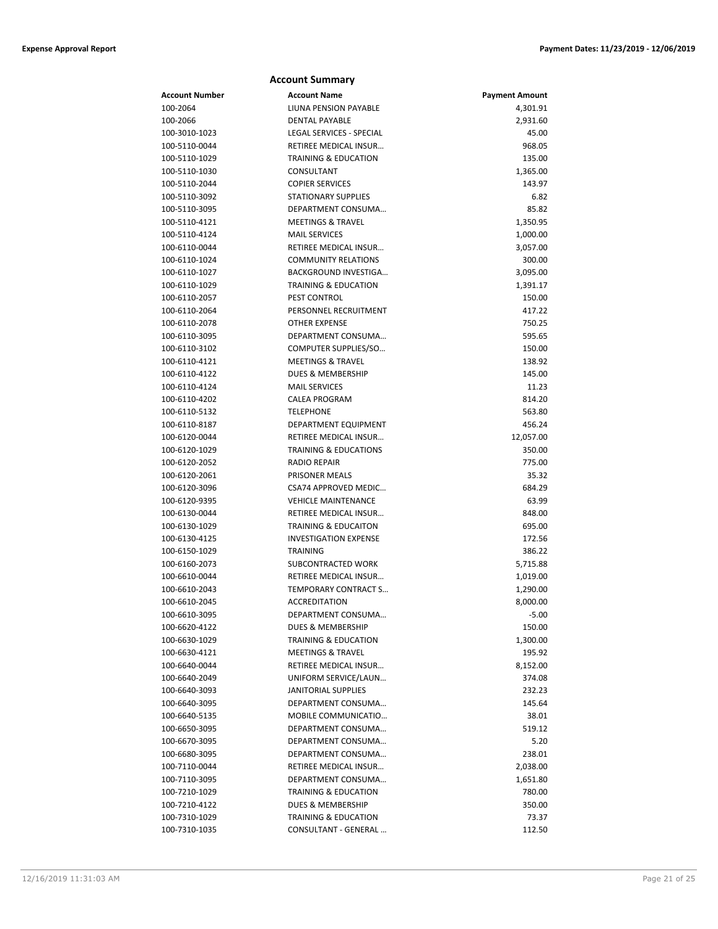| <b>Account Summary</b> |                                 |                       |  |
|------------------------|---------------------------------|-----------------------|--|
| <b>Account Number</b>  | <b>Account Name</b>             | <b>Payment Amount</b> |  |
| 100-2064               | LIUNA PENSION PAYABLE           | 4,301.91              |  |
| 100-2066               | <b>DENTAL PAYABLE</b>           | 2,931.60              |  |
| 100-3010-1023          | LEGAL SERVICES - SPECIAL        | 45.00                 |  |
| 100-5110-0044          | RETIREE MEDICAL INSUR           | 968.05                |  |
| 100-5110-1029          | <b>TRAINING &amp; EDUCATION</b> | 135.00                |  |
| 100-5110-1030          | CONSULTANT                      | 1,365.00              |  |
| 100-5110-2044          | <b>COPIER SERVICES</b>          | 143.97                |  |
| 100-5110-3092          | <b>STATIONARY SUPPLIES</b>      | 6.82                  |  |
| 100-5110-3095          | DEPARTMENT CONSUMA              | 85.82                 |  |
| 100-5110-4121          | <b>MEETINGS &amp; TRAVEL</b>    | 1,350.95              |  |
| 100-5110-4124          | <b>MAIL SERVICES</b>            | 1,000.00              |  |
| 100-6110-0044          | RETIREE MEDICAL INSUR           | 3,057.00              |  |
| 100-6110-1024          | <b>COMMUNITY RELATIONS</b>      | 300.00                |  |
| 100-6110-1027          | BACKGROUND INVESTIGA            | 3,095.00              |  |
| 100-6110-1029          | <b>TRAINING &amp; EDUCATION</b> | 1,391.17              |  |
| 100-6110-2057          | PEST CONTROL                    | 150.00                |  |
| 100-6110-2064          | PERSONNEL RECRUITMENT           | 417.22                |  |
| 100-6110-2078          | <b>OTHER EXPENSE</b>            | 750.25                |  |
| 100-6110-3095          | DEPARTMENT CONSUMA              | 595.65                |  |
| 100-6110-3102          | COMPUTER SUPPLIES/SO            | 150.00                |  |
| 100-6110-4121          | <b>MEETINGS &amp; TRAVEL</b>    | 138.92                |  |
| 100-6110-4122          | DUES & MEMBERSHIP               | 145.00                |  |
| 100-6110-4124          | <b>MAIL SERVICES</b>            | 11.23                 |  |
| 100-6110-4202          | <b>CALEA PROGRAM</b>            | 814.20                |  |
| 100-6110-5132          | <b>TELEPHONE</b>                | 563.80                |  |
| 100-6110-8187          | DEPARTMENT EQUIPMENT            | 456.24                |  |
| 100-6120-0044          | RETIREE MEDICAL INSUR           | 12,057.00             |  |
| 100-6120-1029          | TRAINING & EDUCATIONS           | 350.00                |  |
| 100-6120-2052          | <b>RADIO REPAIR</b>             | 775.00                |  |
| 100-6120-2061          | PRISONER MEALS                  | 35.32                 |  |
| 100-6120-3096          | CSA74 APPROVED MEDIC            | 684.29                |  |
| 100-6120-9395          | <b>VEHICLE MAINTENANCE</b>      | 63.99                 |  |
| 100-6130-0044          | RETIREE MEDICAL INSUR           | 848.00                |  |
| 100-6130-1029          | <b>TRAINING &amp; EDUCAITON</b> | 695.00                |  |
| 100-6130-4125          | <b>INVESTIGATION EXPENSE</b>    | 172.56                |  |
| 100-6150-1029          | TRAINING                        | 386.22                |  |
| 100-6160-2073          | SUBCONTRACTED WORK              | 5,715.88              |  |
| 100-6610-0044          | RETIREE MEDICAL INSUR           | 1,019.00              |  |
| 100-6610-2043          | TEMPORARY CONTRACT S            | 1,290.00              |  |
| 100-6610-2045          | ACCREDITATION                   | 8,000.00              |  |
| 100-6610-3095          | DEPARTMENT CONSUMA              | $-5.00$               |  |
| 100-6620-4122          | DUES & MEMBERSHIP               | 150.00                |  |
| 100-6630-1029          | <b>TRAINING &amp; EDUCATION</b> | 1,300.00              |  |
| 100-6630-4121          | <b>MEETINGS &amp; TRAVEL</b>    | 195.92                |  |
| 100-6640-0044          | RETIREE MEDICAL INSUR           | 8,152.00              |  |
| 100-6640-2049          | UNIFORM SERVICE/LAUN            | 374.08                |  |
| 100-6640-3093          | <b>JANITORIAL SUPPLIES</b>      | 232.23                |  |
| 100-6640-3095          | DEPARTMENT CONSUMA              | 145.64                |  |
| 100-6640-5135          | MOBILE COMMUNICATIO             | 38.01                 |  |
| 100-6650-3095          | DEPARTMENT CONSUMA              | 519.12                |  |
| 100-6670-3095          | DEPARTMENT CONSUMA              | 5.20                  |  |
| 100-6680-3095          | DEPARTMENT CONSUMA              | 238.01                |  |
| 100-7110-0044          | RETIREE MEDICAL INSUR           | 2,038.00              |  |
| 100-7110-3095          | DEPARTMENT CONSUMA              | 1,651.80              |  |
| 100-7210-1029          | <b>TRAINING &amp; EDUCATION</b> | 780.00                |  |
| 100-7210-4122          | DUES & MEMBERSHIP               | 350.00                |  |
| 100-7310-1029          | <b>TRAINING &amp; EDUCATION</b> | 73.37                 |  |
| 100-7310-1035          | CONSULTANT - GENERAL            | 112.50                |  |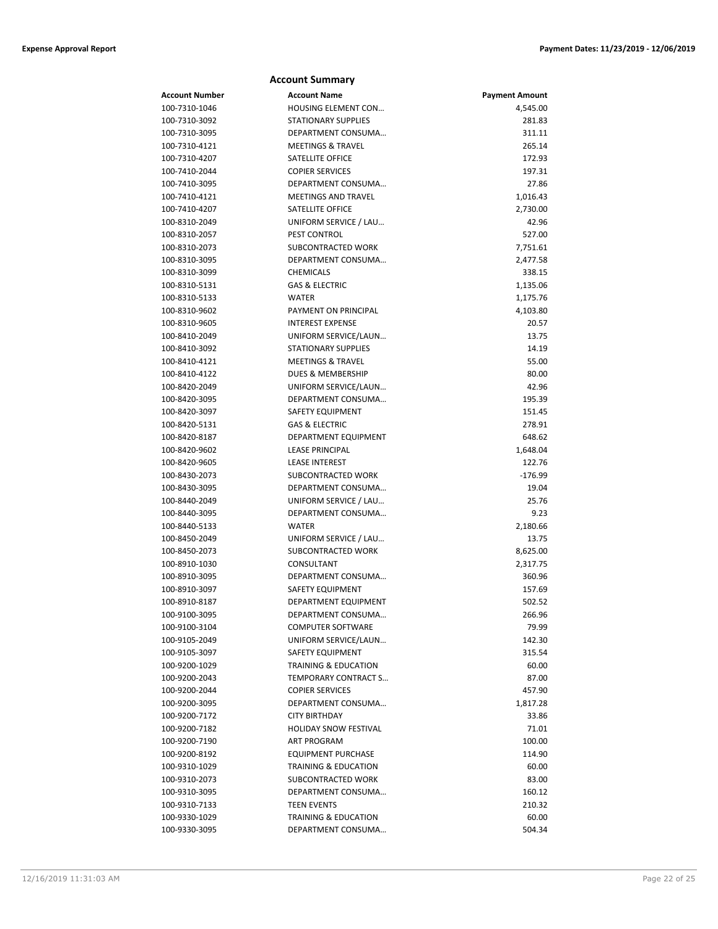| <b>Account Summary</b> |                                 |                       |  |
|------------------------|---------------------------------|-----------------------|--|
| <b>Account Number</b>  | <b>Account Name</b>             | <b>Payment Amount</b> |  |
| 100-7310-1046          | HOUSING ELEMENT CON             | 4,545.00              |  |
| 100-7310-3092          | <b>STATIONARY SUPPLIES</b>      | 281.83                |  |
| 100-7310-3095          | DEPARTMENT CONSUMA              | 311.11                |  |
| 100-7310-4121          | <b>MEETINGS &amp; TRAVEL</b>    | 265.14                |  |
| 100-7310-4207          | SATELLITE OFFICE                | 172.93                |  |
| 100-7410-2044          | <b>COPIER SERVICES</b>          | 197.31                |  |
| 100-7410-3095          | DEPARTMENT CONSUMA              | 27.86                 |  |
| 100-7410-4121          | <b>MEETINGS AND TRAVEL</b>      | 1,016.43              |  |
| 100-7410-4207          | SATELLITE OFFICE                | 2,730.00              |  |
| 100-8310-2049          | UNIFORM SERVICE / LAU           | 42.96                 |  |
| 100-8310-2057          | PEST CONTROL                    | 527.00                |  |
| 100-8310-2073          | SUBCONTRACTED WORK              | 7,751.61              |  |
| 100-8310-3095          | DEPARTMENT CONSUMA              | 2,477.58              |  |
| 100-8310-3099          | <b>CHEMICALS</b>                | 338.15                |  |
| 100-8310-5131          | <b>GAS &amp; ELECTRIC</b>       | 1,135.06              |  |
| 100-8310-5133          | WATER                           | 1,175.76              |  |
| 100-8310-9602          | PAYMENT ON PRINCIPAL            | 4,103.80              |  |
| 100-8310-9605          | <b>INTEREST EXPENSE</b>         | 20.57                 |  |
| 100-8410-2049          | UNIFORM SERVICE/LAUN            | 13.75                 |  |
| 100-8410-3092          | <b>STATIONARY SUPPLIES</b>      | 14.19                 |  |
| 100-8410-4121          | <b>MEETINGS &amp; TRAVEL</b>    | 55.00                 |  |
| 100-8410-4122          | DUES & MEMBERSHIP               | 80.00                 |  |
| 100-8420-2049          | UNIFORM SERVICE/LAUN            | 42.96                 |  |
| 100-8420-3095          | DEPARTMENT CONSUMA              | 195.39                |  |
| 100-8420-3097          | <b>SAFETY EQUIPMENT</b>         | 151.45                |  |
| 100-8420-5131          | <b>GAS &amp; ELECTRIC</b>       | 278.91                |  |
| 100-8420-8187          | DEPARTMENT EQUIPMENT            | 648.62                |  |
| 100-8420-9602          | <b>LEASE PRINCIPAL</b>          | 1,648.04              |  |
| 100-8420-9605          | <b>LEASE INTEREST</b>           | 122.76                |  |
| 100-8430-2073          | SUBCONTRACTED WORK              | $-176.99$             |  |
| 100-8430-3095          | DEPARTMENT CONSUMA              | 19.04                 |  |
| 100-8440-2049          | UNIFORM SERVICE / LAU           | 25.76                 |  |
| 100-8440-3095          | DEPARTMENT CONSUMA              | 9.23                  |  |
| 100-8440-5133          | <b>WATER</b>                    | 2,180.66              |  |
| 100-8450-2049          | UNIFORM SERVICE / LAU           | 13.75                 |  |
| 100-8450-2073          | SUBCONTRACTED WORK              | 8,625.00              |  |
| 100-8910-1030          | CONSULTANT                      | 2,317.75              |  |
| 100-8910-3095          | DEPARTMENT CONSUMA              | 360.96                |  |
| 100-8910-3097          | SAFETY EQUIPMENT                | 157.69                |  |
| 100-8910-8187          | DEPARTMENT EQUIPMENT            | 502.52                |  |
| 100-9100-3095          | DEPARTMENT CONSUMA              | 266.96                |  |
| 100-9100-3104          | <b>COMPUTER SOFTWARE</b>        | 79.99                 |  |
| 100-9105-2049          | UNIFORM SERVICE/LAUN            | 142.30                |  |
| 100-9105-3097          | SAFETY EQUIPMENT                | 315.54                |  |
| 100-9200-1029          | TRAINING & EDUCATION            | 60.00                 |  |
| 100-9200-2043          | TEMPORARY CONTRACT S            | 87.00                 |  |
| 100-9200-2044          | <b>COPIER SERVICES</b>          | 457.90                |  |
| 100-9200-3095          | DEPARTMENT CONSUMA              | 1,817.28              |  |
| 100-9200-7172          | <b>CITY BIRTHDAY</b>            | 33.86                 |  |
| 100-9200-7182          | <b>HOLIDAY SNOW FESTIVAL</b>    | 71.01                 |  |
| 100-9200-7190          | ART PROGRAM                     | 100.00                |  |
| 100-9200-8192          | <b>EQUIPMENT PURCHASE</b>       | 114.90                |  |
| 100-9310-1029          | <b>TRAINING &amp; EDUCATION</b> | 60.00                 |  |
| 100-9310-2073          | SUBCONTRACTED WORK              | 83.00                 |  |
| 100-9310-3095          | DEPARTMENT CONSUMA              | 160.12                |  |
| 100-9310-7133          | <b>TEEN EVENTS</b>              | 210.32                |  |
| 100-9330-1029          | <b>TRAINING &amp; EDUCATION</b> | 60.00                 |  |
| 100-9330-3095          | DEPARTMENT CONSUMA              | 504.34                |  |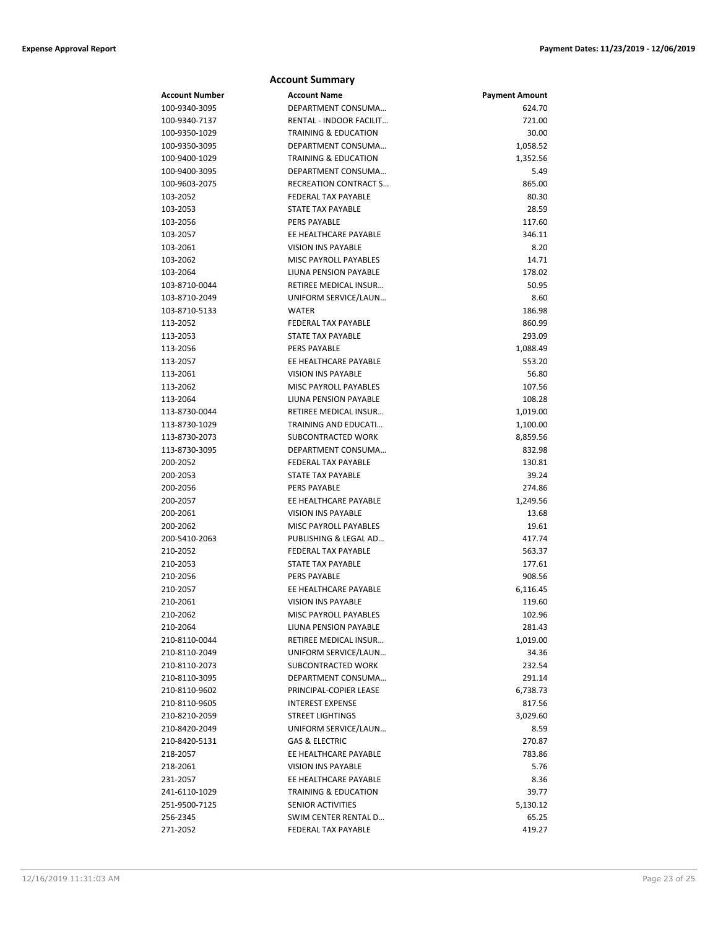## **Account Summary Account Number Account Name Payment Amount** 100-9340-3095 DEPARTMENT CONSUMA… 624.70 100-9340-7137 RENTAL - INDOOR FACILIT… 721.00 100-9350-1029 TRAINING & EDUCATION 30.00 100-9350-3095 DEPARTMENT CONSUMA... 1,058.52 100-9400-1029 TRAINING & EDUCATION 1,352.56 100-9400-3095 DEPARTMENT CONSUMA… 5.49 100-9603-2075 RECREATION CONTRACT S… 865.00 103-2052 FEDERAL TAX PAYABLE 80.30 103-2053 STATE TAX PAYABLE 28.59 103-2056 PERS PAYABLE 117.60 103-2057 EE HEALTHCARE PAYABLE 346.11 103-2061 VISION INS PAYABLE 8.20 103-2062 MISC PAYROLL PAYABLES 14.71 103-2064 LIUNA PENSION PAYABLE 178.02 103-8710-0044 RETIREE MEDICAL INSUR… 50.95 103-8710-2049 UNIFORM SERVICE/LAUN… 8.60 103-8710-5133 WATER 186.98 113-2052 FEDERAL TAX PAYABLE 860.99 113-2053 STATE TAX PAYABLE 293.09 113-2056 PERS PAYABLE 2006 PERS PAYABLE 1,088.49 113-2057 EE HEALTHCARE PAYABLE 553.20 113-2061 VISION INS PAYABLE 56.80 113-2062 MISC PAYROLL PAYABLES 107.56 113-2064 LIUNA PENSION PAYABLE 108.28 113-8730-0044 **RETIREE MEDICAL INSUR** ... 1,019.00 113-8730-1029 TRAINING AND EDUCATI... 1,100.00 113-8730-2073 SUBCONTRACTED WORK 8,859.56 113-8730-3095 DEPARTMENT CONSUMA… 832.98 200-2052 FEDERAL TAX PAYABLE 130.81 200-2053 STATE TAX PAYABLE 39.24 200-2056 PERS PAYABLE 274.86 200-2057 EE HEALTHCARE PAYABLE 1,249.56 200-2061 VISION INS PAYABLE 13.68 200-2062 MISC PAYROLL PAYABLES 19.61 200-5410-2063 PUBLISHING & LEGAL AD… 417.74 210-2052 FEDERAL TAX PAYABLE 563.37 210-2053 STATE TAX PAYABLE 177.61 210-2056 PERS PAYABLE 908.56 210-2057 EE HEALTHCARE PAYABLE 6,116.45 210-2061 VISION INS PAYABLE 119.60 210-2062 MISC PAYROLL PAYABLES 102.96 210-2064 LIUNA PENSION PAYABLE 281.43 210-8110-0044 RETIREE MEDICAL INSUR… 1,019.00 210-8110-2049 UNIFORM SERVICE/LAUN… 34.36 210-8110-2073 SUBCONTRACTED WORK 232.54 210-8110-3095 DEPARTMENT CONSUMA… 291.14 210-8110-9602 PRINCIPAL-COPIER LEASE 6,738.73 210-8110-9605 INTEREST EXPENSE 817.56 210-8210-2059 STREET LIGHTINGS 3,029.60 210-8420-2049 UNIFORM SERVICE/LAUN… 8.59 210-8420-5131 GAS & ELECTRIC 270.87 218-2057 EE HEALTHCARE PAYABLE 783.86 218-2061 VISION INS PAYABLE 5.76 231-2057 **EE HEALTHCARE PAYABLE** 8.36 241-6110-1029 TRAINING & EDUCATION 39.77 251-9500-7125 SENIOR ACTIVITIES SAMPLE SENIOR ACTIVITIES SAMPLE SAMPLE SAMPLE SAMPLE SAMPLE S 256-2345 SWIM CENTER RENTAL D… 65.25 271-2052 FEDERAL TAX PAYABLE 419.27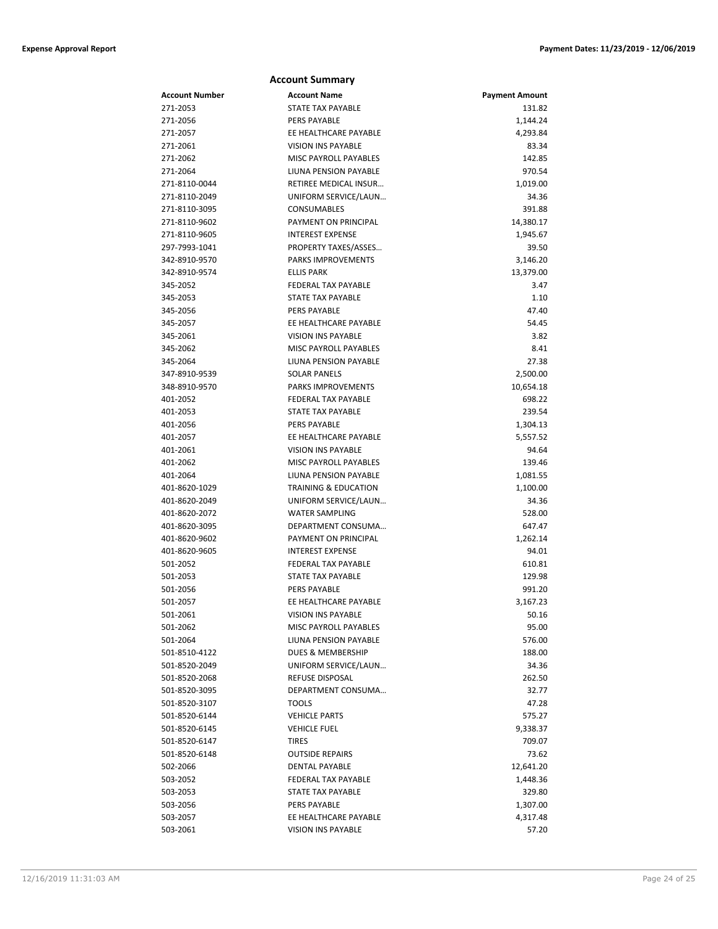| <b>Account Summary</b> |                                                    |                       |
|------------------------|----------------------------------------------------|-----------------------|
| <b>Account Number</b>  | <b>Account Name</b>                                | <b>Payment Amount</b> |
| 271-2053               | <b>STATE TAX PAYABLE</b>                           | 131.82                |
| 271-2056               | PERS PAYABLE                                       | 1,144.24              |
| 271-2057               | EE HEALTHCARE PAYABLE                              | 4,293.84              |
| 271-2061               | <b>VISION INS PAYABLE</b>                          | 83.34                 |
| 271-2062               | <b>MISC PAYROLL PAYABLES</b>                       | 142.85                |
| 271-2064               | LIUNA PENSION PAYABLE                              | 970.54                |
| 271-8110-0044          | <b>RETIREE MEDICAL INSUR</b>                       | 1,019.00              |
| 271-8110-2049          | UNIFORM SERVICE/LAUN                               | 34.36                 |
| 271-8110-3095          | CONSUMABLES                                        | 391.88                |
| 271-8110-9602          | PAYMENT ON PRINCIPAL                               | 14,380.17             |
| 271-8110-9605          | <b>INTEREST EXPENSE</b>                            | 1,945.67              |
| 297-7993-1041          | PROPERTY TAXES/ASSES                               | 39.50                 |
| 342-8910-9570          | PARKS IMPROVEMENTS                                 | 3,146.20              |
| 342-8910-9574          | <b>ELLIS PARK</b>                                  | 13,379.00             |
| 345-2052               | <b>FEDERAL TAX PAYABLE</b>                         | 3.47                  |
| 345-2053               | <b>STATE TAX PAYABLE</b>                           | 1.10                  |
| 345-2056               | <b>PERS PAYABLE</b>                                | 47.40                 |
| 345-2057               | EE HEALTHCARE PAYABLE                              | 54.45                 |
| 345-2061               | <b>VISION INS PAYABLE</b>                          | 3.82                  |
| 345-2062               | <b>MISC PAYROLL PAYABLES</b>                       | 8.41                  |
| 345-2064               | LIUNA PENSION PAYABLE                              | 27.38                 |
| 347-8910-9539          | <b>SOLAR PANELS</b>                                | 2,500.00              |
| 348-8910-9570          | <b>PARKS IMPROVEMENTS</b>                          | 10,654.18             |
| 401-2052               | <b>FEDERAL TAX PAYABLE</b>                         | 698.22                |
| 401-2053               | <b>STATE TAX PAYABLE</b>                           | 239.54                |
| 401-2056               | <b>PERS PAYABLE</b>                                | 1,304.13              |
| 401-2057               | EE HEALTHCARE PAYABLE                              | 5,557.52              |
| 401-2061<br>401-2062   | <b>VISION INS PAYABLE</b><br>MISC PAYROLL PAYABLES | 94.64<br>139.46       |
| 401-2064               | LIUNA PENSION PAYABLE                              |                       |
| 401-8620-1029          | <b>TRAINING &amp; EDUCATION</b>                    | 1,081.55<br>1,100.00  |
| 401-8620-2049          | UNIFORM SERVICE/LAUN                               | 34.36                 |
| 401-8620-2072          | <b>WATER SAMPLING</b>                              | 528.00                |
| 401-8620-3095          | DEPARTMENT CONSUMA                                 | 647.47                |
| 401-8620-9602          | PAYMENT ON PRINCIPAL                               | 1,262.14              |
| 401-8620-9605          | <b>INTEREST EXPENSE</b>                            | 94.01                 |
| 501-2052               | <b>FEDERAL TAX PAYABLE</b>                         | 610.81                |
| 501-2053               | <b>STATE TAX PAYABLE</b>                           | 129.98                |
| 501-2056               | <b>PERS PAYABLE</b>                                | 991.20                |
| 501-2057               | EE HEALTHCARE PAYABLE                              | 3,167.23              |
| 501-2061               | <b>VISION INS PAYABLE</b>                          | 50.16                 |
| 501-2062               | MISC PAYROLL PAYABLES                              | 95.00                 |
| 501-2064               | LIUNA PENSION PAYABLE                              | 576.00                |
| 501-8510-4122          | DUES & MEMBERSHIP                                  | 188.00                |
| 501-8520-2049          | UNIFORM SERVICE/LAUN                               | 34.36                 |
| 501-8520-2068          | REFUSE DISPOSAL                                    | 262.50                |
| 501-8520-3095          | DEPARTMENT CONSUMA                                 | 32.77                 |
| 501-8520-3107          | <b>TOOLS</b>                                       | 47.28                 |
| 501-8520-6144          | <b>VEHICLE PARTS</b>                               | 575.27                |
| 501-8520-6145          | <b>VEHICLE FUEL</b>                                | 9,338.37              |
| 501-8520-6147          | <b>TIRES</b>                                       | 709.07                |
| 501-8520-6148          | <b>OUTSIDE REPAIRS</b>                             | 73.62                 |
| 502-2066               | <b>DENTAL PAYABLE</b>                              | 12,641.20             |
| 503-2052               | FEDERAL TAX PAYABLE                                | 1,448.36              |
| 503-2053               | STATE TAX PAYABLE                                  | 329.80                |
| 503-2056               | PERS PAYABLE                                       | 1,307.00              |
| 503-2057               | EE HEALTHCARE PAYABLE                              | 4,317.48              |
| 503-2061               | <b>VISION INS PAYABLE</b>                          | 57.20                 |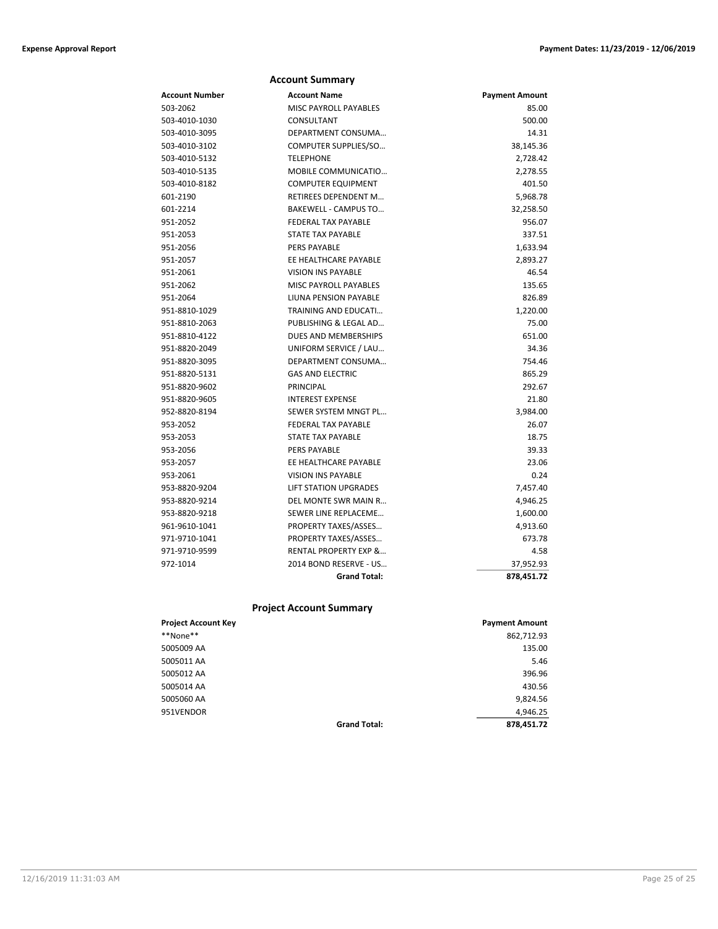|                | <b>Account Summary</b>       |                       |
|----------------|------------------------------|-----------------------|
| Account Number | <b>Account Name</b>          | <b>Payment Amount</b> |
| 503-2062       | <b>MISC PAYROLL PAYABLES</b> | 85.00                 |
| 503-4010-1030  | CONSULTANT                   | 500.00                |
| 503-4010-3095  | DEPARTMENT CONSUMA           | 14.31                 |
| 503-4010-3102  | COMPUTER SUPPLIES/SO         | 38,145.36             |
| 503-4010-5132  | <b>TELEPHONE</b>             | 2,728.42              |
| 503-4010-5135  | MOBILE COMMUNICATIO          | 2,278.55              |
| 503-4010-8182  | <b>COMPUTER EQUIPMENT</b>    | 401.50                |
| 601-2190       | RETIREES DEPENDENT M         | 5,968.78              |
| 601-2214       | <b>BAKEWELL - CAMPUS TO</b>  | 32,258.50             |
| 951-2052       | <b>FEDERAL TAX PAYABLE</b>   | 956.07                |
| 951-2053       | <b>STATE TAX PAYABLE</b>     | 337.51                |
| 951-2056       | <b>PERS PAYABLE</b>          | 1,633.94              |
| 951-2057       | EE HEALTHCARE PAYABLE        | 2,893.27              |
| 951-2061       | <b>VISION INS PAYABLE</b>    | 46.54                 |
| 951-2062       | MISC PAYROLL PAYABLES        | 135.65                |
| 951-2064       | LIUNA PENSION PAYABLE        | 826.89                |
| 951-8810-1029  | TRAINING AND EDUCATI         | 1,220.00              |
| 951-8810-2063  | PUBLISHING & LEGAL AD        | 75.00                 |
| 951-8810-4122  | DUES AND MEMBERSHIPS         | 651.00                |
| 951-8820-2049  | UNIFORM SERVICE / LAU        | 34.36                 |
| 951-8820-3095  | DEPARTMENT CONSUMA           | 754.46                |
| 951-8820-5131  | <b>GAS AND ELECTRIC</b>      | 865.29                |
| 951-8820-9602  | <b>PRINCIPAL</b>             | 292.67                |
| 951-8820-9605  | <b>INTEREST EXPENSE</b>      | 21.80                 |
| 952-8820-8194  | SEWER SYSTEM MNGT PL         | 3,984.00              |
| 953-2052       | <b>FEDERAL TAX PAYABLE</b>   | 26.07                 |
| 953-2053       | STATE TAX PAYABLE            | 18.75                 |
| 953-2056       | <b>PERS PAYABLE</b>          | 39.33                 |
| 953-2057       | EE HEALTHCARE PAYABLE        | 23.06                 |
| 953-2061       | <b>VISION INS PAYABLE</b>    | 0.24                  |
| 953-8820-9204  | <b>LIFT STATION UPGRADES</b> | 7,457.40              |
| 953-8820-9214  | DEL MONTE SWR MAIN R         | 4,946.25              |
| 953-8820-9218  | SEWER LINE REPLACEME         | 1,600.00              |
| 961-9610-1041  | PROPERTY TAXES/ASSES         | 4,913.60              |
| 971-9710-1041  | PROPERTY TAXES/ASSES         | 673.78                |
| 971-9710-9599  | RENTAL PROPERTY EXP &        | 4.58                  |
| 972-1014       | 2014 BOND RESERVE - US       | 37,952.93             |
|                | <b>Grand Total:</b>          | 878,451.72            |

# **Project Account Summary**

| <b>Project Account Key</b> |                     | <b>Payment Amount</b> |
|----------------------------|---------------------|-----------------------|
| **None**                   |                     | 862,712.93            |
| 5005009 AA                 |                     | 135.00                |
| 5005011 AA                 |                     | 5.46                  |
| 5005012 AA                 |                     | 396.96                |
| 5005014 AA                 |                     | 430.56                |
| 5005060 AA                 |                     | 9,824.56              |
| 951VENDOR                  |                     | 4,946.25              |
|                            | <b>Grand Total:</b> | 878,451.72            |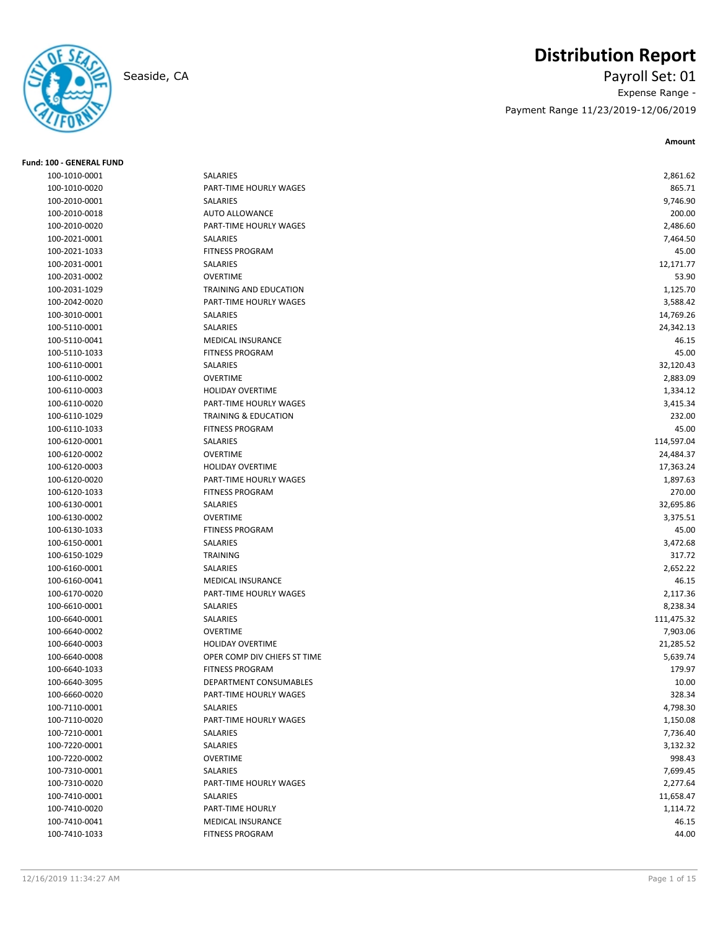

# **Distribution Report**

Seaside, CA Payroll Set: 01 Expense Range - Payment Range 11/23/2019-12/06/2019

**Amount**

| <b>Fund: 100 - GENERAL FUND</b> |                                 |            |
|---------------------------------|---------------------------------|------------|
| 100-1010-0001                   | SALARIES                        | 2,861.62   |
| 100-1010-0020                   | PART-TIME HOURLY WAGES          | 865.71     |
| 100-2010-0001                   | SALARIES                        | 9,746.90   |
| 100-2010-0018                   | <b>AUTO ALLOWANCE</b>           | 200.00     |
| 100-2010-0020                   | PART-TIME HOURLY WAGES          | 2,486.60   |
| 100-2021-0001                   | SALARIES                        | 7,464.50   |
| 100-2021-1033                   | <b>FITNESS PROGRAM</b>          | 45.00      |
| 100-2031-0001                   | SALARIES                        | 12,171.77  |
| 100-2031-0002                   | <b>OVERTIME</b>                 | 53.90      |
| 100-2031-1029                   | TRAINING AND EDUCATION          | 1,125.70   |
| 100-2042-0020                   | PART-TIME HOURLY WAGES          | 3,588.42   |
| 100-3010-0001                   | SALARIES                        | 14,769.26  |
| 100-5110-0001                   | SALARIES                        | 24,342.13  |
| 100-5110-0041                   | MEDICAL INSURANCE               | 46.15      |
| 100-5110-1033                   | <b>FITNESS PROGRAM</b>          | 45.00      |
| 100-6110-0001                   | SALARIES                        | 32,120.43  |
| 100-6110-0002                   | <b>OVERTIME</b>                 | 2,883.09   |
| 100-6110-0003                   | <b>HOLIDAY OVERTIME</b>         | 1,334.12   |
| 100-6110-0020                   | PART-TIME HOURLY WAGES          | 3,415.34   |
| 100-6110-1029                   | <b>TRAINING &amp; EDUCATION</b> | 232.00     |
| 100-6110-1033                   | <b>FITNESS PROGRAM</b>          | 45.00      |
| 100-6120-0001                   | SALARIES                        | 114,597.04 |
| 100-6120-0002                   | <b>OVERTIME</b>                 | 24,484.37  |
| 100-6120-0003                   | <b>HOLIDAY OVERTIME</b>         | 17,363.24  |
| 100-6120-0020                   | PART-TIME HOURLY WAGES          | 1,897.63   |
| 100-6120-1033                   | <b>FITNESS PROGRAM</b>          | 270.00     |
| 100-6130-0001                   | SALARIES                        | 32,695.86  |
| 100-6130-0002                   | <b>OVERTIME</b>                 | 3,375.51   |
| 100-6130-1033                   | <b>FTINESS PROGRAM</b>          | 45.00      |
| 100-6150-0001                   | SALARIES                        | 3,472.68   |
| 100-6150-1029                   | <b>TRAINING</b>                 | 317.72     |
| 100-6160-0001                   | SALARIES                        | 2,652.22   |
| 100-6160-0041                   | <b>MEDICAL INSURANCE</b>        | 46.15      |
| 100-6170-0020                   | PART-TIME HOURLY WAGES          | 2,117.36   |
| 100-6610-0001                   | SALARIES                        | 8,238.34   |
| 100-6640-0001                   | SALARIES                        | 111,475.32 |
| 100-6640-0002                   | <b>OVERTIME</b>                 | 7,903.06   |
| 100-6640-0003                   | <b>HOLIDAY OVERTIME</b>         | 21,285.52  |
| 100-6640-0008                   | OPER COMP DIV CHIEFS ST TIME    | 5,639.74   |
| 100-6640-1033                   | <b>FITNESS PROGRAM</b>          | 179.97     |
| 100-6640-3095                   | DEPARTMENT CONSUMABLES          | 10.00      |
| 100-6660-0020                   | PART-TIME HOURLY WAGES          | 328.34     |
| 100-7110-0001                   | SALARIES                        | 4,798.30   |
| 100-7110-0020                   | PART-TIME HOURLY WAGES          | 1,150.08   |
| 100-7210-0001                   | SALARIES                        | 7,736.40   |
| 100-7220-0001                   | SALARIES                        | 3,132.32   |
| 100-7220-0002                   | OVERTIME                        | 998.43     |
| 100-7310-0001                   | SALARIES                        | 7,699.45   |
| 100-7310-0020                   | PART-TIME HOURLY WAGES          | 2,277.64   |
| 100-7410-0001                   | SALARIES                        | 11,658.47  |
| 100-7410-0020                   | PART-TIME HOURLY                | 1,114.72   |
| 100-7410-0041                   | MEDICAL INSURANCE               | 46.15      |
| 100-7410-1033                   | <b>FITNESS PROGRAM</b>          | 44.00      |
|                                 |                                 |            |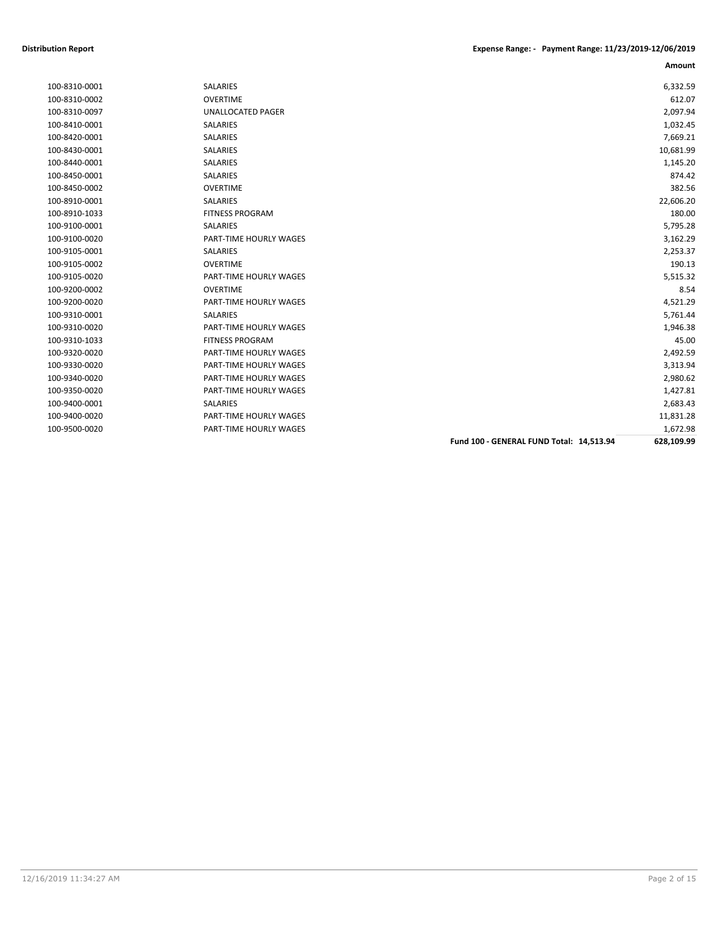|               |                          |                                          | Amount     |
|---------------|--------------------------|------------------------------------------|------------|
| 100-8310-0001 | <b>SALARIES</b>          |                                          | 6,332.59   |
| 100-8310-0002 | <b>OVERTIME</b>          |                                          | 612.07     |
| 100-8310-0097 | <b>UNALLOCATED PAGER</b> |                                          | 2,097.94   |
| 100-8410-0001 | SALARIES                 |                                          | 1,032.45   |
| 100-8420-0001 | <b>SALARIES</b>          |                                          | 7,669.21   |
| 100-8430-0001 | <b>SALARIES</b>          |                                          | 10,681.99  |
| 100-8440-0001 | SALARIES                 |                                          | 1,145.20   |
| 100-8450-0001 | <b>SALARIES</b>          |                                          | 874.42     |
| 100-8450-0002 | <b>OVERTIME</b>          |                                          | 382.56     |
| 100-8910-0001 | SALARIES                 |                                          | 22,606.20  |
| 100-8910-1033 | <b>FITNESS PROGRAM</b>   |                                          | 180.00     |
| 100-9100-0001 | <b>SALARIES</b>          |                                          | 5,795.28   |
| 100-9100-0020 | PART-TIME HOURLY WAGES   |                                          | 3,162.29   |
| 100-9105-0001 | SALARIES                 |                                          | 2,253.37   |
| 100-9105-0002 | <b>OVERTIME</b>          |                                          | 190.13     |
| 100-9105-0020 | PART-TIME HOURLY WAGES   |                                          | 5,515.32   |
| 100-9200-0002 | <b>OVERTIME</b>          |                                          | 8.54       |
| 100-9200-0020 | PART-TIME HOURLY WAGES   |                                          | 4,521.29   |
| 100-9310-0001 | <b>SALARIES</b>          |                                          | 5,761.44   |
| 100-9310-0020 | PART-TIME HOURLY WAGES   |                                          | 1,946.38   |
| 100-9310-1033 | <b>FITNESS PROGRAM</b>   |                                          | 45.00      |
| 100-9320-0020 | PART-TIME HOURLY WAGES   |                                          | 2,492.59   |
| 100-9330-0020 | PART-TIME HOURLY WAGES   |                                          | 3,313.94   |
| 100-9340-0020 | PART-TIME HOURLY WAGES   |                                          | 2,980.62   |
| 100-9350-0020 | PART-TIME HOURLY WAGES   |                                          | 1,427.81   |
| 100-9400-0001 | <b>SALARIES</b>          |                                          | 2,683.43   |
| 100-9400-0020 | PART-TIME HOURLY WAGES   |                                          | 11,831.28  |
| 100-9500-0020 | PART-TIME HOURLY WAGES   |                                          | 1,672.98   |
|               |                          | Fund 100 - GENERAL FUND Total: 14,513.94 | 628,109.99 |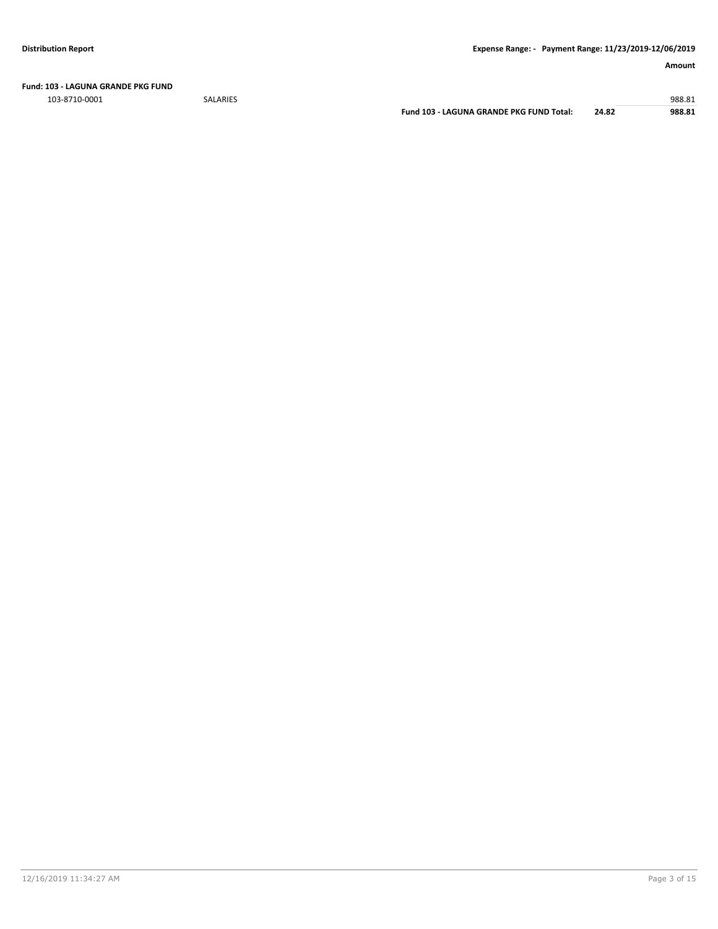**Fund: 103 - LAGUNA GRANDE PKG FUND**

103-8710-0001 SALARIES 988.81

**Fund 103 - LAGUNA GRANDE PKG FUND Total: 24.82 988.81**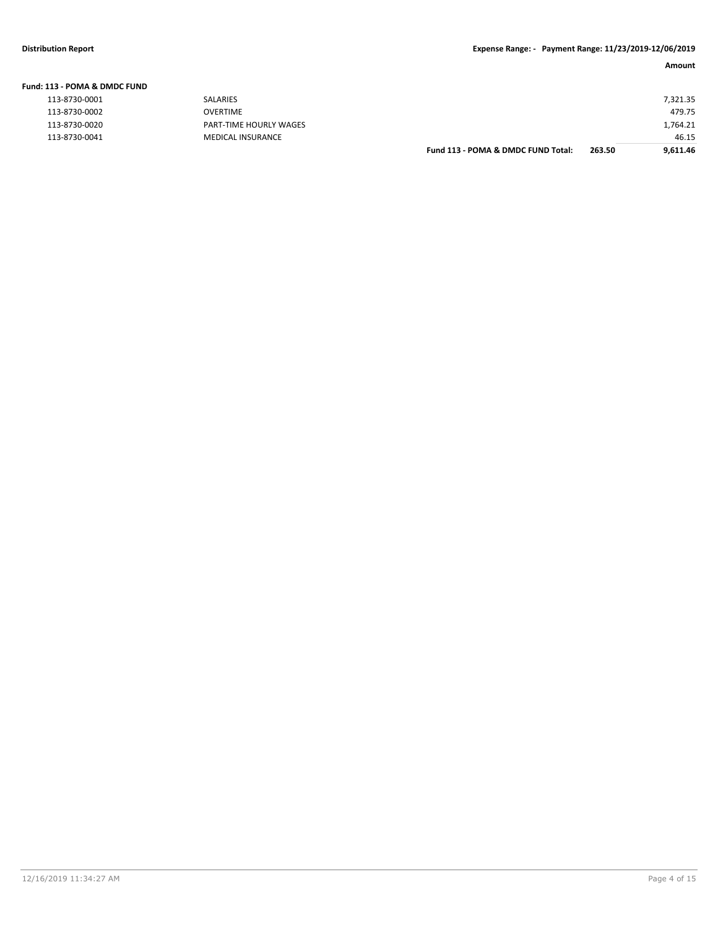| Fund: 113 - POMA & DMDC FUND |                          |                                    |        |          |
|------------------------------|--------------------------|------------------------------------|--------|----------|
| 113-8730-0001                | SALARIES                 |                                    |        | 7.321.35 |
| 113-8730-0002                | <b>OVERTIME</b>          |                                    |        | 479.75   |
| 113-8730-0020                | PART-TIME HOURLY WAGES   |                                    |        | L,764.21 |
| 113-8730-0041                | <b>MEDICAL INSURANCE</b> |                                    |        | 46.15    |
|                              |                          | Fund 113 - POMA & DMDC FUND Total: | 263.50 | 9,611.46 |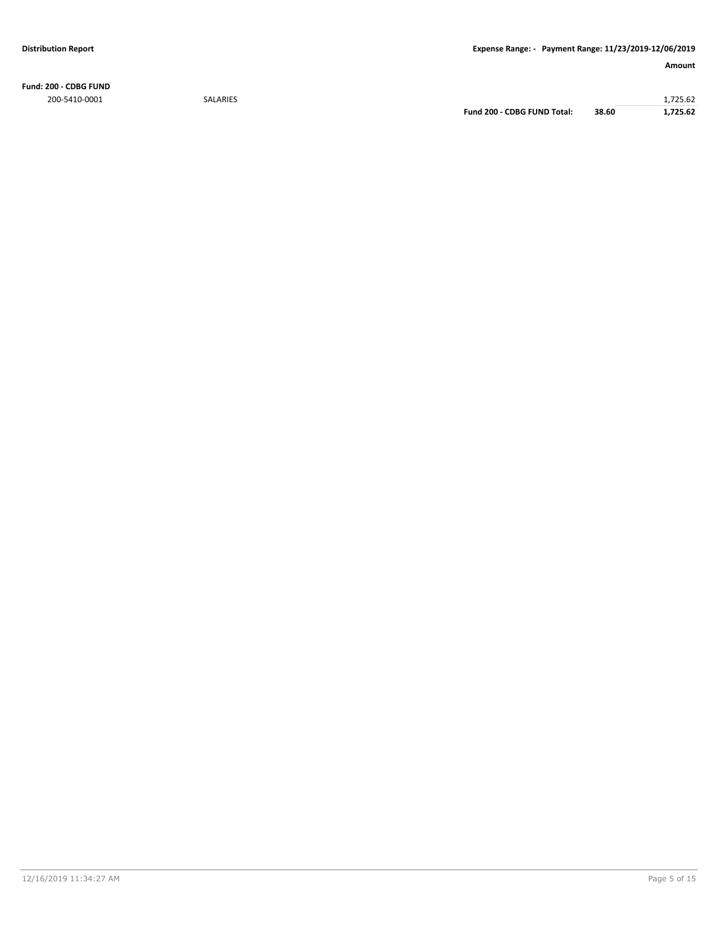**Fund: 200 - CDBG FUND**

200-5410-0001 SALARIES 1,725.62 **Fund 200 - CDBG FUND Total: 38.60 1,725.62**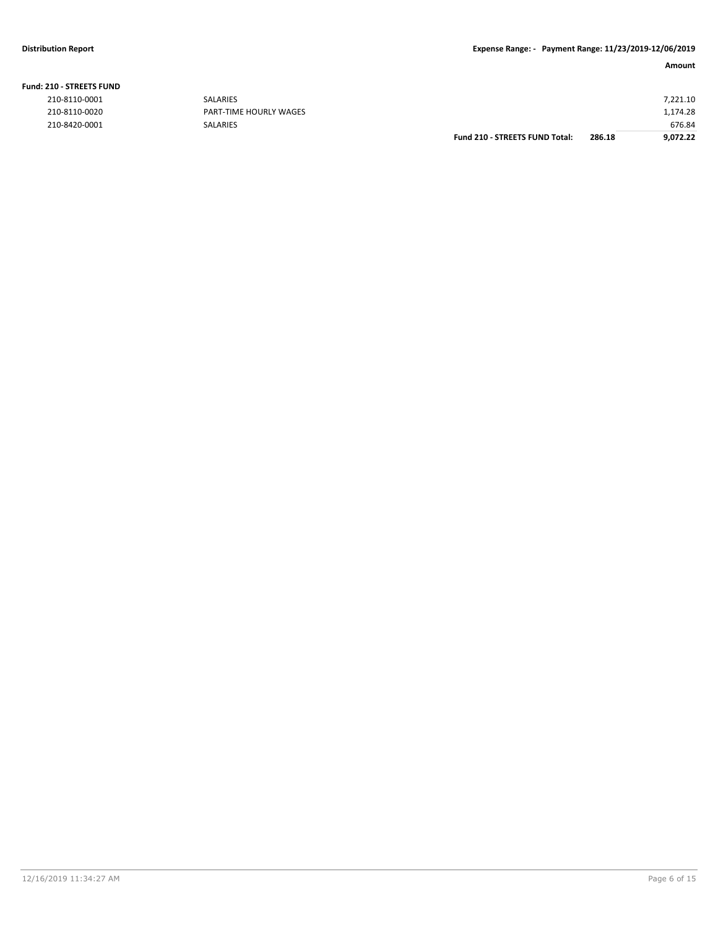| <b>Fund: 210 - STREETS FUND</b> |  |
|---------------------------------|--|
| 210-8110-0001                   |  |
| 210-8110-0020                   |  |

|               |                        | <b>Fund 210 - STREETS FUND Total:</b> | 286.18 | 9,072.22 |
|---------------|------------------------|---------------------------------------|--------|----------|
| 210-8420-0001 | <b>SALARIES</b>        |                                       |        | 676.84   |
| 210-8110-0020 | PART-TIME HOURLY WAGES |                                       |        | 1,174.28 |
| 210-8110-0001 | <b>SALARIES</b>        |                                       |        | 7,221.10 |
|               |                        |                                       |        |          |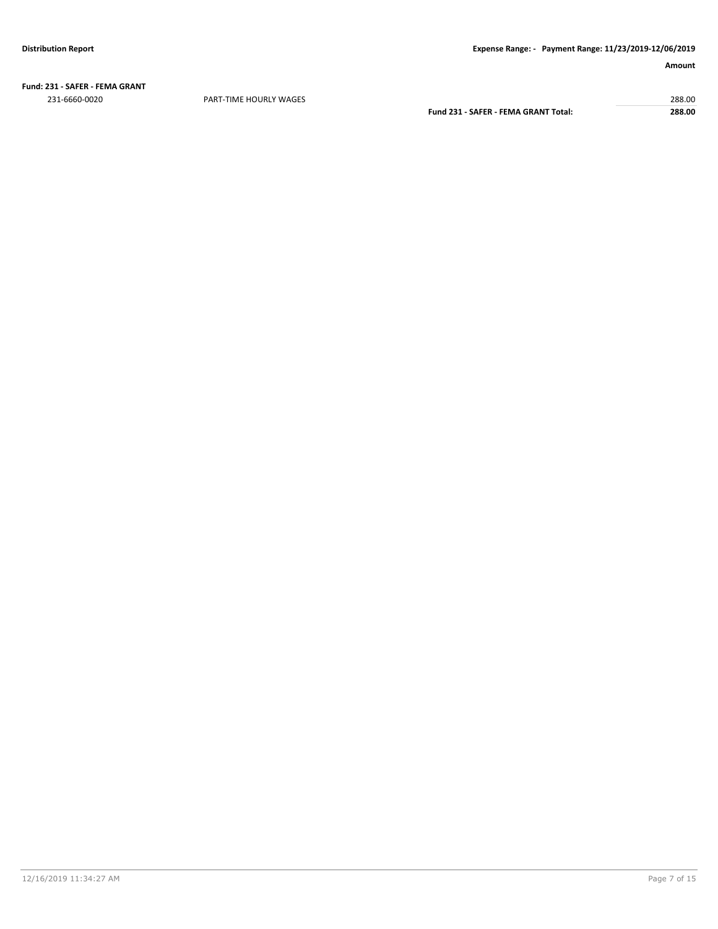**Fund: 231 - SAFER - FEMA GRANT** 231-6660-0020 PART-TIME HOURLY WAGES 288.00

**Fund 231 - SAFER - FEMA GRANT Total: 288.00**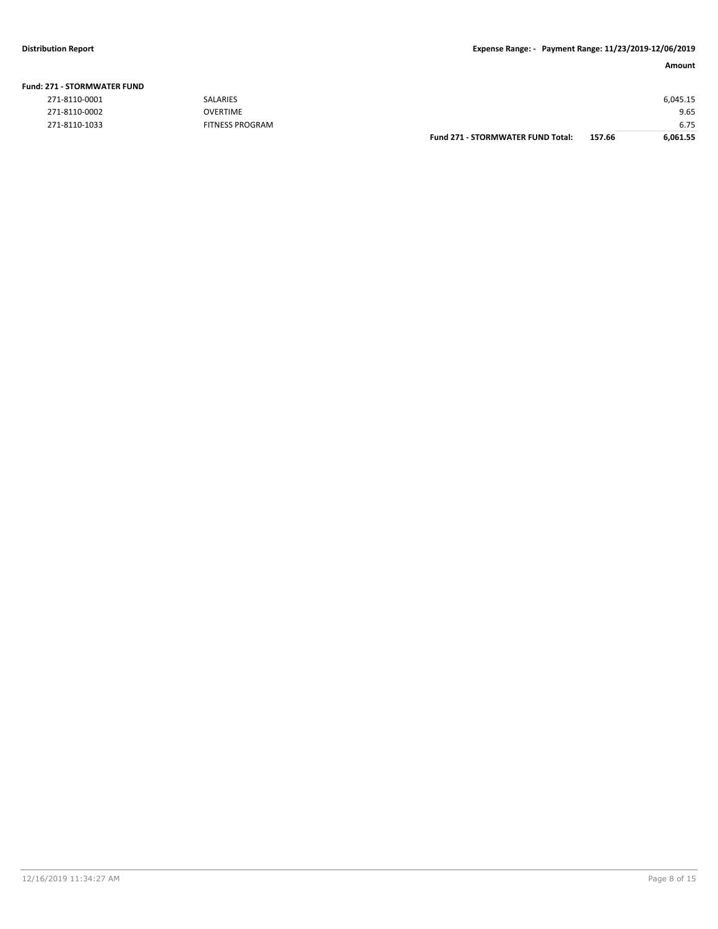| <b>271 - STORMWATER FUND</b> |                        |                                          |        |          |
|------------------------------|------------------------|------------------------------------------|--------|----------|
| 271-8110-0001                | <b>SALARIES</b>        |                                          |        | 6,045.15 |
| 271-8110-0002                | OVERTIME               |                                          |        | 9.65     |
| 271-8110-1033                | <b>FITNESS PROGRAM</b> |                                          |        | 6.75     |
|                              |                        | <b>Fund 271 - STORMWATER FUND Total:</b> | 157.66 | 6,061.55 |

# **Fund: 271 - STORMWATER FUND**

| 271-8110-0001 |  |
|---------------|--|
| 271-8110-0002 |  |
| 271-8110-1033 |  |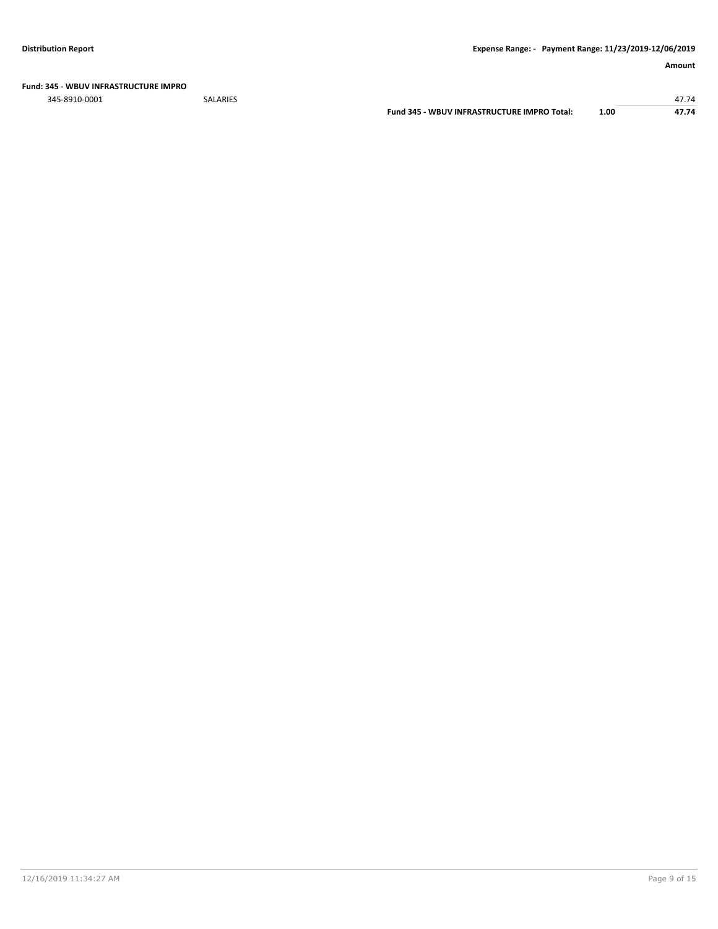### **Fund: 345 - WBUV INFRASTRUCTURE IMPRO**

345-8910-0001 SALARIES 47.74

**Fund 345 - WBUV INFRASTRUCTURE IMPRO Total: 1.00 47.74**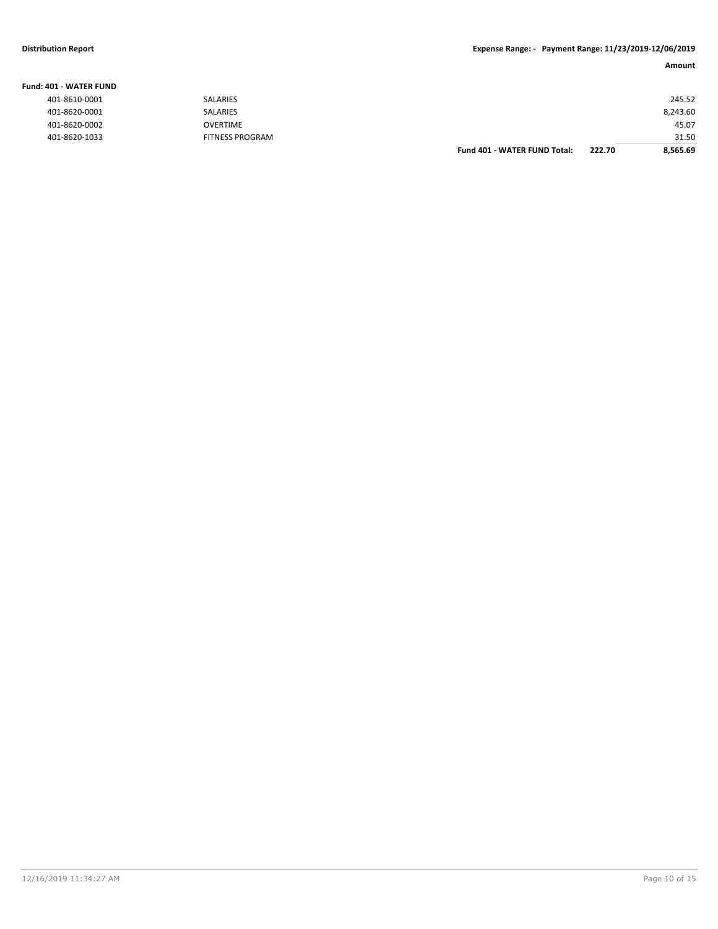**Fund: 401 - WATER FUND**

# **Distribution Report Expense Range: - Payment Range: 11/23/2019-12/06/2019**

| IO1 - WATER FUND |                        |                              |        |          |
|------------------|------------------------|------------------------------|--------|----------|
| 401-8610-0001    | SALARIES               |                              |        | 245.52   |
| 401-8620-0001    | SALARIES               |                              |        | 8,243.60 |
| 401-8620-0002    | <b>OVERTIME</b>        |                              |        | 45.07    |
| 401-8620-1033    | <b>FITNESS PROGRAM</b> |                              |        | 31.50    |
|                  |                        | Fund 401 - WATER FUND Total: | 222.70 | 8,565.69 |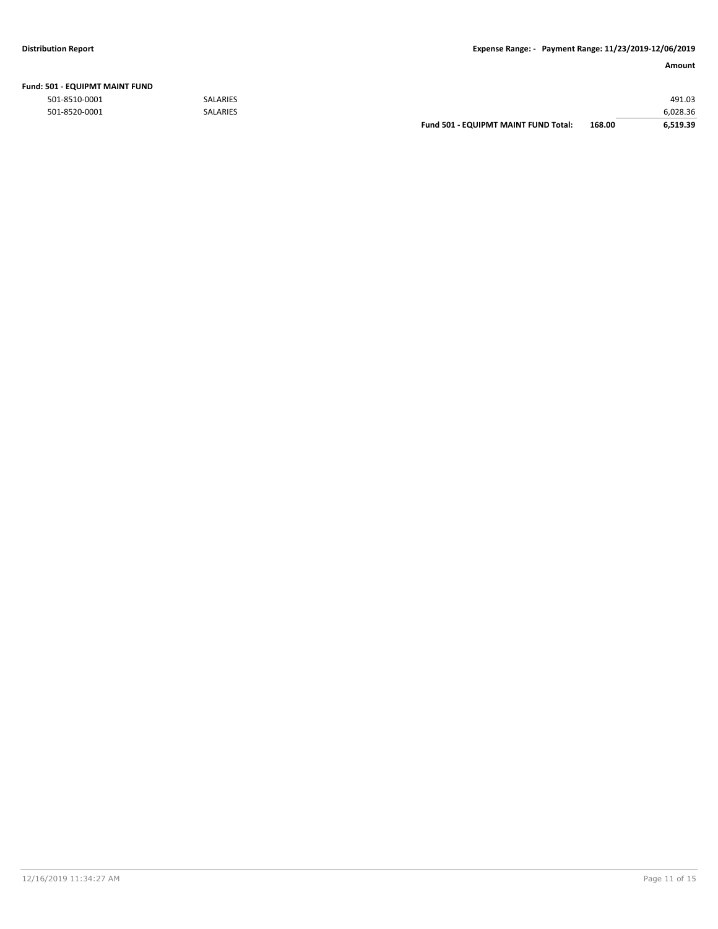|               |                 | <b>Fund 501 - EQUIPMT MAINT FUND Total:</b> | 168.00 | 6.519.39 |
|---------------|-----------------|---------------------------------------------|--------|----------|
| 501-8520-0001 | <b>SALARIES</b> |                                             |        | 6,028.36 |
| 501-8510-0001 | <b>SALARIES</b> |                                             |        | 491.03   |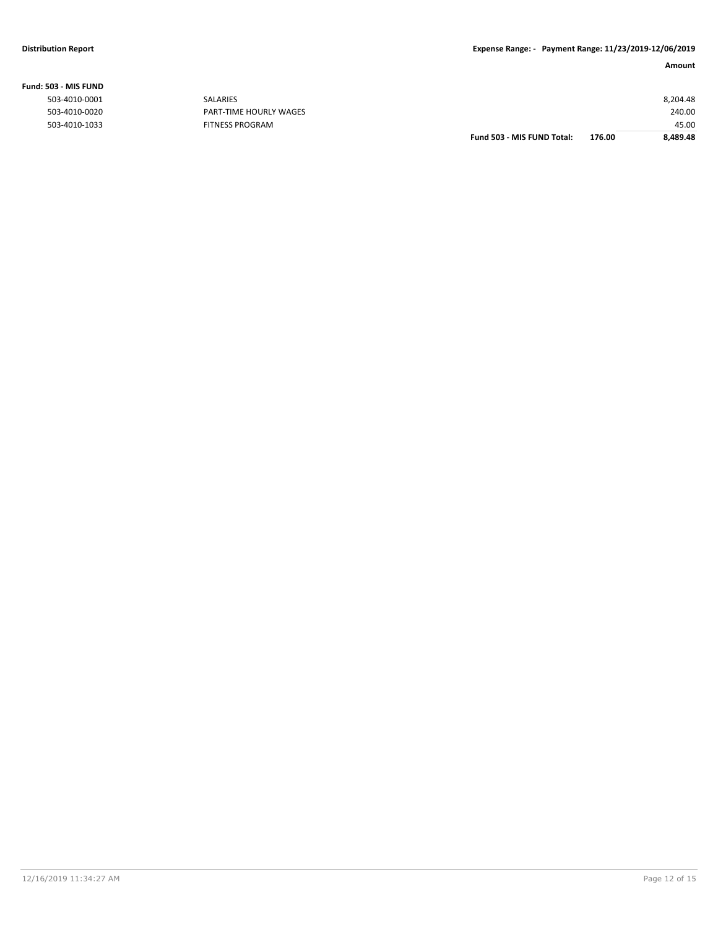**Fund: 503 - MIS FUND**

# **Amount**

|                  |                        | Fund 503 - MIS FUND Total: | 176.00 | 8,489.48 |
|------------------|------------------------|----------------------------|--------|----------|
| 503-4010-1033    | <b>FITNESS PROGRAM</b> |                            |        | 45.00    |
| 503-4010-0020    | PART-TIME HOURLY WAGES |                            |        | 240.00   |
| 503-4010-0001    | SALARIES               |                            |        | 8,204.48 |
| ,U3 - IVIIS FUND |                        |                            |        |          |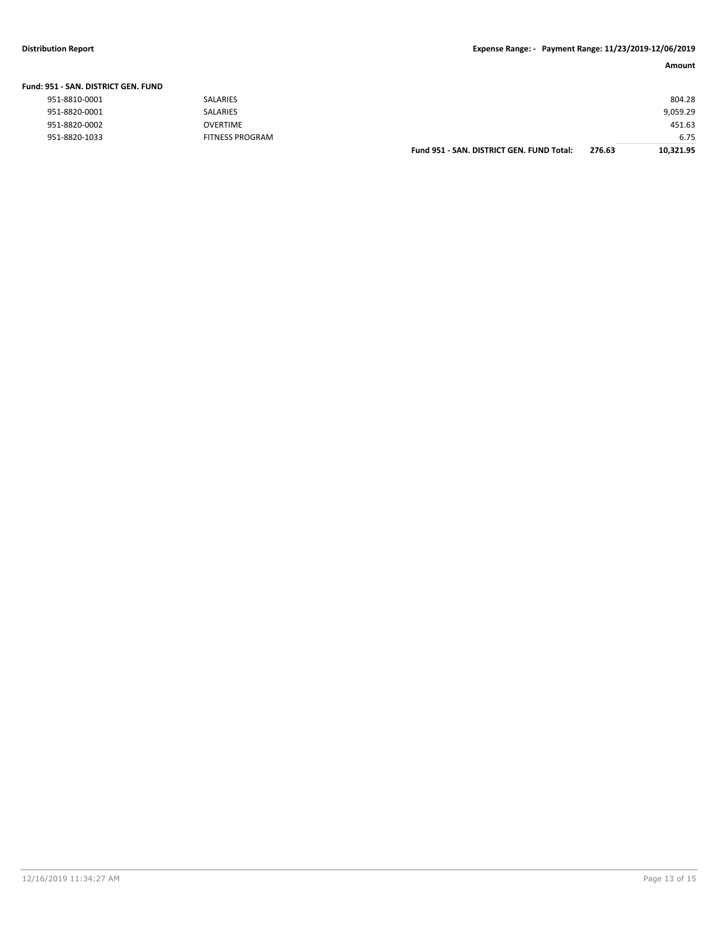# **Distribution Report Expense Range: - Payment Range: 11/23/2019-12/06/2019**

|                               |                 | Amount   |
|-------------------------------|-----------------|----------|
| 951 - SAN. DISTRICT GEN. FUND |                 |          |
| 951-8810-0001                 | SALARIES        | 804.28   |
| 951-8820-0001                 | <b>SALARIES</b> | 9,059.29 |

| 951-8820-0001 | <b>SALARIES</b>        | 9.059.29 |
|---------------|------------------------|----------|
| 951-8820-0002 | OVERTIME               | 451.63   |
| 951-8820-1033 | <b>FITNESS PROGRAM</b> | 6.75     |

**Fund 951 - SAN. DISTRICT GEN. FUND Total: 276.63 10,321.95**

# **Fund: 951 - SAN. DISTRICT GEN. FUND**

| 951-8810-0001 |
|---------------|
| 951-8820-0001 |
| 951-8820-0002 |
| 951-8820-1033 |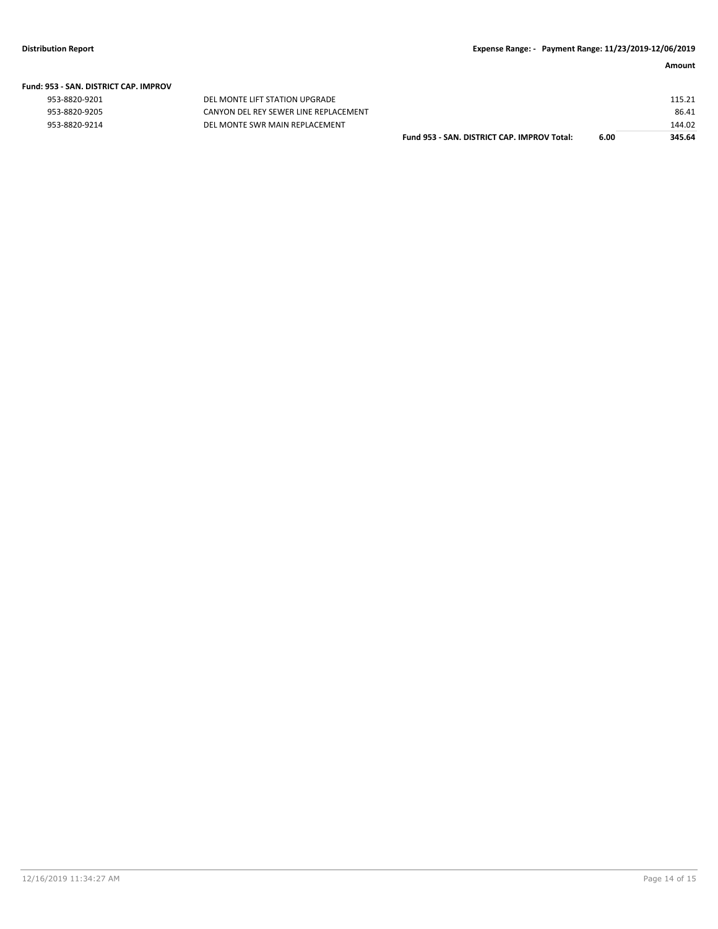| Fund: 953 - SAN. DISTRICT CAP. IMPROV |  |  |  |  |  |  |  |
|---------------------------------------|--|--|--|--|--|--|--|
|---------------------------------------|--|--|--|--|--|--|--|

| 953-8820-9201 |  |
|---------------|--|
| 953-8820-9205 |  |
| 953-8820-9214 |  |

DEL MONTE LIFT STATION UPGRADE CANYON DEL REY SEWER LINE REPLACEMENT 953-8820-9214 DEL MONTE SWR MAIN REPLACEMENT

| Fund 953 - SAN. DISTRICT CAP. IMPROV Total: | 6.00 | 345.64 |
|---------------------------------------------|------|--------|
|                                             |      | 144.02 |
|                                             |      | 86.41  |
|                                             |      | 115.21 |